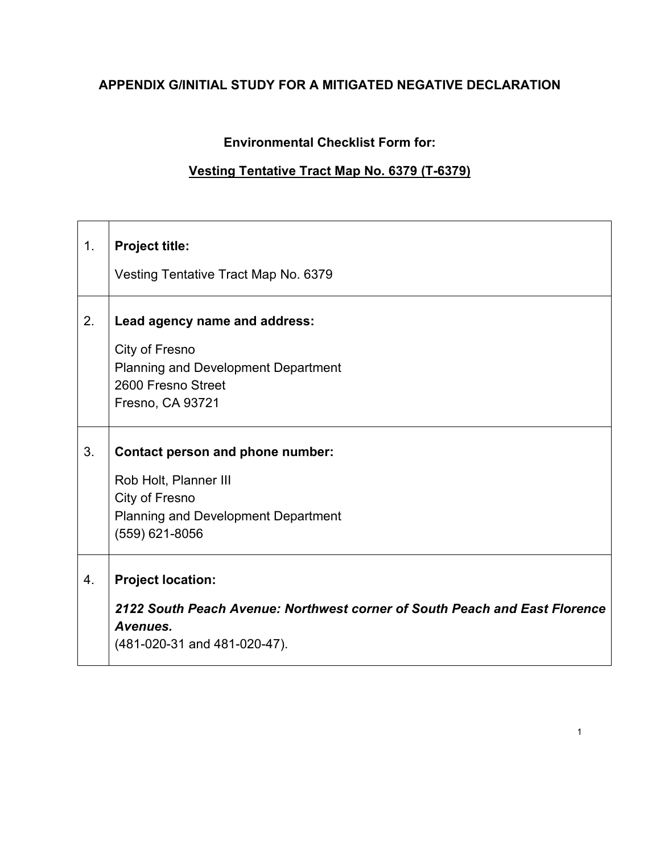# **APPENDIX G/INITIAL STUDY FOR A MITIGATED NEGATIVE DECLARATION**

# **Environmental Checklist Form for:**

## **Vesting Tentative Tract Map No. 6379 (T-6379)**

| 1. | <b>Project title:</b>                                                                  |
|----|----------------------------------------------------------------------------------------|
|    | Vesting Tentative Tract Map No. 6379                                                   |
| 2. | Lead agency name and address:                                                          |
|    | City of Fresno                                                                         |
|    | <b>Planning and Development Department</b>                                             |
|    | 2600 Fresno Street                                                                     |
|    | Fresno, CA 93721                                                                       |
| 3. | <b>Contact person and phone number:</b>                                                |
|    | Rob Holt, Planner III                                                                  |
|    | City of Fresno                                                                         |
|    | <b>Planning and Development Department</b>                                             |
|    | (559) 621-8056                                                                         |
| 4. | <b>Project location:</b>                                                               |
|    | 2122 South Peach Avenue: Northwest corner of South Peach and East Florence<br>Avenues. |
|    | (481-020-31 and 481-020-47).                                                           |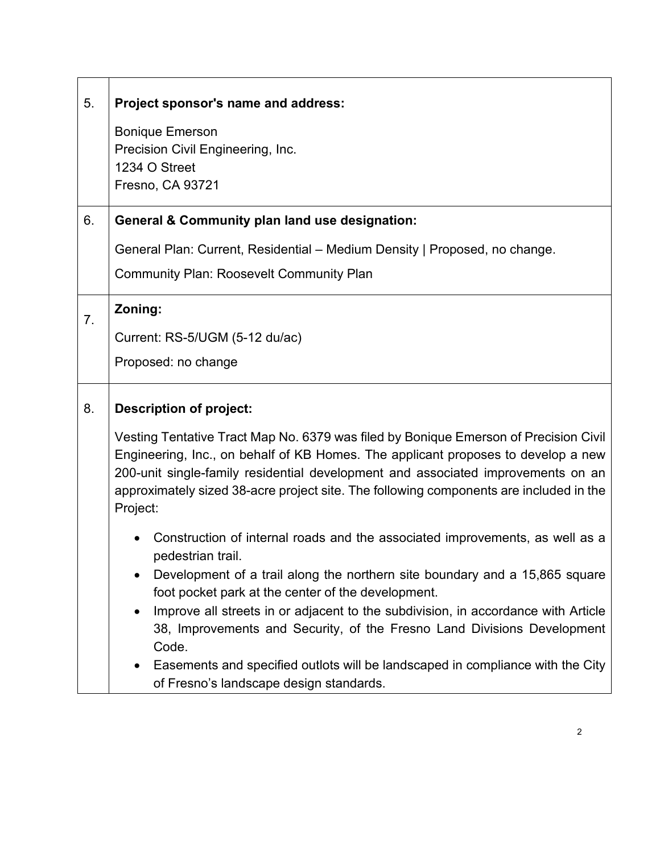| 5.             | Project sponsor's name and address:                                                                                                                                                                                                                                                                                                                                 |
|----------------|---------------------------------------------------------------------------------------------------------------------------------------------------------------------------------------------------------------------------------------------------------------------------------------------------------------------------------------------------------------------|
|                | <b>Bonique Emerson</b><br>Precision Civil Engineering, Inc.<br>1234 O Street<br>Fresno, CA 93721                                                                                                                                                                                                                                                                    |
| 6.             | General & Community plan land use designation:                                                                                                                                                                                                                                                                                                                      |
|                | General Plan: Current, Residential – Medium Density   Proposed, no change.<br><b>Community Plan: Roosevelt Community Plan</b>                                                                                                                                                                                                                                       |
| 7 <sub>1</sub> | Zoning:                                                                                                                                                                                                                                                                                                                                                             |
|                | Current: RS-5/UGM (5-12 du/ac)                                                                                                                                                                                                                                                                                                                                      |
|                | Proposed: no change                                                                                                                                                                                                                                                                                                                                                 |
| 8.             | <b>Description of project:</b>                                                                                                                                                                                                                                                                                                                                      |
|                | Vesting Tentative Tract Map No. 6379 was filed by Bonique Emerson of Precision Civil<br>Engineering, Inc., on behalf of KB Homes. The applicant proposes to develop a new<br>200-unit single-family residential development and associated improvements on an<br>approximately sized 38-acre project site. The following components are included in the<br>Project: |
|                | Construction of internal roads and the associated improvements, as well as a<br>pedestrian trail.<br>Development of a trail along the northern site boundary and a 15,865 square<br>$\bullet$                                                                                                                                                                       |
|                | foot pocket park at the center of the development.<br>Improve all streets in or adjacent to the subdivision, in accordance with Article<br>$\bullet$<br>38, Improvements and Security, of the Fresno Land Divisions Development<br>Code.                                                                                                                            |
|                | Easements and specified outlots will be landscaped in compliance with the City<br>٠<br>of Fresno's landscape design standards.                                                                                                                                                                                                                                      |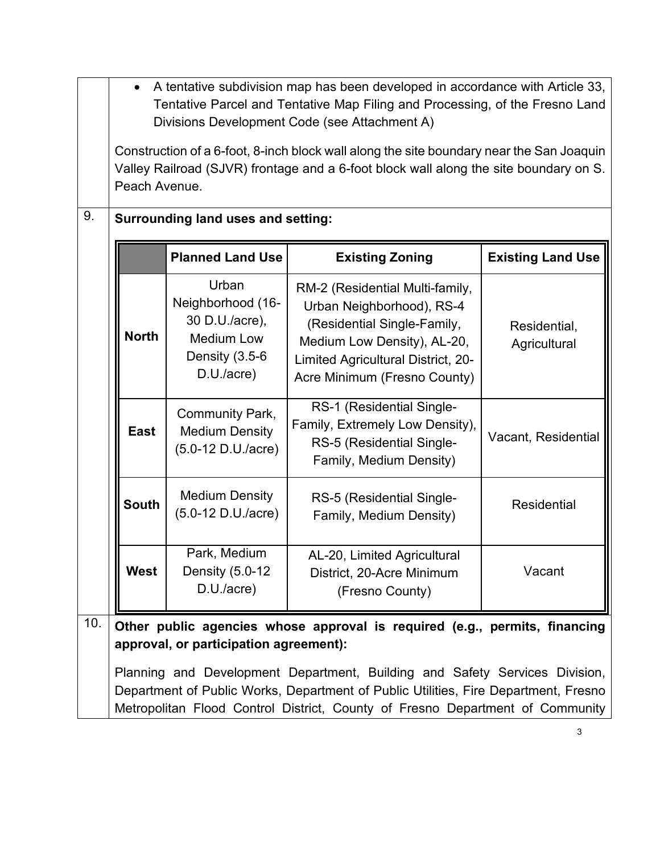|                                                                                                                                                       | A tentative subdivision map has been developed in accordance with Article 33,<br>Tentative Parcel and Tentative Map Filing and Processing, of the Fresno Land<br>Divisions Development Code (see Attachment A)                                      |                                                                                                   |                                                                                                                                                                                                  |                              |  |  |
|-------------------------------------------------------------------------------------------------------------------------------------------------------|-----------------------------------------------------------------------------------------------------------------------------------------------------------------------------------------------------------------------------------------------------|---------------------------------------------------------------------------------------------------|--------------------------------------------------------------------------------------------------------------------------------------------------------------------------------------------------|------------------------------|--|--|
|                                                                                                                                                       | Construction of a 6-foot, 8-inch block wall along the site boundary near the San Joaquin<br>Valley Railroad (SJVR) frontage and a 6-foot block wall along the site boundary on S.<br>Peach Avenue.                                                  |                                                                                                   |                                                                                                                                                                                                  |                              |  |  |
| 9.                                                                                                                                                    |                                                                                                                                                                                                                                                     | <b>Surrounding land uses and setting:</b>                                                         |                                                                                                                                                                                                  |                              |  |  |
|                                                                                                                                                       |                                                                                                                                                                                                                                                     | <b>Planned Land Use</b>                                                                           | <b>Existing Zoning</b>                                                                                                                                                                           | <b>Existing Land Use</b>     |  |  |
|                                                                                                                                                       | <b>North</b>                                                                                                                                                                                                                                        | Urban<br>Neighborhood (16-<br>30 D.U./acre),<br><b>Medium Low</b><br>Density (3.5-6<br>D.U./acre) | RM-2 (Residential Multi-family,<br>Urban Neighborhood), RS-4<br>(Residential Single-Family,<br>Medium Low Density), AL-20,<br>Limited Agricultural District, 20-<br>Acre Minimum (Fresno County) | Residential,<br>Agricultural |  |  |
|                                                                                                                                                       | <b>East</b>                                                                                                                                                                                                                                         | <b>Community Park,</b><br><b>Medium Density</b><br>(5.0-12 D.U./acre)                             | RS-1 (Residential Single-<br>Family, Extremely Low Density),<br>RS-5 (Residential Single-<br>Family, Medium Density)                                                                             | Vacant, Residential          |  |  |
|                                                                                                                                                       | <b>South</b>                                                                                                                                                                                                                                        | <b>Medium Density</b><br>(5.0-12 D.U./acre)                                                       | RS-5 (Residential Single-<br>Family, Medium Density)                                                                                                                                             | Residential                  |  |  |
| Park, Medium<br>AL-20, Limited Agricultural<br><b>West</b><br>Vacant<br>Density (5.0-12<br>District, 20-Acre Minimum<br>D.U./acre)<br>(Fresno County) |                                                                                                                                                                                                                                                     |                                                                                                   |                                                                                                                                                                                                  |                              |  |  |
| 10.                                                                                                                                                   |                                                                                                                                                                                                                                                     | approval, or participation agreement):                                                            | Other public agencies whose approval is required (e.g., permits, financing                                                                                                                       |                              |  |  |
|                                                                                                                                                       | Planning and Development Department, Building and Safety Services Division,<br>Department of Public Works, Department of Public Utilities, Fire Department, Fresno<br>Metropolitan Flood Control District, County of Fresno Department of Community |                                                                                                   |                                                                                                                                                                                                  |                              |  |  |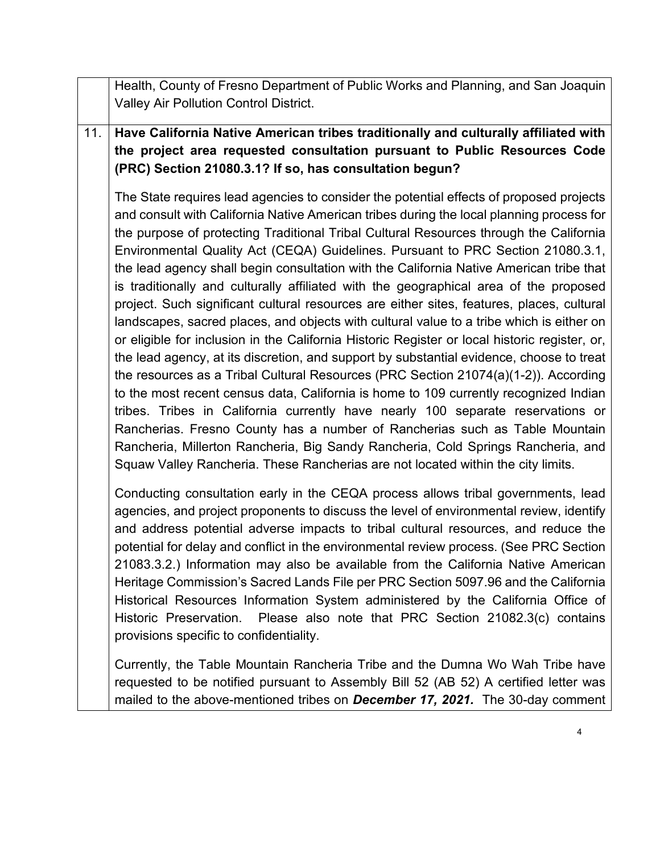Health, County of Fresno Department of Public Works and Planning, and San Joaquin Valley Air Pollution Control District.

11. **Have California Native American tribes traditionally and culturally affiliated with the project area requested consultation pursuant to Public Resources Code (PRC) Section 21080.3.1? If so, has consultation begun?**

The State requires lead agencies to consider the potential effects of proposed projects and consult with California Native American tribes during the local planning process for the purpose of protecting Traditional Tribal Cultural Resources through the California Environmental Quality Act (CEQA) Guidelines. Pursuant to PRC Section 21080.3.1, the lead agency shall begin consultation with the California Native American tribe that is traditionally and culturally affiliated with the geographical area of the proposed project. Such significant cultural resources are either sites, features, places, cultural landscapes, sacred places, and objects with cultural value to a tribe which is either on or eligible for inclusion in the California Historic Register or local historic register, or, the lead agency, at its discretion, and support by substantial evidence, choose to treat the resources as a Tribal Cultural Resources (PRC Section 21074(a)(1-2)). According to the most recent census data, California is home to 109 currently recognized Indian tribes. Tribes in California currently have nearly 100 separate reservations or Rancherias. Fresno County has a number of Rancherias such as Table Mountain Rancheria, Millerton Rancheria, Big Sandy Rancheria, Cold Springs Rancheria, and Squaw Valley Rancheria. These Rancherias are not located within the city limits.

Conducting consultation early in the CEQA process allows tribal governments, lead agencies, and project proponents to discuss the level of environmental review, identify and address potential adverse impacts to tribal cultural resources, and reduce the potential for delay and conflict in the environmental review process. (See PRC Section 21083.3.2.) Information may also be available from the California Native American Heritage Commission's Sacred Lands File per PRC Section 5097.96 and the California Historical Resources Information System administered by the California Office of Historic Preservation. Please also note that PRC Section 21082.3(c) contains provisions specific to confidentiality.

Currently, the Table Mountain Rancheria Tribe and the Dumna Wo Wah Tribe have requested to be notified pursuant to Assembly Bill 52 (AB 52) A certified letter was mailed to the above-mentioned tribes on *December 17, 2021.* The 30-day comment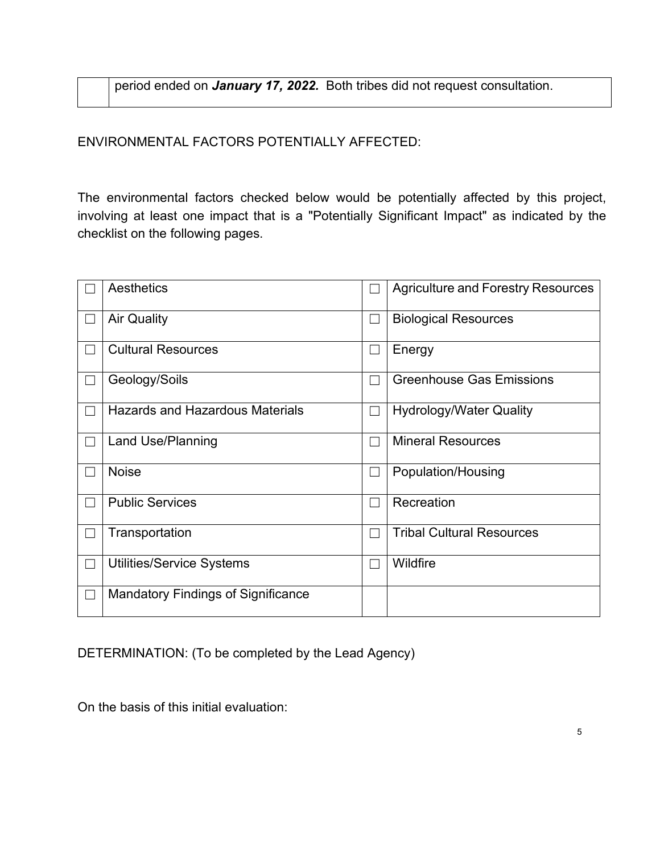period ended on *January 17, 2022.* Both tribes did not request consultation.

ENVIRONMENTAL FACTORS POTENTIALLY AFFECTED:

The environmental factors checked below would be potentially affected by this project, involving at least one impact that is a "Potentially Significant Impact" as indicated by the checklist on the following pages.

|                   | Aesthetics                                |                          | <b>Agriculture and Forestry Resources</b> |
|-------------------|-------------------------------------------|--------------------------|-------------------------------------------|
|                   | <b>Air Quality</b>                        | $\mathcal{L}$            | <b>Biological Resources</b>               |
|                   | <b>Cultural Resources</b>                 | $\overline{\phantom{0}}$ | Energy                                    |
| П                 | Geology/Soils                             | □                        | <b>Greenhouse Gas Emissions</b>           |
|                   | <b>Hazards and Hazardous Materials</b>    | $\overline{\phantom{a}}$ | <b>Hydrology/Water Quality</b>            |
| TП                | <b>Land Use/Planning</b>                  | $\overline{\phantom{a}}$ | <b>Mineral Resources</b>                  |
|                   | <b>Noise</b>                              | $\mathbf{L}$             | Population/Housing                        |
| $\Box$            | <b>Public Services</b>                    | $\Box$                   | Recreation                                |
|                   | Transportation                            |                          | <b>Tribal Cultural Resources</b>          |
| $\perp$           | <b>Utilities/Service Systems</b>          | $\mathbb{R}^n$           | Wildfire                                  |
| $\lfloor \rfloor$ | <b>Mandatory Findings of Significance</b> |                          |                                           |

DETERMINATION: (To be completed by the Lead Agency)

On the basis of this initial evaluation: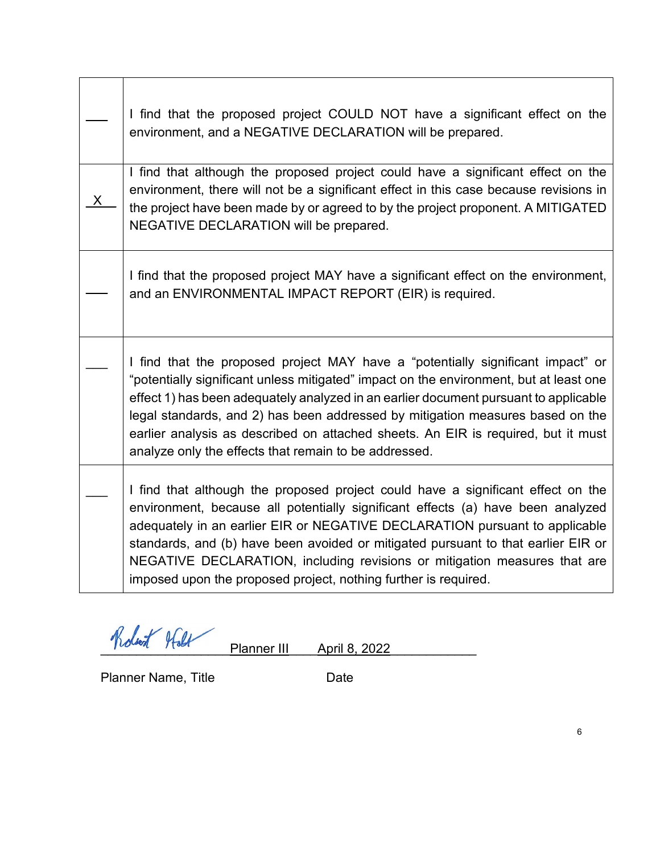| I find that the proposed project COULD NOT have a significant effect on the<br>environment, and a NEGATIVE DECLARATION will be prepared.                                                                                                                                                                                                                                                                                                                                                          |
|---------------------------------------------------------------------------------------------------------------------------------------------------------------------------------------------------------------------------------------------------------------------------------------------------------------------------------------------------------------------------------------------------------------------------------------------------------------------------------------------------|
| I find that although the proposed project could have a significant effect on the<br>environment, there will not be a significant effect in this case because revisions in<br>the project have been made by or agreed to by the project proponent. A MITIGATED<br>NEGATIVE DECLARATION will be prepared.                                                                                                                                                                                           |
| I find that the proposed project MAY have a significant effect on the environment,<br>and an ENVIRONMENTAL IMPACT REPORT (EIR) is required.                                                                                                                                                                                                                                                                                                                                                       |
| I find that the proposed project MAY have a "potentially significant impact" or<br>"potentially significant unless mitigated" impact on the environment, but at least one<br>effect 1) has been adequately analyzed in an earlier document pursuant to applicable<br>legal standards, and 2) has been addressed by mitigation measures based on the<br>earlier analysis as described on attached sheets. An EIR is required, but it must<br>analyze only the effects that remain to be addressed. |
| I find that although the proposed project could have a significant effect on the<br>environment, because all potentially significant effects (a) have been analyzed<br>adequately in an earlier EIR or NEGATIVE DECLARATION pursuant to applicable<br>standards, and (b) have been avoided or mitigated pursuant to that earlier EIR or<br>NEGATIVE DECLARATION, including revisions or mitigation measures that are<br>imposed upon the proposed project, nothing further is required.           |

Robert Holt Planner III April 8, 2022

Planner Name, Title **Date** Date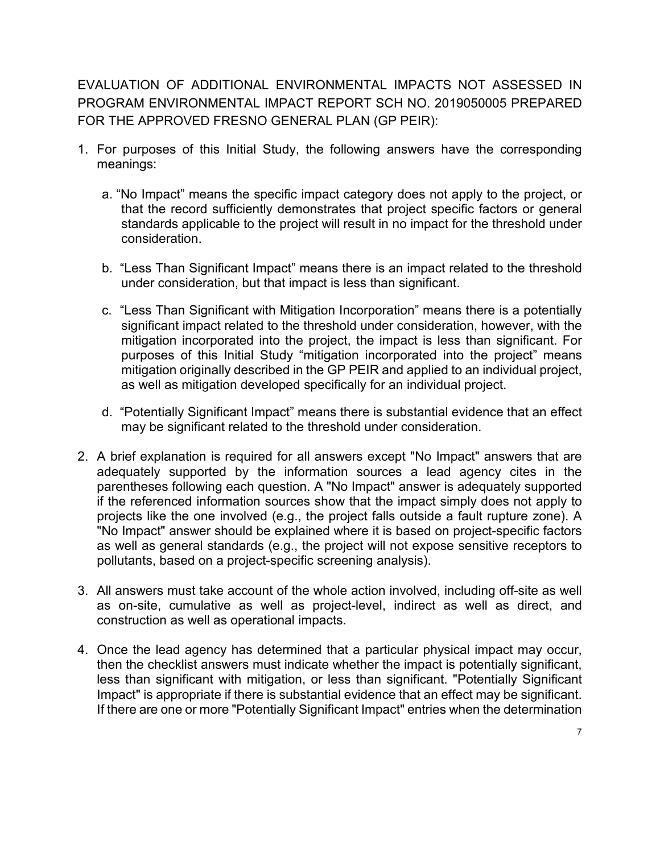EVALUATION OF ADDITIONAL ENVIRONMENTAL IMPACTS NOT ASSESSED IN PROGRAM ENVIRONMENTAL IMPACT REPORT SCH NO. 2019050005 PREPARED FOR THE APPROVED FRESNO GENERAL PLAN (GP PEIR):

- 1. For purposes of this Initial Study, the following answers have the corresponding meanings:
	- a. "No Impact" means the specific impact category does not apply to the project, or that the record sufficiently demonstrates that project specific factors or general standards applicable to the project will result in no impact for the threshold under consideration.
	- b. "Less Than Significant Impact" means there is an impact related to the threshold under consideration, but that impact is less than significant.
	- c. "Less Than Significant with Mitigation Incorporation" means there is a potentially significant impact related to the threshold under consideration, however, with the mitigation incorporated into the project, the impact is less than significant. For purposes of this Initial Study "mitigation incorporated into the project" means mitigation originally described in the GP PEIR and applied to an individual project, as well as mitigation developed specifically for an individual project.
	- d. "Potentially Significant Impact" means there is substantial evidence that an effect may be significant related to the threshold under consideration.
- 2. A brief explanation is required for all answers except "No Impact" answers that are adequately supported by the information sources a lead agency cites in the parentheses following each question. A "No Impact" answer is adequately supported if the referenced information sources show that the impact simply does not apply to projects like the one involved (e.g., the project falls outside a fault rupture zone). A "No Impact" answer should be explained where it is based on project-specific factors as well as general standards (e.g., the project will not expose sensitive receptors to pollutants, based on a project-specific screening analysis).
- 3. All answers must take account of the whole action involved, including off-site as well as on-site, cumulative as well as project-level, indirect as well as direct, and construction as well as operational impacts.
- 4. Once the lead agency has determined that a particular physical impact may occur, then the checklist answers must indicate whether the impact is potentially significant, less than significant with mitigation, or less than significant. "Potentially Significant Impact" is appropriate if there is substantial evidence that an effect may be significant. If there are one or more "Potentially Significant Impact" entries when the determination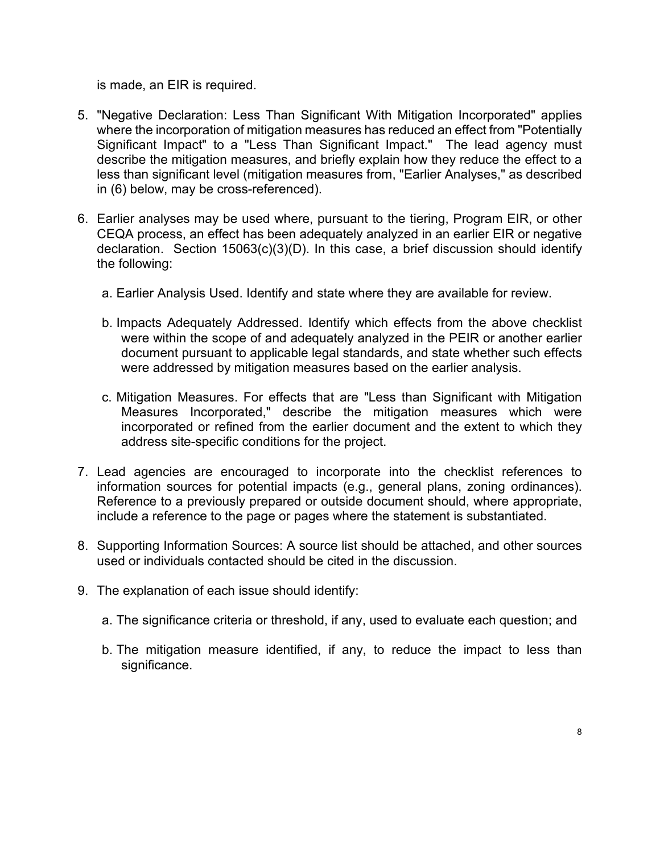is made, an EIR is required.

- 5. "Negative Declaration: Less Than Significant With Mitigation Incorporated" applies where the incorporation of mitigation measures has reduced an effect from "Potentially Significant Impact" to a "Less Than Significant Impact." The lead agency must describe the mitigation measures, and briefly explain how they reduce the effect to a less than significant level (mitigation measures from, "Earlier Analyses," as described in (6) below, may be cross-referenced).
- 6. Earlier analyses may be used where, pursuant to the tiering, Program EIR, or other CEQA process, an effect has been adequately analyzed in an earlier EIR or negative declaration. Section 15063(c)(3)(D). In this case, a brief discussion should identify the following:
	- a. Earlier Analysis Used. Identify and state where they are available for review.
	- b. Impacts Adequately Addressed. Identify which effects from the above checklist were within the scope of and adequately analyzed in the PEIR or another earlier document pursuant to applicable legal standards, and state whether such effects were addressed by mitigation measures based on the earlier analysis.
	- c. Mitigation Measures. For effects that are "Less than Significant with Mitigation Measures Incorporated," describe the mitigation measures which were incorporated or refined from the earlier document and the extent to which they address site-specific conditions for the project.
- 7. Lead agencies are encouraged to incorporate into the checklist references to information sources for potential impacts (e.g., general plans, zoning ordinances). Reference to a previously prepared or outside document should, where appropriate, include a reference to the page or pages where the statement is substantiated.
- 8. Supporting Information Sources: A source list should be attached, and other sources used or individuals contacted should be cited in the discussion.
- 9. The explanation of each issue should identify:
	- a. The significance criteria or threshold, if any, used to evaluate each question; and
	- b. The mitigation measure identified, if any, to reduce the impact to less than significance.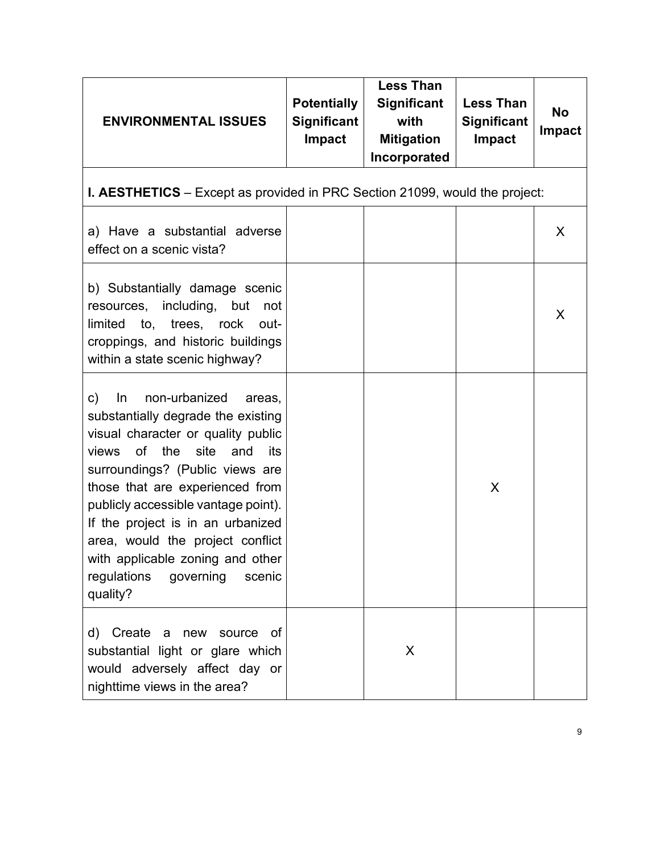| <b>ENVIRONMENTAL ISSUES</b>                                                                                                                                                                                                                                                                                                                                                                                                       | <b>Potentially</b><br><b>Significant</b><br><b>Impact</b> | <b>Less Than</b><br><b>Significant</b><br>with<br><b>Mitigation</b><br>Incorporated | <b>Less Than</b><br><b>Significant</b><br><b>Impact</b> | <b>No</b><br><b>Impact</b> |  |
|-----------------------------------------------------------------------------------------------------------------------------------------------------------------------------------------------------------------------------------------------------------------------------------------------------------------------------------------------------------------------------------------------------------------------------------|-----------------------------------------------------------|-------------------------------------------------------------------------------------|---------------------------------------------------------|----------------------------|--|
| <b>I. AESTHETICS</b> – Except as provided in PRC Section 21099, would the project:                                                                                                                                                                                                                                                                                                                                                |                                                           |                                                                                     |                                                         |                            |  |
| a) Have a substantial adverse<br>effect on a scenic vista?                                                                                                                                                                                                                                                                                                                                                                        |                                                           |                                                                                     |                                                         | X                          |  |
| b) Substantially damage scenic<br>resources, including, but<br>not<br>limited to, trees, rock out-<br>croppings, and historic buildings<br>within a state scenic highway?                                                                                                                                                                                                                                                         |                                                           |                                                                                     |                                                         | X                          |  |
| non-urbanized<br>c)<br>In<br>areas,<br>substantially degrade the existing<br>visual character or quality public<br>views of the<br>site<br>and<br>its<br>surroundings? (Public views are<br>those that are experienced from<br>publicly accessible vantage point).<br>If the project is in an urbanized<br>area, would the project conflict<br>with applicable zoning and other<br>regulations<br>governing<br>scenic<br>quality? |                                                           |                                                                                     | X                                                       |                            |  |
| d) Create a<br>new source<br>of<br>substantial light or glare which<br>would adversely affect day or<br>nighttime views in the area?                                                                                                                                                                                                                                                                                              |                                                           | X                                                                                   |                                                         |                            |  |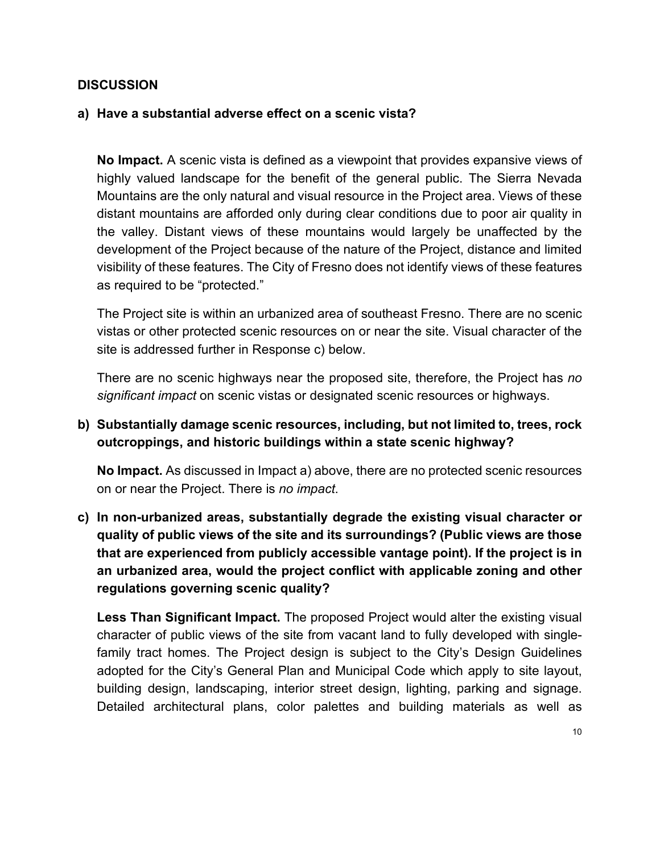#### **a) Have a substantial adverse effect on a scenic vista?**

**No Impact.** A scenic vista is defined as a viewpoint that provides expansive views of highly valued landscape for the benefit of the general public. The Sierra Nevada Mountains are the only natural and visual resource in the Project area. Views of these distant mountains are afforded only during clear conditions due to poor air quality in the valley. Distant views of these mountains would largely be unaffected by the development of the Project because of the nature of the Project, distance and limited visibility of these features. The City of Fresno does not identify views of these features as required to be "protected."

The Project site is within an urbanized area of southeast Fresno. There are no scenic vistas or other protected scenic resources on or near the site. Visual character of the site is addressed further in Response c) below.

There are no scenic highways near the proposed site, therefore, the Project has *no significant impact* on scenic vistas or designated scenic resources or highways.

## **b) Substantially damage scenic resources, including, but not limited to, trees, rock outcroppings, and historic buildings within a state scenic highway?**

**No Impact.** As discussed in Impact a) above, there are no protected scenic resources on or near the Project. There is *no impact*.

**c) In non-urbanized areas, substantially degrade the existing visual character or quality of public views of the site and its surroundings? (Public views are those that are experienced from publicly accessible vantage point). If the project is in an urbanized area, would the project conflict with applicable zoning and other regulations governing scenic quality?**

**Less Than Significant Impact.** The proposed Project would alter the existing visual character of public views of the site from vacant land to fully developed with singlefamily tract homes. The Project design is subject to the City's Design Guidelines adopted for the City's General Plan and Municipal Code which apply to site layout, building design, landscaping, interior street design, lighting, parking and signage. Detailed architectural plans, color palettes and building materials as well as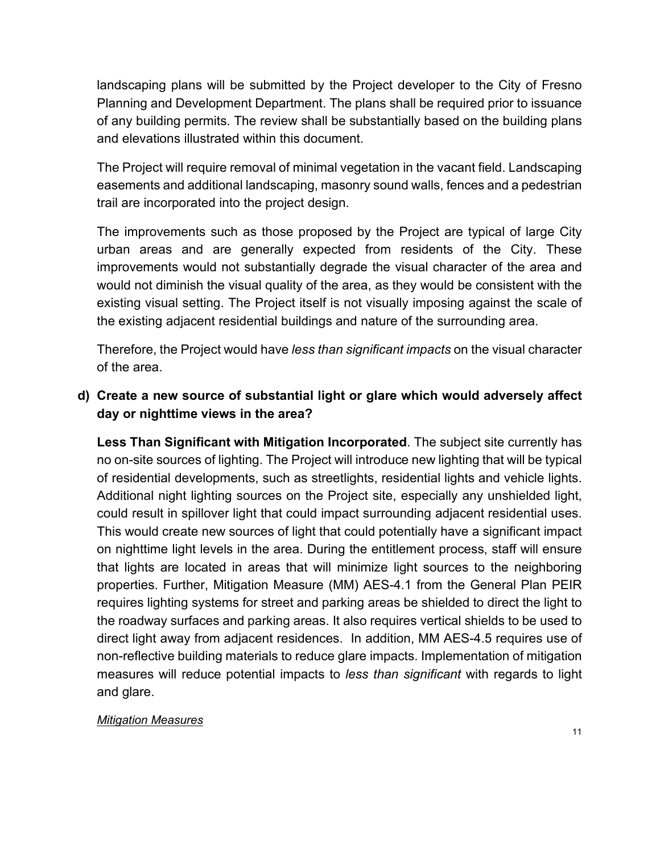landscaping plans will be submitted by the Project developer to the City of Fresno Planning and Development Department. The plans shall be required prior to issuance of any building permits. The review shall be substantially based on the building plans and elevations illustrated within this document.

The Project will require removal of minimal vegetation in the vacant field. Landscaping easements and additional landscaping, masonry sound walls, fences and a pedestrian trail are incorporated into the project design.

The improvements such as those proposed by the Project are typical of large City urban areas and are generally expected from residents of the City. These improvements would not substantially degrade the visual character of the area and would not diminish the visual quality of the area, as they would be consistent with the existing visual setting. The Project itself is not visually imposing against the scale of the existing adjacent residential buildings and nature of the surrounding area.

Therefore, the Project would have *less than significant impacts* on the visual character of the area.

## **d) Create a new source of substantial light or glare which would adversely affect day or nighttime views in the area?**

**Less Than Significant with Mitigation Incorporated**. The subject site currently has no on-site sources of lighting. The Project will introduce new lighting that will be typical of residential developments, such as streetlights, residential lights and vehicle lights. Additional night lighting sources on the Project site, especially any unshielded light, could result in spillover light that could impact surrounding adjacent residential uses. This would create new sources of light that could potentially have a significant impact on nighttime light levels in the area. During the entitlement process, staff will ensure that lights are located in areas that will minimize light sources to the neighboring properties. Further, Mitigation Measure (MM) AES-4.1 from the General Plan PEIR requires lighting systems for street and parking areas be shielded to direct the light to the roadway surfaces and parking areas. It also requires vertical shields to be used to direct light away from adjacent residences. In addition, MM AES-4.5 requires use of non-reflective building materials to reduce glare impacts. Implementation of mitigation measures will reduce potential impacts to *less than significant* with regards to light and glare.

#### *Mitigation Measures*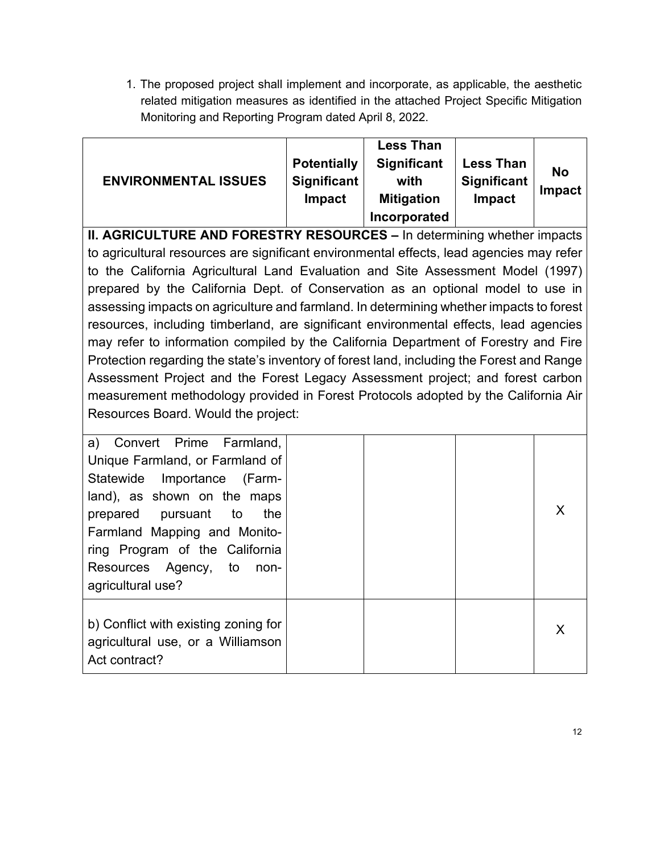1. The proposed project shall implement and incorporate, as applicable, the aesthetic related mitigation measures as identified in the attached Project Specific Mitigation Monitoring and Reporting Program dated April 8, 2022.

| <b>ENVIRONMENTAL ISSUES</b>                                                                                                                                                                                                                                                                                                                                                                                                                                                                                                                                                                                                                                                                                                                                                                                                                           | <b>Potentially</b><br><b>Significant</b><br>Impact | <b>Less Than</b><br><b>Significant</b><br>with<br><b>Mitigation</b><br>Incorporated | <b>Less Than</b><br><b>Significant</b><br>Impact | <b>No</b><br><b>Impact</b> |
|-------------------------------------------------------------------------------------------------------------------------------------------------------------------------------------------------------------------------------------------------------------------------------------------------------------------------------------------------------------------------------------------------------------------------------------------------------------------------------------------------------------------------------------------------------------------------------------------------------------------------------------------------------------------------------------------------------------------------------------------------------------------------------------------------------------------------------------------------------|----------------------------------------------------|-------------------------------------------------------------------------------------|--------------------------------------------------|----------------------------|
| <b>II. AGRICULTURE AND FORESTRY RESOURCES - In determining whether impacts</b>                                                                                                                                                                                                                                                                                                                                                                                                                                                                                                                                                                                                                                                                                                                                                                        |                                                    |                                                                                     |                                                  |                            |
| to agricultural resources are significant environmental effects, lead agencies may refer<br>to the California Agricultural Land Evaluation and Site Assessment Model (1997)<br>prepared by the California Dept. of Conservation as an optional model to use in<br>assessing impacts on agriculture and farmland. In determining whether impacts to forest<br>resources, including timberland, are significant environmental effects, lead agencies<br>may refer to information compiled by the California Department of Forestry and Fire<br>Protection regarding the state's inventory of forest land, including the Forest and Range<br>Assessment Project and the Forest Legacy Assessment project; and forest carbon<br>measurement methodology provided in Forest Protocols adopted by the California Air<br>Resources Board. Would the project: |                                                    |                                                                                     |                                                  |                            |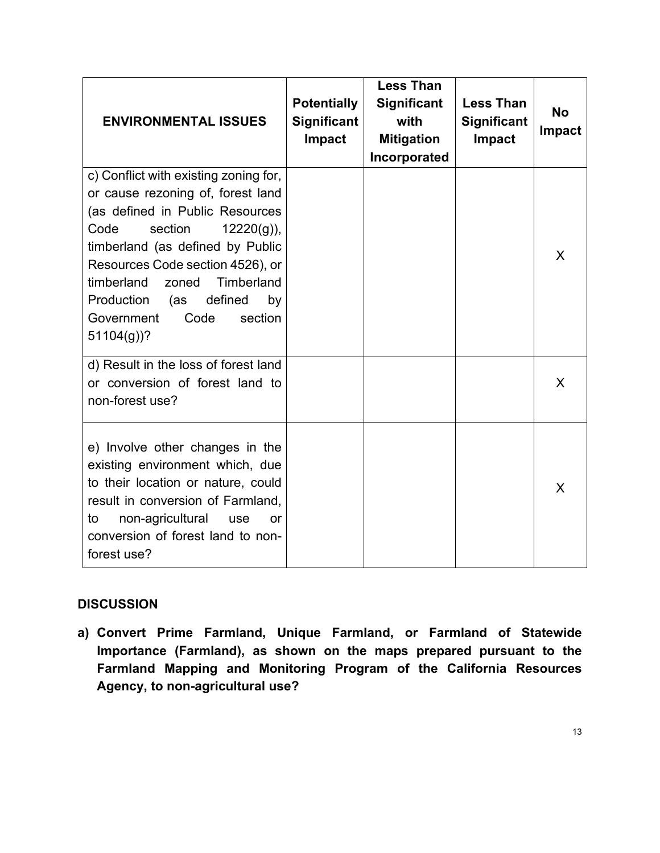| <b>ENVIRONMENTAL ISSUES</b>                                                                                                                                                                                                                                                                                                                           | <b>Potentially</b><br><b>Significant</b><br><b>Impact</b> | <b>Less Than</b><br><b>Significant</b><br>with<br><b>Mitigation</b><br>Incorporated | <b>Less Than</b><br><b>Significant</b><br><b>Impact</b> | <b>No</b><br><b>Impact</b> |
|-------------------------------------------------------------------------------------------------------------------------------------------------------------------------------------------------------------------------------------------------------------------------------------------------------------------------------------------------------|-----------------------------------------------------------|-------------------------------------------------------------------------------------|---------------------------------------------------------|----------------------------|
| c) Conflict with existing zoning for,<br>or cause rezoning of, forest land<br>(as defined in Public Resources<br>section<br>$12220(g)$ ),<br>Code<br>timberland (as defined by Public<br>Resources Code section 4526), or<br>timberland<br>Timberland<br>zoned<br>Production<br>defined<br>(as<br>by<br>Code<br>section<br>Government<br>$51104(g)$ ? |                                                           |                                                                                     |                                                         | X                          |
| d) Result in the loss of forest land<br>or conversion of forest land to<br>non-forest use?                                                                                                                                                                                                                                                            |                                                           |                                                                                     |                                                         | X                          |
| e) Involve other changes in the<br>existing environment which, due<br>to their location or nature, could<br>result in conversion of Farmland,<br>non-agricultural<br>to<br>use<br>or<br>conversion of forest land to non-<br>forest use?                                                                                                              |                                                           |                                                                                     |                                                         | X                          |

**a) Convert Prime Farmland, Unique Farmland, or Farmland of Statewide Importance (Farmland), as shown on the maps prepared pursuant to the Farmland Mapping and Monitoring Program of the California Resources Agency, to non-agricultural use?**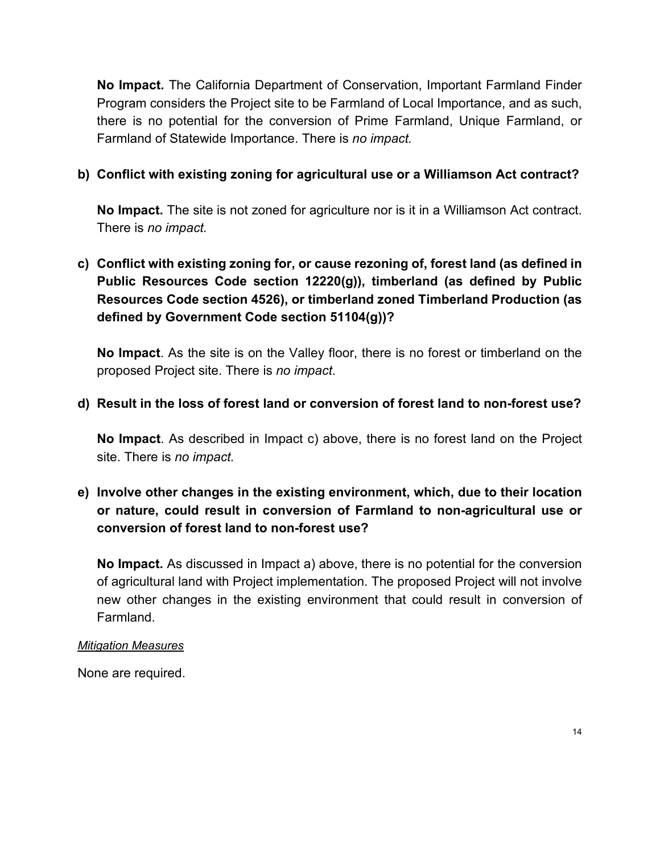**No Impact.** The California Department of Conservation, Important Farmland Finder Program considers the Project site to be Farmland of Local Importance, and as such, there is no potential for the conversion of Prime Farmland, Unique Farmland, or Farmland of Statewide Importance. There is *no impact.*

## **b) Conflict with existing zoning for agricultural use or a Williamson Act contract?**

**No Impact.** The site is not zoned for agriculture nor is it in a Williamson Act contract. There is *no impact.*

# **c) Conflict with existing zoning for, or cause rezoning of, forest land (as defined in Public Resources Code section 12220(g)), timberland (as defined by Public Resources Code section 4526), or timberland zoned Timberland Production (as defined by Government Code section 51104(g))?**

**No Impact**. As the site is on the Valley floor, there is no forest or timberland on the proposed Project site. There is *no impact*.

## **d) Result in the loss of forest land or conversion of forest land to non-forest use?**

**No Impact**. As described in Impact c) above, there is no forest land on the Project site. There is *no impact.*

# **e) Involve other changes in the existing environment, which, due to their location or nature, could result in conversion of Farmland to non-agricultural use or conversion of forest land to non-forest use?**

**No Impact.** As discussed in Impact a) above, there is no potential for the conversion of agricultural land with Project implementation. The proposed Project will not involve new other changes in the existing environment that could result in conversion of Farmland.

#### *Mitigation Measures*

None are required.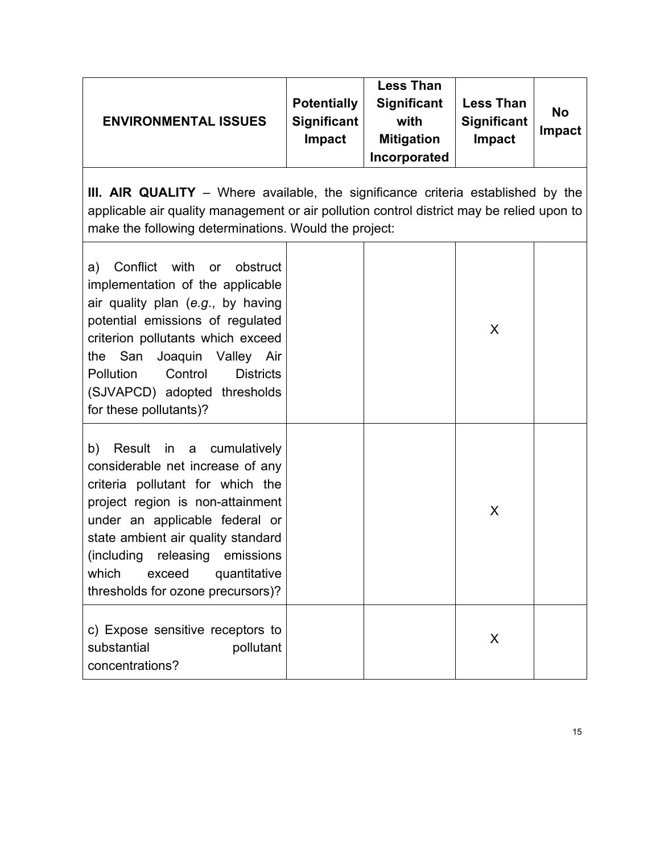| <b>ENVIRONMENTAL ISSUES</b> | <b>Potentially</b><br><b>Significant</b><br><b>Impact</b> | <b>Less Than</b><br><b>Significant</b><br>with<br><b>Mitigation</b><br>Incorporated | <b>Less Than</b><br><b>Significant</b><br>Impact | <b>No</b><br><b>Impact</b> |
|-----------------------------|-----------------------------------------------------------|-------------------------------------------------------------------------------------|--------------------------------------------------|----------------------------|
|-----------------------------|-----------------------------------------------------------|-------------------------------------------------------------------------------------|--------------------------------------------------|----------------------------|

**III. AIR QUALITY** - Where available, the significance criteria established by the applicable air quality management or air pollution control district may be relied upon to make the following determinations. Would the project:

| Conflict with or obstruct<br>a)<br>implementation of the applicable<br>air quality plan (e.g., by having<br>potential emissions of regulated<br>criterion pollutants which exceed<br>the San Joaquin Valley Air<br>Pollution<br>Control<br><b>Districts</b><br>(SJVAPCD) adopted thresholds<br>for these pollutants)?     |  | X |  |
|---------------------------------------------------------------------------------------------------------------------------------------------------------------------------------------------------------------------------------------------------------------------------------------------------------------------------|--|---|--|
| b) Result in a cumulatively<br>considerable net increase of any<br>criteria pollutant for which the<br>project region is non-attainment<br>under an applicable federal or<br>state ambient air quality standard<br>(including releasing emissions<br>which<br>exceed<br>quantitative<br>thresholds for ozone precursors)? |  | X |  |
| c) Expose sensitive receptors to<br>substantial<br>pollutant<br>concentrations?                                                                                                                                                                                                                                           |  | X |  |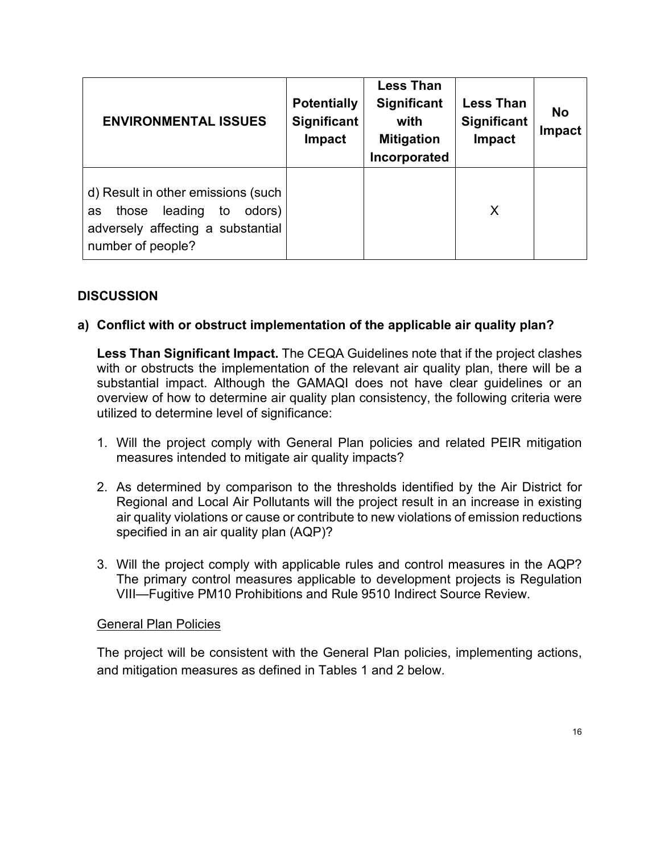| <b>ENVIRONMENTAL ISSUES</b>                                                                                                            | <b>Potentially</b><br><b>Significant</b><br><b>Impact</b> | <b>Less Than</b><br><b>Significant</b><br>with<br><b>Mitigation</b><br>Incorporated | <b>Less Than</b><br><b>Significant</b><br>Impact | <b>No</b><br>Impact |
|----------------------------------------------------------------------------------------------------------------------------------------|-----------------------------------------------------------|-------------------------------------------------------------------------------------|--------------------------------------------------|---------------------|
| d) Result in other emissions (such<br>leading<br>odors)<br>to<br>those<br>as<br>adversely affecting a substantial<br>number of people? |                                                           |                                                                                     | X                                                |                     |

#### **a) Conflict with or obstruct implementation of the applicable air quality plan?**

**Less Than Significant Impact.** The CEQA Guidelines note that if the project clashes with or obstructs the implementation of the relevant air quality plan, there will be a substantial impact. Although the GAMAQI does not have clear guidelines or an overview of how to determine air quality plan consistency, the following criteria were utilized to determine level of significance:

- 1. Will the project comply with General Plan policies and related PEIR mitigation measures intended to mitigate air quality impacts?
- 2. As determined by comparison to the thresholds identified by the Air District for Regional and Local Air Pollutants will the project result in an increase in existing air quality violations or cause or contribute to new violations of emission reductions specified in an air quality plan (AQP)?
- 3. Will the project comply with applicable rules and control measures in the AQP? The primary control measures applicable to development projects is Regulation VIII—Fugitive PM10 Prohibitions and Rule 9510 Indirect Source Review.

#### General Plan Policies

The project will be consistent with the General Plan policies, implementing actions, and mitigation measures as defined in Tables 1 and 2 below.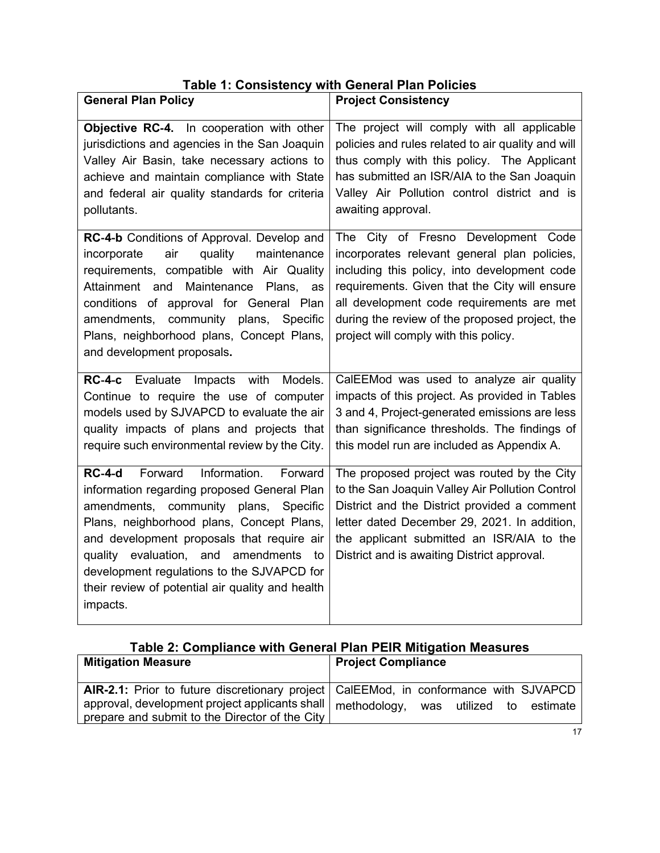| <b>Table 1: Consistency with General Plan Policies</b> |  |  |  |  |
|--------------------------------------------------------|--|--|--|--|
|--------------------------------------------------------|--|--|--|--|

| <b>General Plan Policy</b>                                                                                                                                                                                                                                                                                                                                                               | <b>Project Consistency</b>                                                                                                                                                                                                                                                                                   |
|------------------------------------------------------------------------------------------------------------------------------------------------------------------------------------------------------------------------------------------------------------------------------------------------------------------------------------------------------------------------------------------|--------------------------------------------------------------------------------------------------------------------------------------------------------------------------------------------------------------------------------------------------------------------------------------------------------------|
| Objective RC-4. In cooperation with other<br>jurisdictions and agencies in the San Joaquin<br>Valley Air Basin, take necessary actions to<br>achieve and maintain compliance with State<br>and federal air quality standards for criteria<br>pollutants.<br>RC-4-b Conditions of Approval. Develop and                                                                                   | The project will comply with all applicable<br>policies and rules related to air quality and will<br>thus comply with this policy. The Applicant<br>has submitted an ISR/AIA to the San Joaquin<br>Valley Air Pollution control district and is<br>awaiting approval.<br>The City of Fresno Development Code |
| air<br>quality<br>maintenance<br>incorporate<br>requirements, compatible with Air Quality<br>Attainment and Maintenance<br>Plans, as<br>conditions of approval for General Plan<br>amendments, community plans, Specific<br>Plans, neighborhood plans, Concept Plans,<br>and development proposals.                                                                                      | incorporates relevant general plan policies,<br>including this policy, into development code<br>requirements. Given that the City will ensure<br>all development code requirements are met<br>during the review of the proposed project, the<br>project will comply with this policy.                        |
| RC-4-c Evaluate<br>Impacts with<br>Models.<br>Continue to require the use of computer<br>models used by SJVAPCD to evaluate the air<br>quality impacts of plans and projects that<br>require such environmental review by the City.                                                                                                                                                      | CalEEMod was used to analyze air quality<br>impacts of this project. As provided in Tables<br>3 and 4, Project-generated emissions are less<br>than significance thresholds. The findings of<br>this model run are included as Appendix A.                                                                   |
| Forward<br>Information.<br>$RC-4-d$<br>Forward<br>information regarding proposed General Plan<br>amendments, community plans, Specific<br>Plans, neighborhood plans, Concept Plans,<br>and development proposals that require air<br>quality evaluation, and amendments to<br>development regulations to the SJVAPCD for<br>their review of potential air quality and health<br>impacts. | The proposed project was routed by the City<br>to the San Joaquin Valley Air Pollution Control<br>District and the District provided a comment<br>letter dated December 29, 2021. In addition,<br>the applicant submitted an ISR/AIA to the<br>District and is awaiting District approval.                   |

| Table 2: Compliance with General Plan PEIR Mitigation Measures |  |
|----------------------------------------------------------------|--|
|----------------------------------------------------------------|--|

| <b>Mitigation Measure</b>                                                              | <b>Project Compliance</b>             |
|----------------------------------------------------------------------------------------|---------------------------------------|
| AIR-2.1: Prior to future discretionary project   CaIEEMod, in conformance with SJVAPCD |                                       |
| approval, development project applicants shall                                         | methodology, was utilized to estimate |
| prepare and submit to the Director of the City                                         |                                       |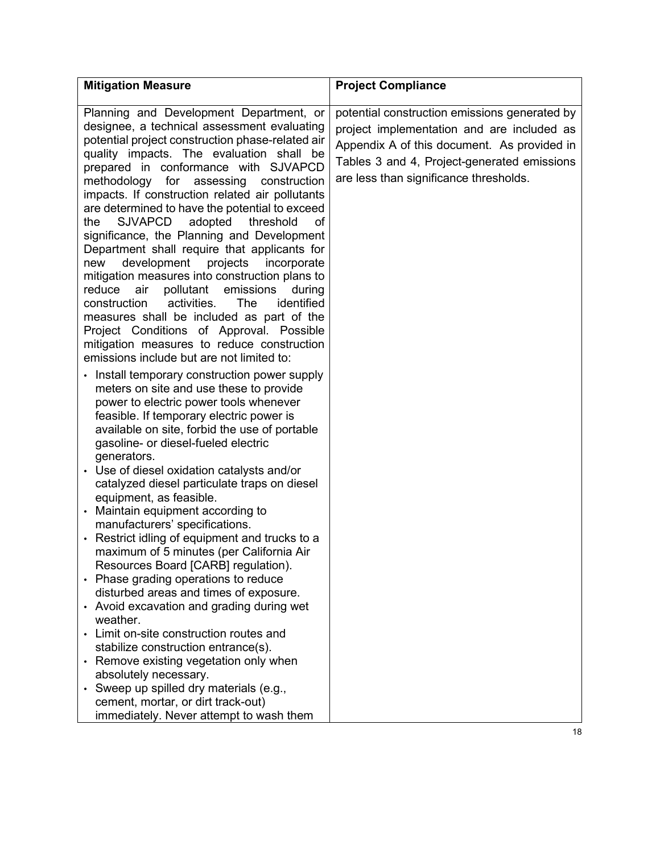| <b>Mitigation Measure</b>                                                                                                                                                                                                                                                                                                                                                                                                                                                                                                                                                                                                                                                                                                                                                                                                                                                                                                                                                                                                                            | <b>Project Compliance</b>                                                                                                                                                                                                           |
|------------------------------------------------------------------------------------------------------------------------------------------------------------------------------------------------------------------------------------------------------------------------------------------------------------------------------------------------------------------------------------------------------------------------------------------------------------------------------------------------------------------------------------------------------------------------------------------------------------------------------------------------------------------------------------------------------------------------------------------------------------------------------------------------------------------------------------------------------------------------------------------------------------------------------------------------------------------------------------------------------------------------------------------------------|-------------------------------------------------------------------------------------------------------------------------------------------------------------------------------------------------------------------------------------|
| Planning and Development Department, or<br>designee, a technical assessment evaluating<br>potential project construction phase-related air<br>quality impacts. The evaluation shall be<br>prepared in conformance with SJVAPCD<br>methodology<br>for<br>assessing<br>construction<br>impacts. If construction related air pollutants<br>are determined to have the potential to exceed<br><b>SJVAPCD</b><br>adopted<br>threshold<br>the<br>οf<br>significance, the Planning and Development<br>Department shall require that applicants for<br>development projects<br>incorporate<br>new<br>mitigation measures into construction plans to<br>air<br>pollutant<br>emissions<br>reduce<br>during<br>activities.<br>identified<br>construction<br>The<br>measures shall be included as part of the<br>Project Conditions of Approval. Possible<br>mitigation measures to reduce construction<br>emissions include but are not limited to:                                                                                                             | potential construction emissions generated by<br>project implementation and are included as<br>Appendix A of this document. As provided in<br>Tables 3 and 4, Project-generated emissions<br>are less than significance thresholds. |
| • Install temporary construction power supply<br>meters on site and use these to provide<br>power to electric power tools whenever<br>feasible. If temporary electric power is<br>available on site, forbid the use of portable<br>gasoline- or diesel-fueled electric<br>generators.<br>• Use of diesel oxidation catalysts and/or<br>catalyzed diesel particulate traps on diesel<br>equipment, as feasible.<br>Maintain equipment according to<br>manufacturers' specifications.<br>• Restrict idling of equipment and trucks to a<br>maximum of 5 minutes (per California Air<br>Resources Board [CARB] regulation).<br>• Phase grading operations to reduce<br>disturbed areas and times of exposure.<br>• Avoid excavation and grading during wet<br>weather.<br>• Limit on-site construction routes and<br>stabilize construction entrance(s).<br>• Remove existing vegetation only when<br>absolutely necessary.<br>• Sweep up spilled dry materials (e.g.,<br>cement, mortar, or dirt track-out)<br>immediately. Never attempt to wash them |                                                                                                                                                                                                                                     |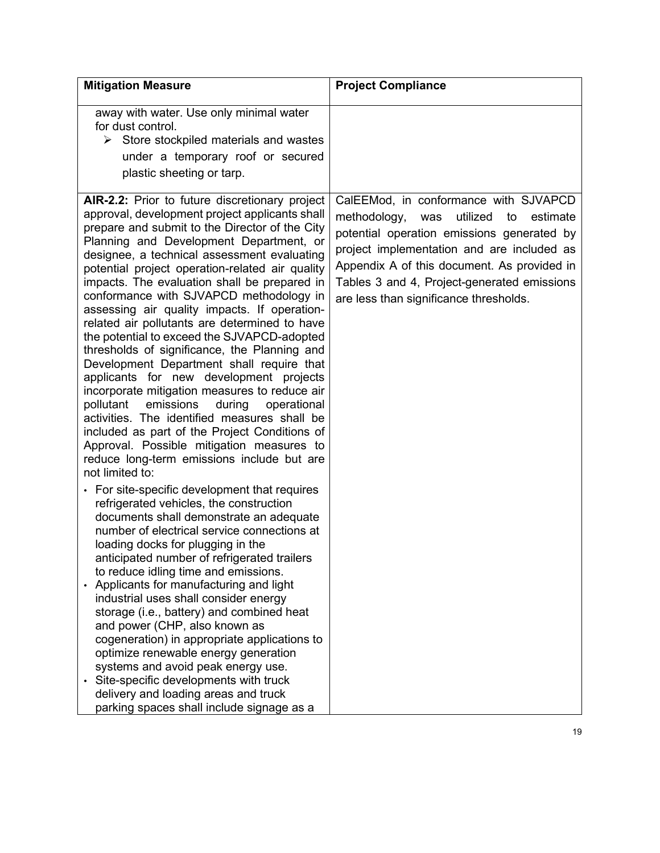| <b>Mitigation Measure</b>                                                                                                                                                                                                                                                                                                                                                                                                                                                                                                                                                                                                                                                                                                                                                                                                                                                                                                                                                                                                                                                                                                                                                                                                                                                                                                                                                                                                                                                                                                                                                                                           | <b>Project Compliance</b>                                                                                                                                                                                                                                                                                                      |
|---------------------------------------------------------------------------------------------------------------------------------------------------------------------------------------------------------------------------------------------------------------------------------------------------------------------------------------------------------------------------------------------------------------------------------------------------------------------------------------------------------------------------------------------------------------------------------------------------------------------------------------------------------------------------------------------------------------------------------------------------------------------------------------------------------------------------------------------------------------------------------------------------------------------------------------------------------------------------------------------------------------------------------------------------------------------------------------------------------------------------------------------------------------------------------------------------------------------------------------------------------------------------------------------------------------------------------------------------------------------------------------------------------------------------------------------------------------------------------------------------------------------------------------------------------------------------------------------------------------------|--------------------------------------------------------------------------------------------------------------------------------------------------------------------------------------------------------------------------------------------------------------------------------------------------------------------------------|
| away with water. Use only minimal water<br>for dust control.<br>$\triangleright$ Store stockpiled materials and wastes<br>under a temporary roof or secured<br>plastic sheeting or tarp.                                                                                                                                                                                                                                                                                                                                                                                                                                                                                                                                                                                                                                                                                                                                                                                                                                                                                                                                                                                                                                                                                                                                                                                                                                                                                                                                                                                                                            |                                                                                                                                                                                                                                                                                                                                |
| AIR-2.2: Prior to future discretionary project<br>approval, development project applicants shall<br>prepare and submit to the Director of the City<br>Planning and Development Department, or<br>designee, a technical assessment evaluating<br>potential project operation-related air quality<br>impacts. The evaluation shall be prepared in<br>conformance with SJVAPCD methodology in<br>assessing air quality impacts. If operation-<br>related air pollutants are determined to have<br>the potential to exceed the SJVAPCD-adopted<br>thresholds of significance, the Planning and<br>Development Department shall require that<br>applicants for new development projects<br>incorporate mitigation measures to reduce air<br>pollutant emissions<br>during<br>operational<br>activities. The identified measures shall be<br>included as part of the Project Conditions of<br>Approval. Possible mitigation measures to<br>reduce long-term emissions include but are<br>not limited to:<br>• For site-specific development that requires<br>refrigerated vehicles, the construction<br>documents shall demonstrate an adequate<br>number of electrical service connections at<br>loading docks for plugging in the<br>anticipated number of refrigerated trailers<br>to reduce idling time and emissions.<br>Applicants for manufacturing and light<br>industrial uses shall consider energy<br>storage (i.e., battery) and combined heat<br>and power (CHP, also known as<br>cogeneration) in appropriate applications to<br>optimize renewable energy generation<br>systems and avoid peak energy use. | CalEEMod, in conformance with SJVAPCD<br>utilized<br>methodology,<br>to<br>estimate<br>was<br>potential operation emissions generated by<br>project implementation and are included as<br>Appendix A of this document. As provided in<br>Tables 3 and 4, Project-generated emissions<br>are less than significance thresholds. |
| Site-specific developments with truck<br>delivery and loading areas and truck<br>parking spaces shall include signage as a                                                                                                                                                                                                                                                                                                                                                                                                                                                                                                                                                                                                                                                                                                                                                                                                                                                                                                                                                                                                                                                                                                                                                                                                                                                                                                                                                                                                                                                                                          |                                                                                                                                                                                                                                                                                                                                |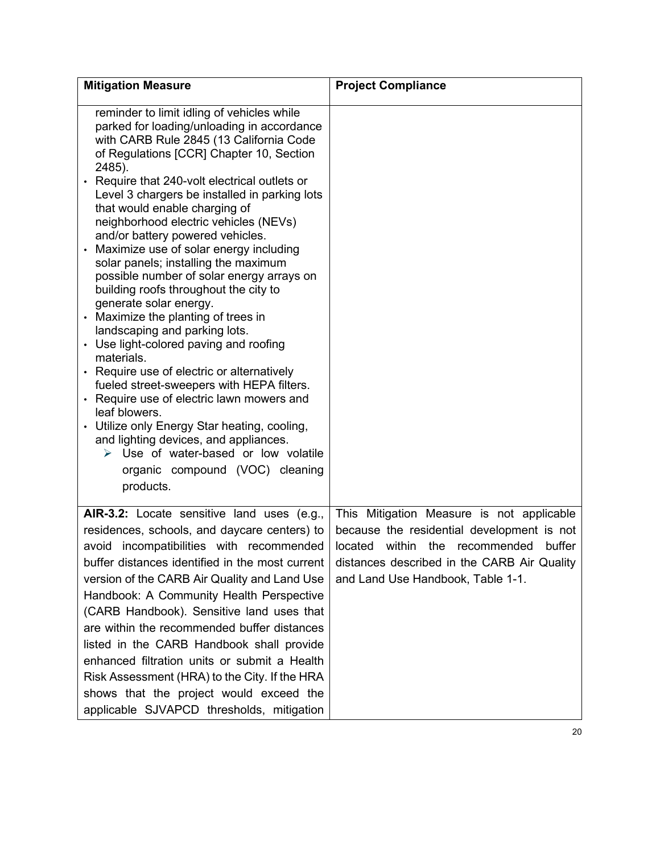| <b>Mitigation Measure</b>                                                                                                                                                                                                                                                                                                                                                                                                                                                                                                                                                                                                                                                                                                                                                                                                                                                                                                                                                                                                                                                           | <b>Project Compliance</b>                                                                                                                                                                                                  |
|-------------------------------------------------------------------------------------------------------------------------------------------------------------------------------------------------------------------------------------------------------------------------------------------------------------------------------------------------------------------------------------------------------------------------------------------------------------------------------------------------------------------------------------------------------------------------------------------------------------------------------------------------------------------------------------------------------------------------------------------------------------------------------------------------------------------------------------------------------------------------------------------------------------------------------------------------------------------------------------------------------------------------------------------------------------------------------------|----------------------------------------------------------------------------------------------------------------------------------------------------------------------------------------------------------------------------|
| reminder to limit idling of vehicles while<br>parked for loading/unloading in accordance<br>with CARB Rule 2845 (13 California Code<br>of Regulations [CCR] Chapter 10, Section<br>2485).<br>• Require that 240-volt electrical outlets or<br>Level 3 chargers be installed in parking lots<br>that would enable charging of<br>neighborhood electric vehicles (NEVs)<br>and/or battery powered vehicles.<br>Maximize use of solar energy including<br>solar panels; installing the maximum<br>possible number of solar energy arrays on<br>building roofs throughout the city to<br>generate solar energy.<br>Maximize the planting of trees in<br>landscaping and parking lots.<br>• Use light-colored paving and roofing<br>materials.<br>• Require use of electric or alternatively<br>fueled street-sweepers with HEPA filters.<br>• Require use of electric lawn mowers and<br>leaf blowers.<br>• Utilize only Energy Star heating, cooling,<br>and lighting devices, and appliances.<br>> Use of water-based or low volatile<br>organic compound (VOC) cleaning<br>products. |                                                                                                                                                                                                                            |
| AIR-3.2: Locate sensitive land uses (e.g.,<br>residences, schools, and daycare centers) to<br>avoid incompatibilities with recommended<br>buffer distances identified in the most current<br>version of the CARB Air Quality and Land Use<br>Handbook: A Community Health Perspective<br>(CARB Handbook). Sensitive land uses that<br>are within the recommended buffer distances<br>listed in the CARB Handbook shall provide<br>enhanced filtration units or submit a Health<br>Risk Assessment (HRA) to the City. If the HRA<br>shows that the project would exceed the<br>applicable SJVAPCD thresholds, mitigation                                                                                                                                                                                                                                                                                                                                                                                                                                                             | This Mitigation Measure is not applicable<br>because the residential development is not<br>located<br>within the recommended<br>buffer<br>distances described in the CARB Air Quality<br>and Land Use Handbook, Table 1-1. |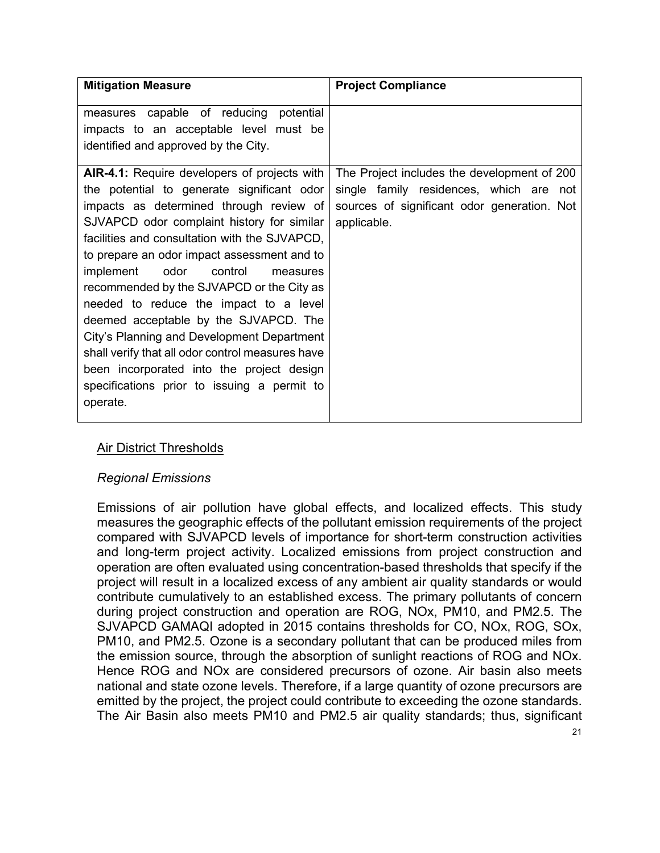| <b>Mitigation Measure</b>                                                                                                                                                                                                                                                                                                                                                                                                         | <b>Project Compliance</b>                                                                                                                            |
|-----------------------------------------------------------------------------------------------------------------------------------------------------------------------------------------------------------------------------------------------------------------------------------------------------------------------------------------------------------------------------------------------------------------------------------|------------------------------------------------------------------------------------------------------------------------------------------------------|
| measures capable of reducing<br>potential<br>impacts to an acceptable level must be<br>identified and approved by the City.<br><b>AIR-4.1:</b> Require developers of projects with<br>the potential to generate significant odor<br>impacts as determined through review of<br>SJVAPCD odor complaint history for similar<br>facilities and consultation with the SJVAPCD,                                                        | The Project includes the development of 200<br>single family residences, which are not<br>sources of significant odor generation. Not<br>applicable. |
| to prepare an odor impact assessment and to<br>odor<br>implement<br>control<br>measures<br>recommended by the SJVAPCD or the City as<br>needed to reduce the impact to a level<br>deemed acceptable by the SJVAPCD. The<br>City's Planning and Development Department<br>shall verify that all odor control measures have<br>been incorporated into the project design<br>specifications prior to issuing a permit to<br>operate. |                                                                                                                                                      |

## Air District Thresholds

### *Regional Emissions*

Emissions of air pollution have global effects, and localized effects. This study measures the geographic effects of the pollutant emission requirements of the project compared with SJVAPCD levels of importance for short-term construction activities and long-term project activity. Localized emissions from project construction and operation are often evaluated using concentration-based thresholds that specify if the project will result in a localized excess of any ambient air quality standards or would contribute cumulatively to an established excess. The primary pollutants of concern during project construction and operation are ROG, NOx, PM10, and PM2.5. The SJVAPCD GAMAQI adopted in 2015 contains thresholds for CO, NOx, ROG, SOx, PM10, and PM2.5. Ozone is a secondary pollutant that can be produced miles from the emission source, through the absorption of sunlight reactions of ROG and NOx. Hence ROG and NOx are considered precursors of ozone. Air basin also meets national and state ozone levels. Therefore, if a large quantity of ozone precursors are emitted by the project, the project could contribute to exceeding the ozone standards. The Air Basin also meets PM10 and PM2.5 air quality standards; thus, significant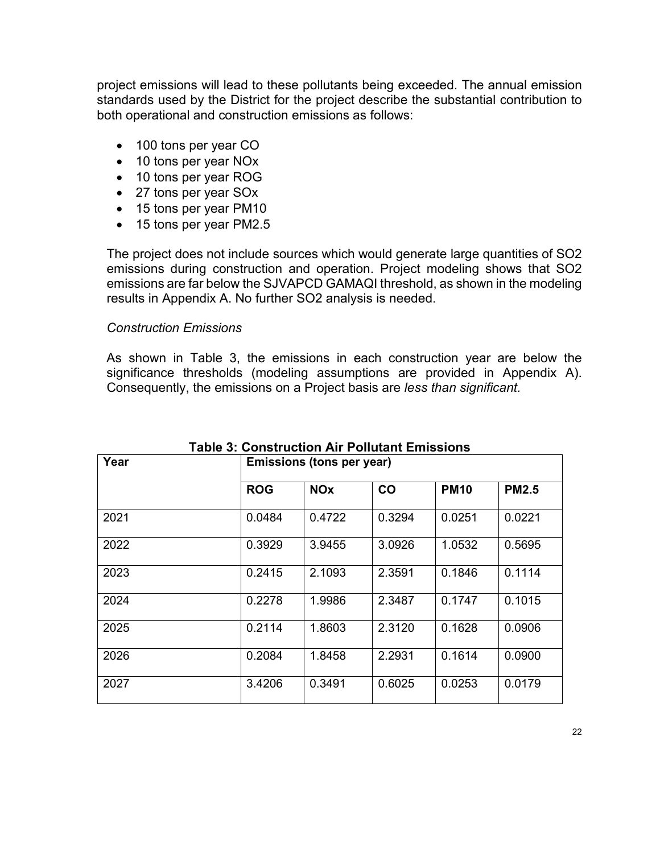project emissions will lead to these pollutants being exceeded. The annual emission standards used by the District for the project describe the substantial contribution to both operational and construction emissions as follows:

- 100 tons per year CO
- 10 tons per year NO<sub>x</sub>
- 10 tons per year ROG
- 27 tons per year SOx
- 15 tons per year PM10
- 15 tons per year PM2.5

The project does not include sources which would generate large quantities of SO2 emissions during construction and operation. Project modeling shows that SO2 emissions are far below the SJVAPCD GAMAQI threshold, as shown in the modeling results in Appendix A. No further SO2 analysis is needed.

#### *Construction Emissions*

As shown in Table 3, the emissions in each construction year are below the significance thresholds (modeling assumptions are provided in Appendix A). Consequently, the emissions on a Project basis are *less than significant.*

| Year | Emissions (tons per year) |                       |        |             |              |  |  |
|------|---------------------------|-----------------------|--------|-------------|--------------|--|--|
|      | <b>ROG</b>                | <b>NO<sub>x</sub></b> | CO     | <b>PM10</b> | <b>PM2.5</b> |  |  |
| 2021 | 0.0484                    | 0.4722                | 0.3294 | 0.0251      | 0.0221       |  |  |
| 2022 | 0.3929                    | 3.9455                | 3.0926 | 1.0532      | 0.5695       |  |  |
| 2023 | 0.2415                    | 2.1093                | 2.3591 | 0.1846      | 0.1114       |  |  |
| 2024 | 0.2278                    | 1.9986                | 2.3487 | 0.1747      | 0.1015       |  |  |
| 2025 | 0.2114                    | 1.8603                | 2.3120 | 0.1628      | 0.0906       |  |  |
| 2026 | 0.2084                    | 1.8458                | 2.2931 | 0.1614      | 0.0900       |  |  |
| 2027 | 3.4206                    | 0.3491                | 0.6025 | 0.0253      | 0.0179       |  |  |

## **Table 3: Construction Air Pollutant Emissions**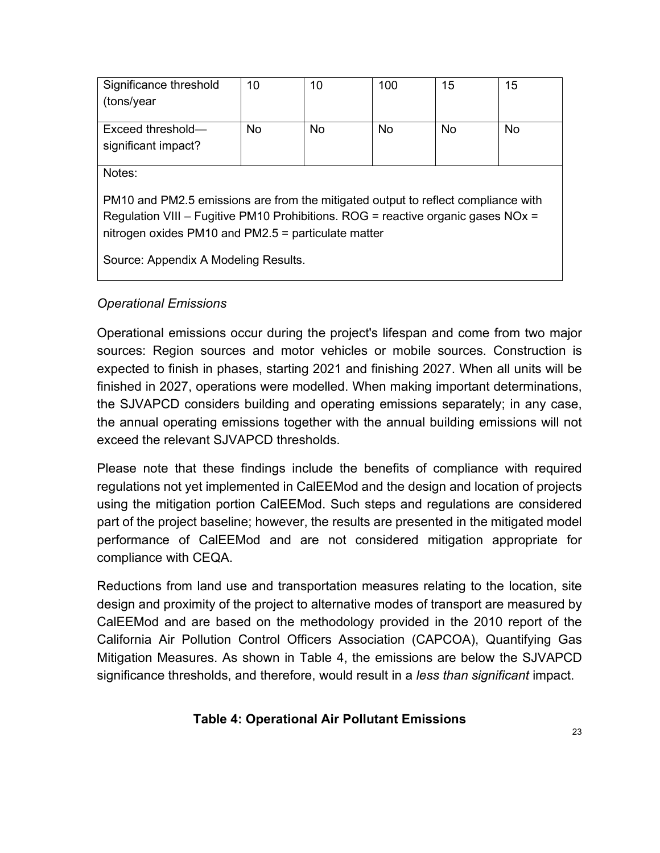| Significance threshold                                                            | 10        | 10        | 100       | 15        | 15        |  |  |
|-----------------------------------------------------------------------------------|-----------|-----------|-----------|-----------|-----------|--|--|
| (tons/year                                                                        |           |           |           |           |           |  |  |
|                                                                                   |           |           |           |           |           |  |  |
| Exceed threshold-                                                                 | <b>No</b> | <b>No</b> | <b>No</b> | <b>No</b> | <b>No</b> |  |  |
| significant impact?                                                               |           |           |           |           |           |  |  |
|                                                                                   |           |           |           |           |           |  |  |
| Notes:                                                                            |           |           |           |           |           |  |  |
|                                                                                   |           |           |           |           |           |  |  |
| PM10 and PM2.5 emissions are from the mitigated output to reflect compliance with |           |           |           |           |           |  |  |
| Regulation VIII – Fugitive PM10 Prohibitions. ROG = reactive organic gases NOx =  |           |           |           |           |           |  |  |
| nitrogen oxides PM10 and PM2.5 = particulate matter                               |           |           |           |           |           |  |  |
|                                                                                   |           |           |           |           |           |  |  |
| Source: Appendix A Modeling Results.                                              |           |           |           |           |           |  |  |

#### *Operational Emissions*

Operational emissions occur during the project's lifespan and come from two major sources: Region sources and motor vehicles or mobile sources. Construction is expected to finish in phases, starting 2021 and finishing 2027. When all units will be finished in 2027, operations were modelled. When making important determinations, the SJVAPCD considers building and operating emissions separately; in any case, the annual operating emissions together with the annual building emissions will not exceed the relevant SJVAPCD thresholds.

Please note that these findings include the benefits of compliance with required regulations not yet implemented in CalEEMod and the design and location of projects using the mitigation portion CalEEMod. Such steps and regulations are considered part of the project baseline; however, the results are presented in the mitigated model performance of CalEEMod and are not considered mitigation appropriate for compliance with CEQA.

Reductions from land use and transportation measures relating to the location, site design and proximity of the project to alternative modes of transport are measured by CalEEMod and are based on the methodology provided in the 2010 report of the California Air Pollution Control Officers Association (CAPCOA), Quantifying Gas Mitigation Measures. As shown in Table 4, the emissions are below the SJVAPCD significance thresholds, and therefore, would result in a *less than significant* impact.

#### **Table 4: Operational Air Pollutant Emissions**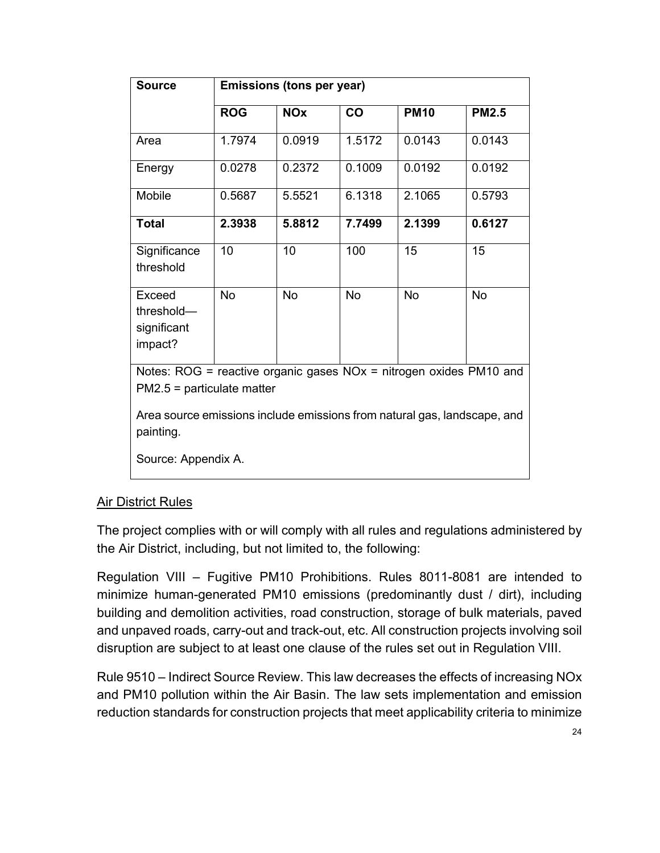| <b>Source</b>                                                                                                                                                                    | <b>Emissions (tons per year)</b> |                       |           |             |              |  |  |
|----------------------------------------------------------------------------------------------------------------------------------------------------------------------------------|----------------------------------|-----------------------|-----------|-------------|--------------|--|--|
|                                                                                                                                                                                  | <b>ROG</b>                       | <b>NO<sub>x</sub></b> | CO        | <b>PM10</b> | <b>PM2.5</b> |  |  |
| Area                                                                                                                                                                             | 1.7974                           | 0.0919                | 1.5172    | 0.0143      | 0.0143       |  |  |
| Energy                                                                                                                                                                           | 0.0278                           | 0.2372                | 0.1009    | 0.0192      | 0.0192       |  |  |
| Mobile                                                                                                                                                                           | 0.5687                           | 5.5521                | 6.1318    | 2.1065      | 0.5793       |  |  |
| <b>Total</b>                                                                                                                                                                     | 2.3938                           | 5.8812                | 7.7499    | 2.1399      | 0.6127       |  |  |
| Significance<br>threshold                                                                                                                                                        | 10                               | 10                    | 100       | 15          | 15           |  |  |
| Exceed<br>threshold-<br>significant<br>impact?                                                                                                                                   | No                               | <b>No</b>             | <b>No</b> | <b>No</b>   | <b>No</b>    |  |  |
| Notes: ROG = reactive organic gases $NOx$ = nitrogen oxides PM10 and<br>$PM2.5 =$ particulate matter<br>Area source emissions include emissions from natural gas, landscape, and |                                  |                       |           |             |              |  |  |
| painting.<br>Source: Appendix A.                                                                                                                                                 |                                  |                       |           |             |              |  |  |

### **Air District Rules**

The project complies with or will comply with all rules and regulations administered by the Air District, including, but not limited to, the following:

Regulation VIII – Fugitive PM10 Prohibitions. Rules 8011-8081 are intended to minimize human-generated PM10 emissions (predominantly dust / dirt), including building and demolition activities, road construction, storage of bulk materials, paved and unpaved roads, carry-out and track-out, etc. All construction projects involving soil disruption are subject to at least one clause of the rules set out in Regulation VIII.

Rule 9510 – Indirect Source Review. This law decreases the effects of increasing NOx and PM10 pollution within the Air Basin. The law sets implementation and emission reduction standards for construction projects that meet applicability criteria to minimize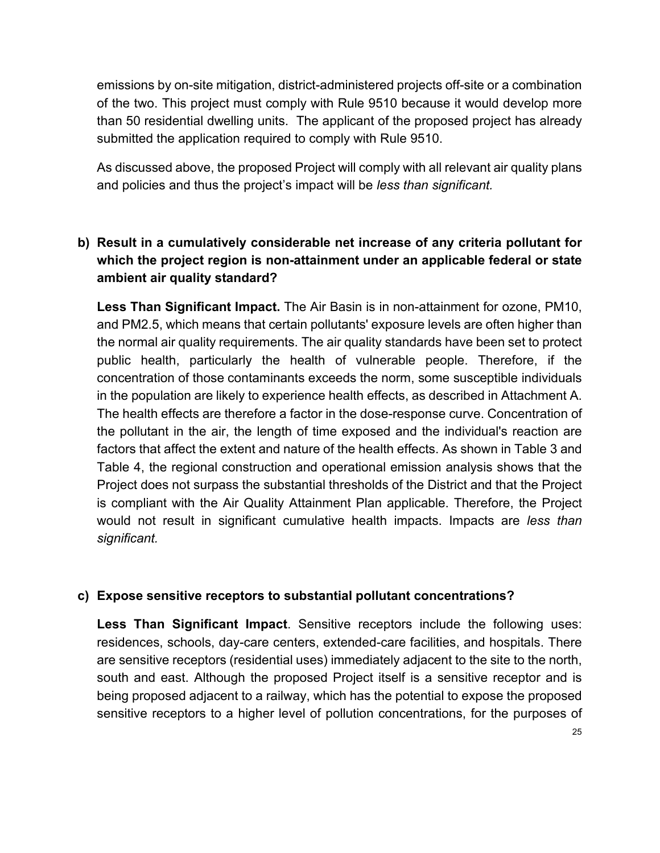emissions by on-site mitigation, district-administered projects off-site or a combination of the two. This project must comply with Rule 9510 because it would develop more than 50 residential dwelling units. The applicant of the proposed project has already submitted the application required to comply with Rule 9510.

As discussed above, the proposed Project will comply with all relevant air quality plans and policies and thus the project's impact will be *less than significant.*

# **b) Result in a cumulatively considerable net increase of any criteria pollutant for which the project region is non-attainment under an applicable federal or state ambient air quality standard?**

**Less Than Significant Impact.** The Air Basin is in non-attainment for ozone, PM10, and PM2.5, which means that certain pollutants' exposure levels are often higher than the normal air quality requirements. The air quality standards have been set to protect public health, particularly the health of vulnerable people. Therefore, if the concentration of those contaminants exceeds the norm, some susceptible individuals in the population are likely to experience health effects, as described in Attachment A. The health effects are therefore a factor in the dose-response curve. Concentration of the pollutant in the air, the length of time exposed and the individual's reaction are factors that affect the extent and nature of the health effects. As shown in Table 3 and Table 4, the regional construction and operational emission analysis shows that the Project does not surpass the substantial thresholds of the District and that the Project is compliant with the Air Quality Attainment Plan applicable. Therefore, the Project would not result in significant cumulative health impacts. Impacts are *less than significant.*

## **c) Expose sensitive receptors to substantial pollutant concentrations?**

**Less Than Significant Impact**. Sensitive receptors include the following uses: residences, schools, day-care centers, extended-care facilities, and hospitals. There are sensitive receptors (residential uses) immediately adjacent to the site to the north, south and east. Although the proposed Project itself is a sensitive receptor and is being proposed adjacent to a railway, which has the potential to expose the proposed sensitive receptors to a higher level of pollution concentrations, for the purposes of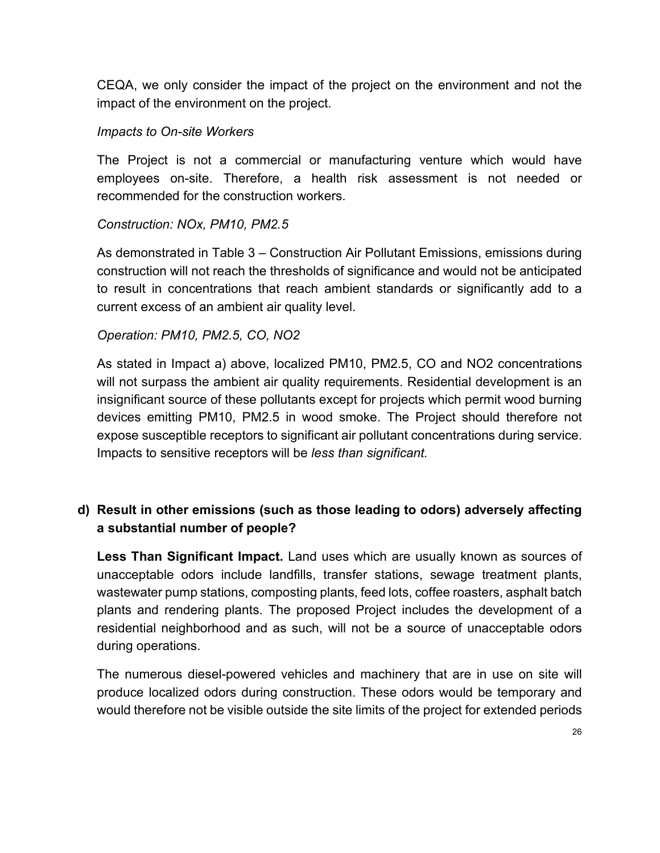CEQA, we only consider the impact of the project on the environment and not the impact of the environment on the project.

### *Impacts to On-site Workers*

The Project is not a commercial or manufacturing venture which would have employees on-site. Therefore, a health risk assessment is not needed or recommended for the construction workers.

#### *Construction: NOx, PM10, PM2.5*

As demonstrated in Table 3 – Construction Air Pollutant Emissions, emissions during construction will not reach the thresholds of significance and would not be anticipated to result in concentrations that reach ambient standards or significantly add to a current excess of an ambient air quality level.

#### *Operation: PM10, PM2.5, CO, NO2*

As stated in Impact a) above, localized PM10, PM2.5, CO and NO2 concentrations will not surpass the ambient air quality requirements. Residential development is an insignificant source of these pollutants except for projects which permit wood burning devices emitting PM10, PM2.5 in wood smoke. The Project should therefore not expose susceptible receptors to significant air pollutant concentrations during service. Impacts to sensitive receptors will be *less than significant.*

## **d) Result in other emissions (such as those leading to odors) adversely affecting a substantial number of people?**

**Less Than Significant Impact.** Land uses which are usually known as sources of unacceptable odors include landfills, transfer stations, sewage treatment plants, wastewater pump stations, composting plants, feed lots, coffee roasters, asphalt batch plants and rendering plants. The proposed Project includes the development of a residential neighborhood and as such, will not be a source of unacceptable odors during operations.

The numerous diesel-powered vehicles and machinery that are in use on site will produce localized odors during construction. These odors would be temporary and would therefore not be visible outside the site limits of the project for extended periods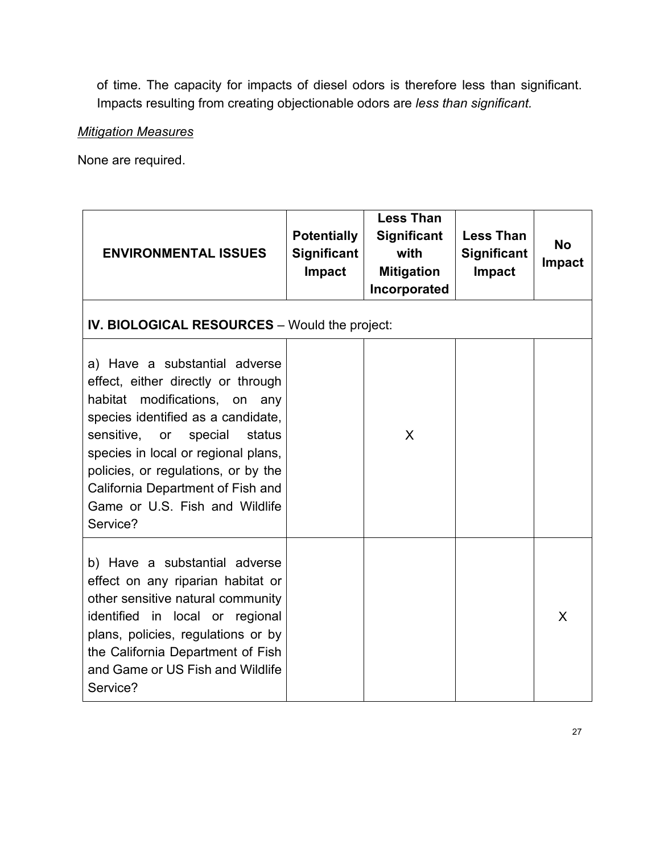of time. The capacity for impacts of diesel odors is therefore less than significant. Impacts resulting from creating objectionable odors are *less than significant.*

#### *Mitigation Measures*

None are required.

| <b>ENVIRONMENTAL ISSUES</b>                                                                                                                                                                                                                                                                                                                       | <b>Potentially</b><br><b>Significant</b><br><b>Impact</b> | <b>Less Than</b><br><b>Significant</b><br>with<br><b>Mitigation</b><br>Incorporated | <b>Less Than</b><br><b>Significant</b><br><b>Impact</b> | <b>No</b><br><b>Impact</b> |
|---------------------------------------------------------------------------------------------------------------------------------------------------------------------------------------------------------------------------------------------------------------------------------------------------------------------------------------------------|-----------------------------------------------------------|-------------------------------------------------------------------------------------|---------------------------------------------------------|----------------------------|
| <b>IV. BIOLOGICAL RESOURCES</b> - Would the project:                                                                                                                                                                                                                                                                                              |                                                           |                                                                                     |                                                         |                            |
| a) Have a substantial adverse<br>effect, either directly or through<br>habitat modifications, on any<br>species identified as a candidate,<br>sensitive, or<br>status<br>special<br>species in local or regional plans,<br>policies, or regulations, or by the<br>California Department of Fish and<br>Game or U.S. Fish and Wildlife<br>Service? |                                                           | X                                                                                   |                                                         |                            |
| b) Have a substantial adverse<br>effect on any riparian habitat or<br>other sensitive natural community<br>identified in local or regional<br>plans, policies, regulations or by<br>the California Department of Fish<br>and Game or US Fish and Wildlife<br>Service?                                                                             |                                                           |                                                                                     |                                                         | X                          |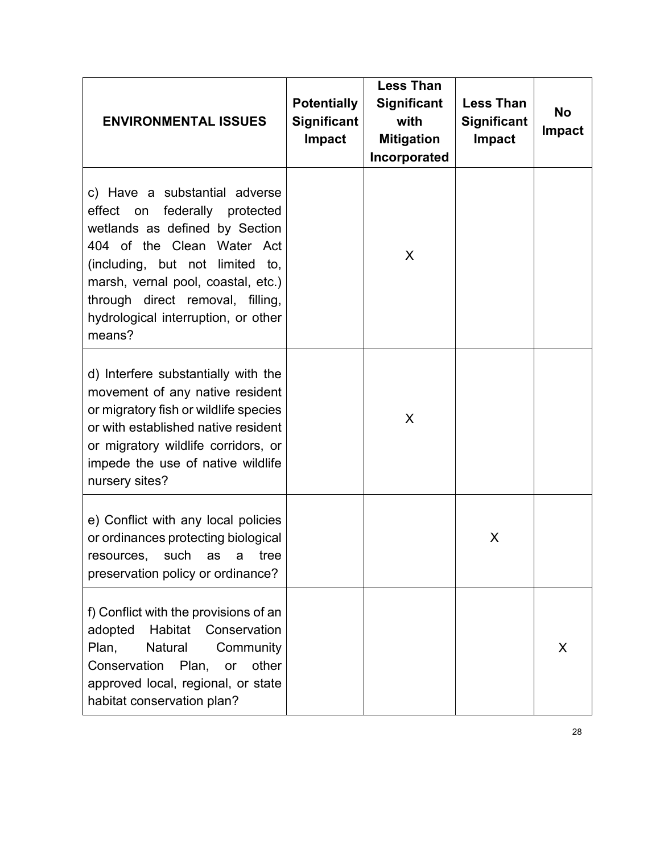| <b>ENVIRONMENTAL ISSUES</b>                                                                                                                                                                                                                                                                     | <b>Potentially</b><br><b>Significant</b><br>Impact | <b>Less Than</b><br><b>Significant</b><br>with<br><b>Mitigation</b><br>Incorporated | <b>Less Than</b><br>Significant<br><b>Impact</b> | <b>No</b><br><b>Impact</b> |
|-------------------------------------------------------------------------------------------------------------------------------------------------------------------------------------------------------------------------------------------------------------------------------------------------|----------------------------------------------------|-------------------------------------------------------------------------------------|--------------------------------------------------|----------------------------|
| c) Have a substantial adverse<br>federally protected<br>effect on<br>wetlands as defined by Section<br>404 of the Clean Water Act<br>(including, but not limited to,<br>marsh, vernal pool, coastal, etc.)<br>through direct removal, filling,<br>hydrological interruption, or other<br>means? |                                                    | X                                                                                   |                                                  |                            |
| d) Interfere substantially with the<br>movement of any native resident<br>or migratory fish or wildlife species<br>or with established native resident<br>or migratory wildlife corridors, or<br>impede the use of native wildlife<br>nursery sites?                                            |                                                    | X                                                                                   |                                                  |                            |
| e) Conflict with any local policies<br>or ordinances protecting biological<br>resources, such as a tree<br>preservation policy or ordinance?                                                                                                                                                    |                                                    |                                                                                     | X                                                |                            |
| f) Conflict with the provisions of an<br>Habitat<br>Conservation<br>adopted<br>Plan,<br>Natural<br>Community<br>Conservation<br>other<br>Plan,<br>or<br>approved local, regional, or state<br>habitat conservation plan?                                                                        |                                                    |                                                                                     |                                                  | X                          |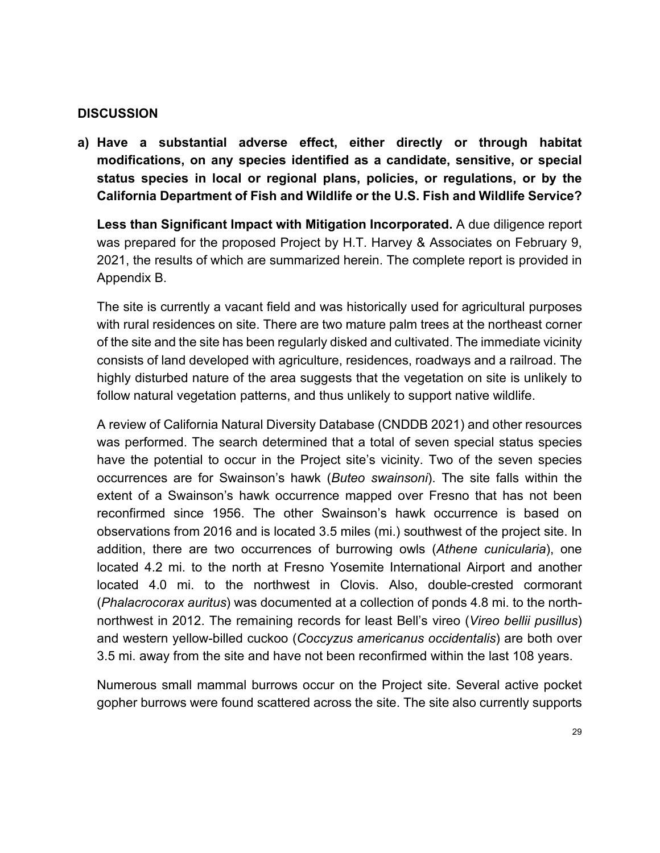**a) Have a substantial adverse effect, either directly or through habitat modifications, on any species identified as a candidate, sensitive, or special status species in local or regional plans, policies, or regulations, or by the California Department of Fish and Wildlife or the U.S. Fish and Wildlife Service?**

**Less than Significant Impact with Mitigation Incorporated.** A due diligence report was prepared for the proposed Project by H.T. Harvey & Associates on February 9, 2021, the results of which are summarized herein. The complete report is provided in Appendix B.

The site is currently a vacant field and was historically used for agricultural purposes with rural residences on site. There are two mature palm trees at the northeast corner of the site and the site has been regularly disked and cultivated. The immediate vicinity consists of land developed with agriculture, residences, roadways and a railroad. The highly disturbed nature of the area suggests that the vegetation on site is unlikely to follow natural vegetation patterns, and thus unlikely to support native wildlife.

A review of California Natural Diversity Database (CNDDB 2021) and other resources was performed. The search determined that a total of seven special status species have the potential to occur in the Project site's vicinity. Two of the seven species occurrences are for Swainson's hawk (*Buteo swainsoni*). The site falls within the extent of a Swainson's hawk occurrence mapped over Fresno that has not been reconfirmed since 1956. The other Swainson's hawk occurrence is based on observations from 2016 and is located 3.5 miles (mi.) southwest of the project site. In addition, there are two occurrences of burrowing owls (*Athene cunicularia*), one located 4.2 mi. to the north at Fresno Yosemite International Airport and another located 4.0 mi. to the northwest in Clovis. Also, double-crested cormorant (*Phalacrocorax auritus*) was documented at a collection of ponds 4.8 mi. to the northnorthwest in 2012. The remaining records for least Bell's vireo (*Vireo bellii pusillus*) and western yellow-billed cuckoo (*Coccyzus americanus occidentalis*) are both over 3.5 mi. away from the site and have not been reconfirmed within the last 108 years.

Numerous small mammal burrows occur on the Project site. Several active pocket gopher burrows were found scattered across the site. The site also currently supports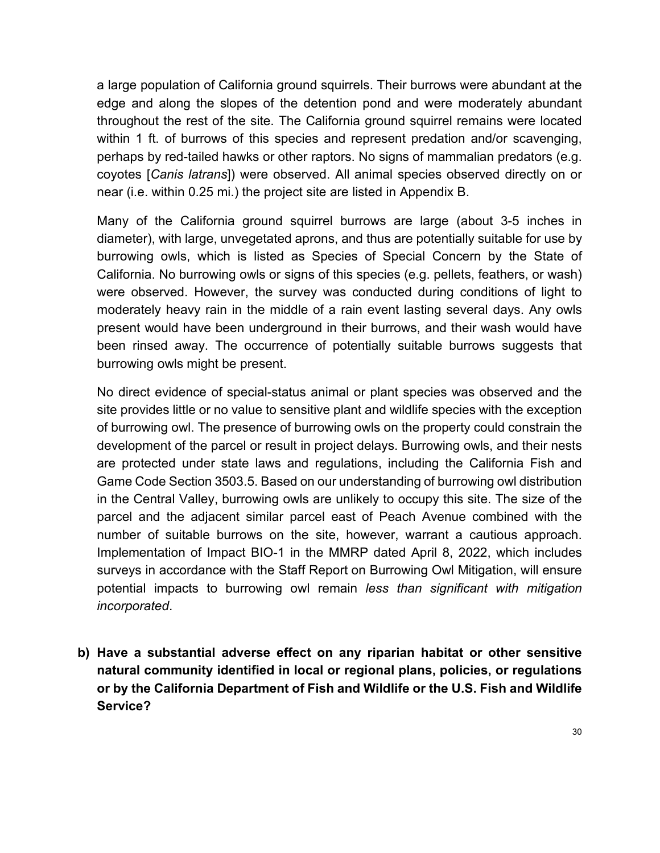a large population of California ground squirrels. Their burrows were abundant at the edge and along the slopes of the detention pond and were moderately abundant throughout the rest of the site. The California ground squirrel remains were located within 1 ft. of burrows of this species and represent predation and/or scavenging, perhaps by red-tailed hawks or other raptors. No signs of mammalian predators (e.g. coyotes [*Canis latrans*]) were observed. All animal species observed directly on or near (i.e. within 0.25 mi.) the project site are listed in Appendix B.

Many of the California ground squirrel burrows are large (about 3-5 inches in diameter), with large, unvegetated aprons, and thus are potentially suitable for use by burrowing owls, which is listed as Species of Special Concern by the State of California. No burrowing owls or signs of this species (e.g. pellets, feathers, or wash) were observed. However, the survey was conducted during conditions of light to moderately heavy rain in the middle of a rain event lasting several days. Any owls present would have been underground in their burrows, and their wash would have been rinsed away. The occurrence of potentially suitable burrows suggests that burrowing owls might be present.

No direct evidence of special-status animal or plant species was observed and the site provides little or no value to sensitive plant and wildlife species with the exception of burrowing owl. The presence of burrowing owls on the property could constrain the development of the parcel or result in project delays. Burrowing owls, and their nests are protected under state laws and regulations, including the California Fish and Game Code Section 3503.5. Based on our understanding of burrowing owl distribution in the Central Valley, burrowing owls are unlikely to occupy this site. The size of the parcel and the adjacent similar parcel east of Peach Avenue combined with the number of suitable burrows on the site, however, warrant a cautious approach. Implementation of Impact BIO-1 in the MMRP dated April 8, 2022, which includes surveys in accordance with the Staff Report on Burrowing Owl Mitigation, will ensure potential impacts to burrowing owl remain *less than significant with mitigation incorporated*.

**b) Have a substantial adverse effect on any riparian habitat or other sensitive natural community identified in local or regional plans, policies, or regulations or by the California Department of Fish and Wildlife or the U.S. Fish and Wildlife Service?**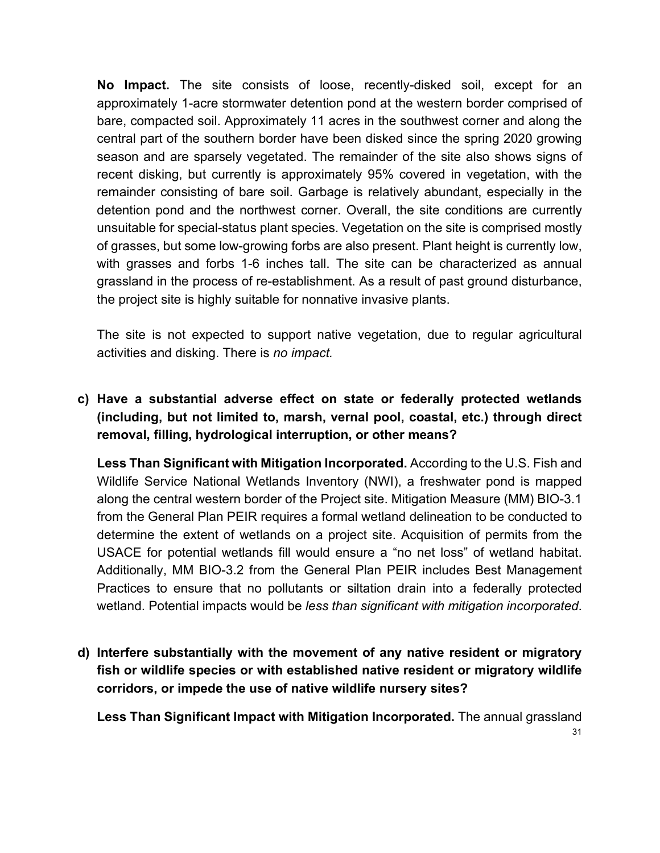**No Impact.** The site consists of loose, recently-disked soil, except for an approximately 1-acre stormwater detention pond at the western border comprised of bare, compacted soil. Approximately 11 acres in the southwest corner and along the central part of the southern border have been disked since the spring 2020 growing season and are sparsely vegetated. The remainder of the site also shows signs of recent disking, but currently is approximately 95% covered in vegetation, with the remainder consisting of bare soil. Garbage is relatively abundant, especially in the detention pond and the northwest corner. Overall, the site conditions are currently unsuitable for special-status plant species. Vegetation on the site is comprised mostly of grasses, but some low-growing forbs are also present. Plant height is currently low, with grasses and forbs 1-6 inches tall. The site can be characterized as annual grassland in the process of re-establishment. As a result of past ground disturbance, the project site is highly suitable for nonnative invasive plants.

The site is not expected to support native vegetation, due to regular agricultural activities and disking. There is *no impact.*

# **c) Have a substantial adverse effect on state or federally protected wetlands (including, but not limited to, marsh, vernal pool, coastal, etc.) through direct removal, filling, hydrological interruption, or other means?**

**Less Than Significant with Mitigation Incorporated.** According to the U.S. Fish and Wildlife Service National Wetlands Inventory (NWI), a freshwater pond is mapped along the central western border of the Project site. Mitigation Measure (MM) BIO-3.1 from the General Plan PEIR requires a formal wetland delineation to be conducted to determine the extent of wetlands on a project site. Acquisition of permits from the USACE for potential wetlands fill would ensure a "no net loss" of wetland habitat. Additionally, MM BIO-3.2 from the General Plan PEIR includes Best Management Practices to ensure that no pollutants or siltation drain into a federally protected wetland. Potential impacts would be *less than significant with mitigation incorporated*.

**d) Interfere substantially with the movement of any native resident or migratory fish or wildlife species or with established native resident or migratory wildlife corridors, or impede the use of native wildlife nursery sites?**

31 **Less Than Significant Impact with Mitigation Incorporated.** The annual grassland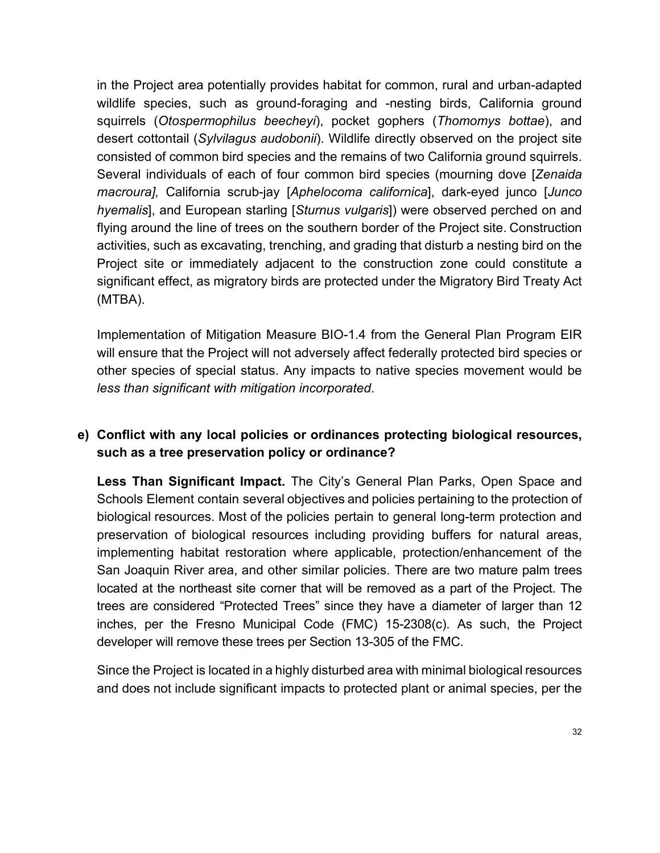in the Project area potentially provides habitat for common, rural and urban-adapted wildlife species, such as ground-foraging and -nesting birds, California ground squirrels (*Otospermophilus beecheyi*), pocket gophers (*Thomomys bottae*), and desert cottontail (*Sylvilagus audobonii*). Wildlife directly observed on the project site consisted of common bird species and the remains of two California ground squirrels. Several individuals of each of four common bird species (mourning dove [*Zenaida macroura],* California scrub-jay [*Aphelocoma californica*], dark-eyed junco [*Junco hyemalis*], and European starling [*Sturnus vulgaris*]) were observed perched on and flying around the line of trees on the southern border of the Project site. Construction activities, such as excavating, trenching, and grading that disturb a nesting bird on the Project site or immediately adjacent to the construction zone could constitute a significant effect, as migratory birds are protected under the Migratory Bird Treaty Act (MTBA).

Implementation of Mitigation Measure BIO-1.4 from the General Plan Program EIR will ensure that the Project will not adversely affect federally protected bird species or other species of special status. Any impacts to native species movement would be *less than significant with mitigation incorporated*.

## **e) Conflict with any local policies or ordinances protecting biological resources, such as a tree preservation policy or ordinance?**

**Less Than Significant Impact.** The City's General Plan Parks, Open Space and Schools Element contain several objectives and policies pertaining to the protection of biological resources. Most of the policies pertain to general long-term protection and preservation of biological resources including providing buffers for natural areas, implementing habitat restoration where applicable, protection/enhancement of the San Joaquin River area, and other similar policies. There are two mature palm trees located at the northeast site corner that will be removed as a part of the Project. The trees are considered "Protected Trees" since they have a diameter of larger than 12 inches, per the Fresno Municipal Code (FMC) 15-2308(c). As such, the Project developer will remove these trees per Section 13-305 of the FMC.

Since the Project is located in a highly disturbed area with minimal biological resources and does not include significant impacts to protected plant or animal species, per the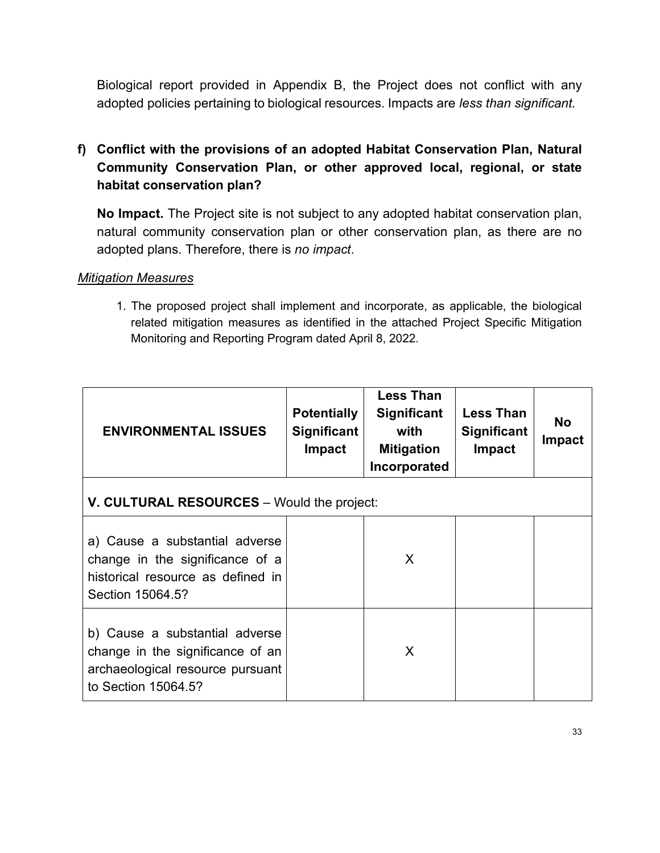Biological report provided in Appendix B, the Project does not conflict with any adopted policies pertaining to biological resources. Impacts are *less than significant.*

# **f) Conflict with the provisions of an adopted Habitat Conservation Plan, Natural Community Conservation Plan, or other approved local, regional, or state habitat conservation plan?**

**No Impact.** The Project site is not subject to any adopted habitat conservation plan, natural community conservation plan or other conservation plan, as there are no adopted plans. Therefore, there is *no impact*.

#### *Mitigation Measures*

1. The proposed project shall implement and incorporate, as applicable, the biological related mitigation measures as identified in the attached Project Specific Mitigation Monitoring and Reporting Program dated April 8, 2022.

| <b>ENVIRONMENTAL ISSUES</b>                                                                                                   | <b>Potentially</b><br><b>Significant</b><br><b>Impact</b> | <b>Less Than</b><br><b>Significant</b><br>with<br><b>Mitigation</b><br>Incorporated | <b>Less Than</b><br><b>Significant</b><br>Impact | <b>No</b><br>Impact |
|-------------------------------------------------------------------------------------------------------------------------------|-----------------------------------------------------------|-------------------------------------------------------------------------------------|--------------------------------------------------|---------------------|
| V. CULTURAL RESOURCES - Would the project:                                                                                    |                                                           |                                                                                     |                                                  |                     |
| a) Cause a substantial adverse<br>change in the significance of a<br>historical resource as defined in<br>Section 15064.5?    |                                                           | X                                                                                   |                                                  |                     |
| b) Cause a substantial adverse<br>change in the significance of an<br>archaeological resource pursuant<br>to Section 15064.5? |                                                           | X                                                                                   |                                                  |                     |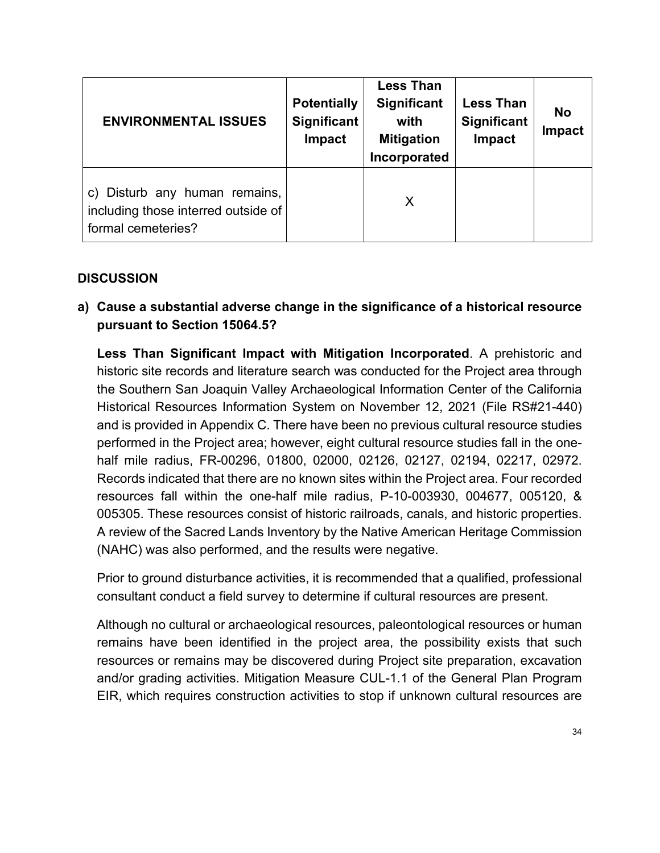| <b>ENVIRONMENTAL ISSUES</b>                                                                   | <b>Potentially</b><br><b>Significant</b><br><b>Impact</b> | <b>Less Than</b><br><b>Significant</b><br>with<br><b>Mitigation</b><br>Incorporated | <b>Less Than</b><br>Significant<br>Impact | <b>No</b><br><b>Impact</b> |
|-----------------------------------------------------------------------------------------------|-----------------------------------------------------------|-------------------------------------------------------------------------------------|-------------------------------------------|----------------------------|
| Disturb any human remains,<br>C)<br>including those interred outside of<br>formal cemeteries? |                                                           | X                                                                                   |                                           |                            |

**a) Cause a substantial adverse change in the significance of a historical resource pursuant to Section 15064.5?**

**Less Than Significant Impact with Mitigation Incorporated**. A prehistoric and historic site records and literature search was conducted for the Project area through the Southern San Joaquin Valley Archaeological Information Center of the California Historical Resources Information System on November 12, 2021 (File RS#21-440) and is provided in Appendix C. There have been no previous cultural resource studies performed in the Project area; however, eight cultural resource studies fall in the onehalf mile radius, FR-00296, 01800, 02000, 02126, 02127, 02194, 02217, 02972. Records indicated that there are no known sites within the Project area. Four recorded resources fall within the one-half mile radius, P-10-003930, 004677, 005120, & 005305. These resources consist of historic railroads, canals, and historic properties. A review of the Sacred Lands Inventory by the Native American Heritage Commission (NAHC) was also performed, and the results were negative.

Prior to ground disturbance activities, it is recommended that a qualified, professional consultant conduct a field survey to determine if cultural resources are present.

Although no cultural or archaeological resources, paleontological resources or human remains have been identified in the project area, the possibility exists that such resources or remains may be discovered during Project site preparation, excavation and/or grading activities. Mitigation Measure CUL-1.1 of the General Plan Program EIR, which requires construction activities to stop if unknown cultural resources are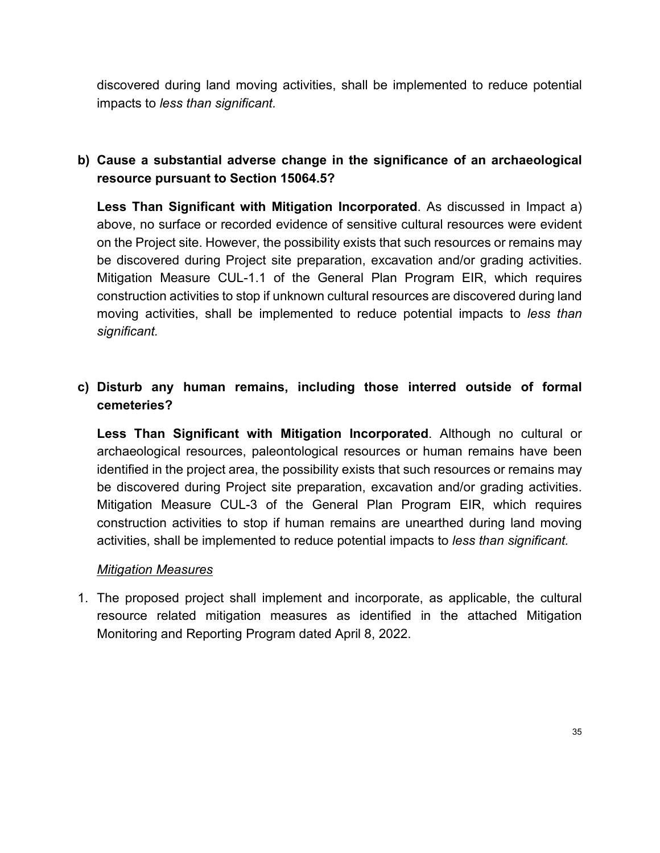discovered during land moving activities, shall be implemented to reduce potential impacts to *less than significant.*

## **b) Cause a substantial adverse change in the significance of an archaeological resource pursuant to Section 15064.5?**

**Less Than Significant with Mitigation Incorporated**. As discussed in Impact a) above, no surface or recorded evidence of sensitive cultural resources were evident on the Project site. However, the possibility exists that such resources or remains may be discovered during Project site preparation, excavation and/or grading activities. Mitigation Measure CUL-1.1 of the General Plan Program EIR, which requires construction activities to stop if unknown cultural resources are discovered during land moving activities, shall be implemented to reduce potential impacts to *less than significant.*

## **c) Disturb any human remains, including those interred outside of formal cemeteries?**

**Less Than Significant with Mitigation Incorporated**. Although no cultural or archaeological resources, paleontological resources or human remains have been identified in the project area, the possibility exists that such resources or remains may be discovered during Project site preparation, excavation and/or grading activities. Mitigation Measure CUL-3 of the General Plan Program EIR, which requires construction activities to stop if human remains are unearthed during land moving activities, shall be implemented to reduce potential impacts to *less than significant.*

### *Mitigation Measures*

1. The proposed project shall implement and incorporate, as applicable, the cultural resource related mitigation measures as identified in the attached Mitigation Monitoring and Reporting Program dated April 8, 2022.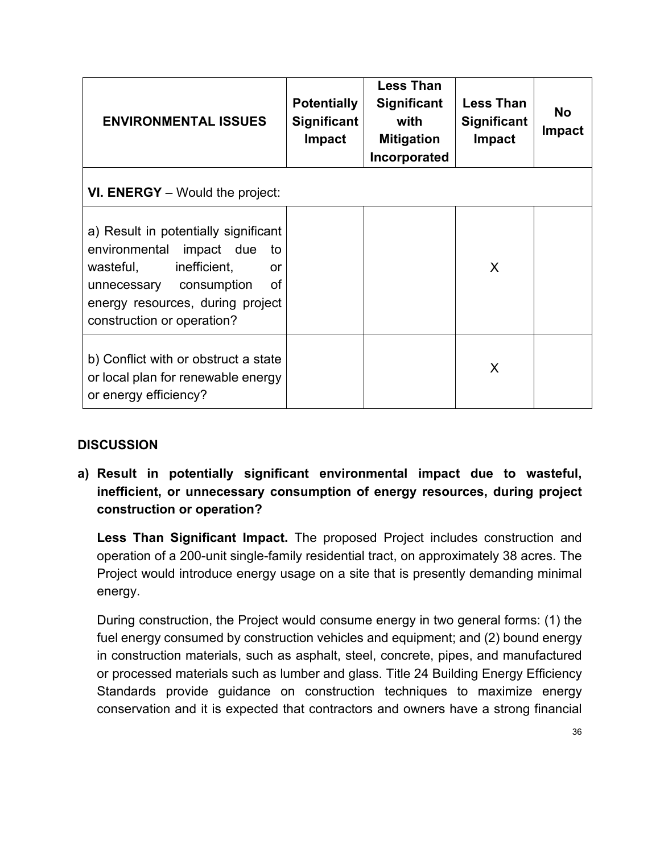| <b>ENVIRONMENTAL ISSUES</b>                                                                                                                                                                                     | <b>Potentially</b><br><b>Significant</b><br>Impact | <b>Less Than</b><br><b>Significant</b><br>with<br><b>Mitigation</b><br>Incorporated | <b>Less Than</b><br><b>Significant</b><br><b>Impact</b> | <b>No</b><br><b>Impact</b> |
|-----------------------------------------------------------------------------------------------------------------------------------------------------------------------------------------------------------------|----------------------------------------------------|-------------------------------------------------------------------------------------|---------------------------------------------------------|----------------------------|
| <b>VI. ENERGY</b> – Would the project:                                                                                                                                                                          |                                                    |                                                                                     |                                                         |                            |
| a) Result in potentially significant<br>environmental<br>impact due<br>to<br>inefficient,<br>wasteful,<br>or<br>of<br>unnecessary consumption<br>energy resources, during project<br>construction or operation? |                                                    |                                                                                     | X                                                       |                            |
| b) Conflict with or obstruct a state<br>or local plan for renewable energy<br>or energy efficiency?                                                                                                             |                                                    |                                                                                     | X                                                       |                            |

**a) Result in potentially significant environmental impact due to wasteful, inefficient, or unnecessary consumption of energy resources, during project construction or operation?**

**Less Than Significant Impact.** The proposed Project includes construction and operation of a 200-unit single-family residential tract, on approximately 38 acres. The Project would introduce energy usage on a site that is presently demanding minimal energy.

During construction, the Project would consume energy in two general forms: (1) the fuel energy consumed by construction vehicles and equipment; and (2) bound energy in construction materials, such as asphalt, steel, concrete, pipes, and manufactured or processed materials such as lumber and glass. Title 24 Building Energy Efficiency Standards provide guidance on construction techniques to maximize energy conservation and it is expected that contractors and owners have a strong financial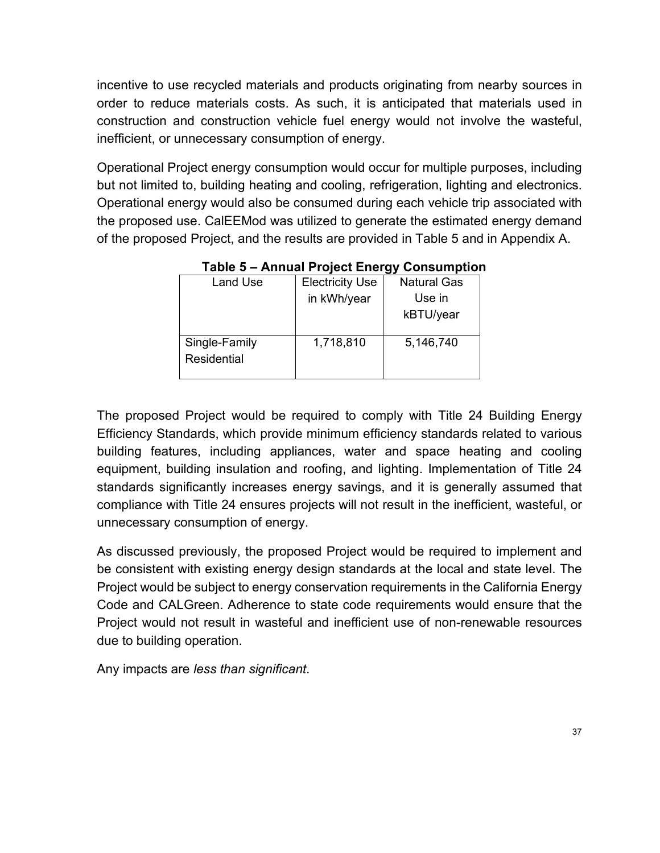incentive to use recycled materials and products originating from nearby sources in order to reduce materials costs. As such, it is anticipated that materials used in construction and construction vehicle fuel energy would not involve the wasteful, inefficient, or unnecessary consumption of energy.

Operational Project energy consumption would occur for multiple purposes, including but not limited to, building heating and cooling, refrigeration, lighting and electronics. Operational energy would also be consumed during each vehicle trip associated with the proposed use. CalEEMod was utilized to generate the estimated energy demand of the proposed Project, and the results are provided in Table 5 and in Appendix A.

| Land Use                     | <b>Electricity Use</b> | <b>Natural Gas</b> |
|------------------------------|------------------------|--------------------|
|                              | in kWh/year            | Use in             |
|                              |                        | kBTU/year          |
| Single-Family<br>Residential | 1,718,810              | 5,146,740          |

 **Table 5 – Annual Project Energy Consumption** 

The proposed Project would be required to comply with Title 24 Building Energy Efficiency Standards, which provide minimum efficiency standards related to various building features, including appliances, water and space heating and cooling equipment, building insulation and roofing, and lighting. Implementation of Title 24 standards significantly increases energy savings, and it is generally assumed that compliance with Title 24 ensures projects will not result in the inefficient, wasteful, or unnecessary consumption of energy.

As discussed previously, the proposed Project would be required to implement and be consistent with existing energy design standards at the local and state level. The Project would be subject to energy conservation requirements in the California Energy Code and CALGreen. Adherence to state code requirements would ensure that the Project would not result in wasteful and inefficient use of non-renewable resources due to building operation.

Any impacts are *less than significant*.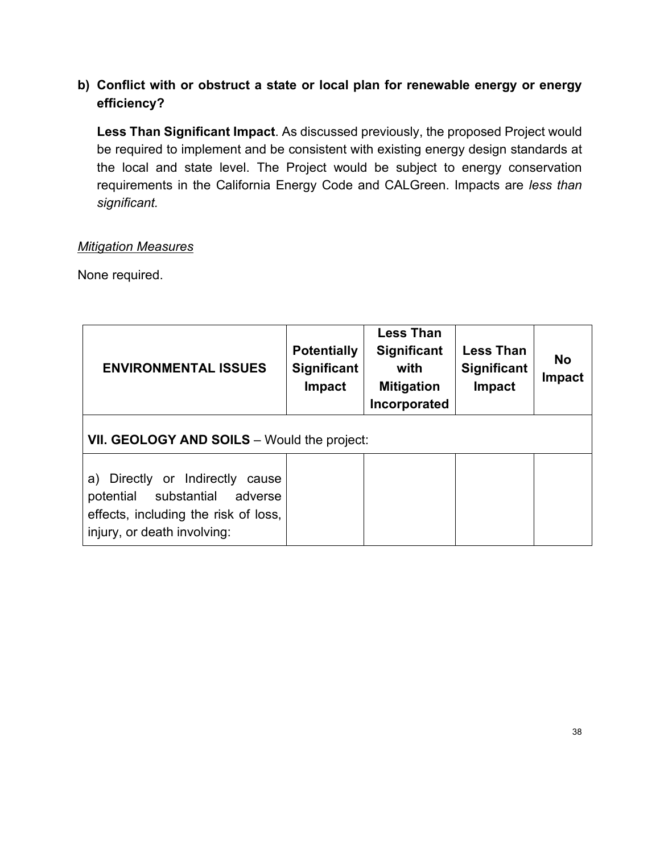## **b) Conflict with or obstruct a state or local plan for renewable energy or energy efficiency?**

**Less Than Significant Impact**. As discussed previously, the proposed Project would be required to implement and be consistent with existing energy design standards at the local and state level. The Project would be subject to energy conservation requirements in the California Energy Code and CALGreen. Impacts are *less than significant.*

#### *Mitigation Measures*

None required.

| <b>ENVIRONMENTAL ISSUES</b>                                                                                                                      | <b>Potentially</b><br><b>Significant</b><br>Impact | <b>Less Than</b><br><b>Significant</b><br>with<br><b>Mitigation</b><br>Incorporated | <b>Less Than</b><br><b>Significant</b><br><b>Impact</b> | <b>No</b><br><b>Impact</b> |
|--------------------------------------------------------------------------------------------------------------------------------------------------|----------------------------------------------------|-------------------------------------------------------------------------------------|---------------------------------------------------------|----------------------------|
| VII. GEOLOGY AND SOILS - Would the project:                                                                                                      |                                                    |                                                                                     |                                                         |                            |
| a) Directly or Indirectly<br>cause<br>substantial<br>potential<br>adverse<br>effects, including the risk of loss,<br>injury, or death involving: |                                                    |                                                                                     |                                                         |                            |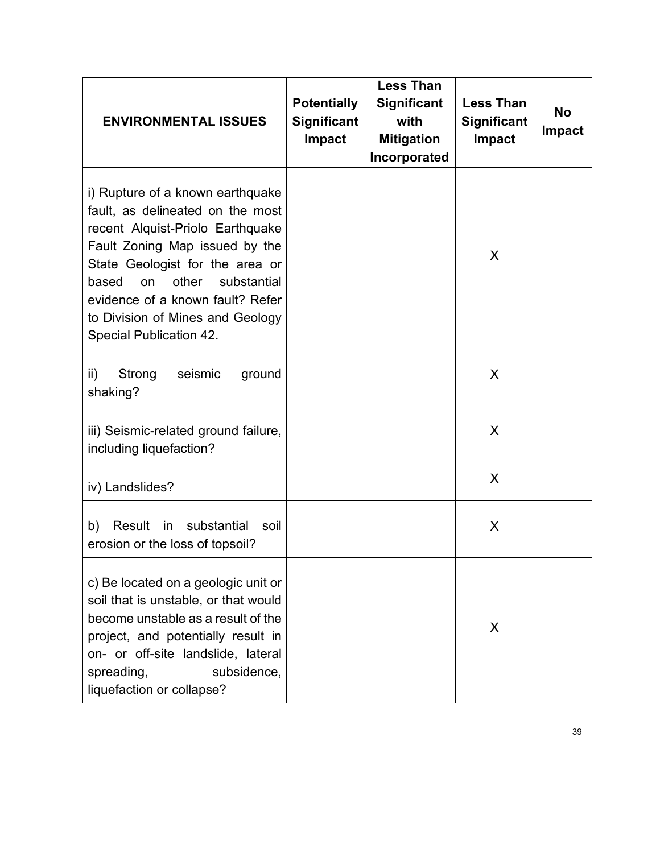| <b>ENVIRONMENTAL ISSUES</b>                                                                                                                                                                                                                                                                                                           | <b>Potentially</b><br><b>Significant</b><br><b>Impact</b> | <b>Less Than</b><br><b>Significant</b><br>with<br><b>Mitigation</b><br>Incorporated | <b>Less Than</b><br><b>Significant</b><br><b>Impact</b> | <b>No</b><br><b>Impact</b> |
|---------------------------------------------------------------------------------------------------------------------------------------------------------------------------------------------------------------------------------------------------------------------------------------------------------------------------------------|-----------------------------------------------------------|-------------------------------------------------------------------------------------|---------------------------------------------------------|----------------------------|
| i) Rupture of a known earthquake<br>fault, as delineated on the most<br>recent Alquist-Priolo Earthquake<br>Fault Zoning Map issued by the<br>State Geologist for the area or<br>other<br>substantial<br>based<br><b>on</b><br>evidence of a known fault? Refer<br>to Division of Mines and Geology<br><b>Special Publication 42.</b> |                                                           |                                                                                     | X                                                       |                            |
| $\mathsf{ii}$ )<br>Strong<br>seismic<br>ground<br>shaking?                                                                                                                                                                                                                                                                            |                                                           |                                                                                     | X                                                       |                            |
| iii) Seismic-related ground failure,<br>including liquefaction?                                                                                                                                                                                                                                                                       |                                                           |                                                                                     | X                                                       |                            |
| iv) Landslides?                                                                                                                                                                                                                                                                                                                       |                                                           |                                                                                     | X                                                       |                            |
| substantial<br>b)<br>Result<br>in<br>soil<br>erosion or the loss of topsoil?                                                                                                                                                                                                                                                          |                                                           |                                                                                     | X                                                       |                            |
| c) Be located on a geologic unit or<br>soil that is unstable, or that would<br>become unstable as a result of the<br>project, and potentially result in<br>on- or off-site landslide, lateral<br>subsidence,<br>spreading,<br>liquefaction or collapse?                                                                               |                                                           |                                                                                     | X                                                       |                            |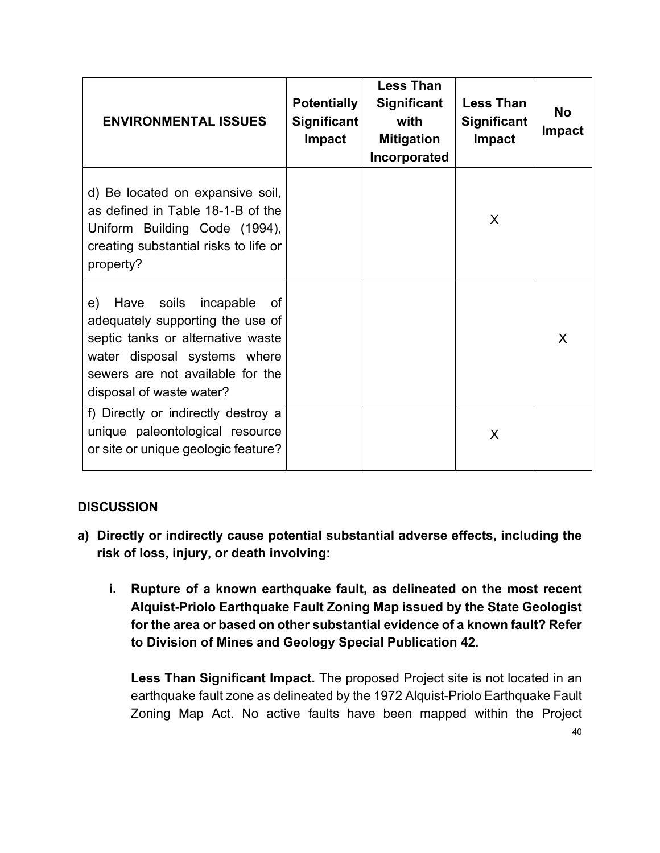| <b>ENVIRONMENTAL ISSUES</b>                                                                                                                                                                               | <b>Potentially</b><br><b>Significant</b><br>Impact | <b>Less Than</b><br><b>Significant</b><br>with<br><b>Mitigation</b><br>Incorporated | <b>Less Than</b><br><b>Significant</b><br><b>Impact</b> | <b>No</b><br>Impact |
|-----------------------------------------------------------------------------------------------------------------------------------------------------------------------------------------------------------|----------------------------------------------------|-------------------------------------------------------------------------------------|---------------------------------------------------------|---------------------|
| d) Be located on expansive soil,<br>as defined in Table 18-1-B of the<br>Uniform Building Code (1994),<br>creating substantial risks to life or<br>property?                                              |                                                    |                                                                                     | X                                                       |                     |
| Have soils incapable<br>e)<br>0f<br>adequately supporting the use of<br>septic tanks or alternative waste<br>water disposal systems where<br>sewers are not available for the<br>disposal of waste water? |                                                    |                                                                                     |                                                         | X                   |
| f) Directly or indirectly destroy a<br>unique paleontological resource<br>or site or unique geologic feature?                                                                                             |                                                    |                                                                                     | X                                                       |                     |

- **a) Directly or indirectly cause potential substantial adverse effects, including the risk of loss, injury, or death involving:**
	- **i. Rupture of a known earthquake fault, as delineated on the most recent Alquist-Priolo Earthquake Fault Zoning Map issued by the State Geologist for the area or based on other substantial evidence of a known fault? Refer to Division of Mines and Geology Special Publication 42.**

**Less Than Significant Impact.** The proposed Project site is not located in an earthquake fault zone as delineated by the 1972 Alquist-Priolo Earthquake Fault Zoning Map Act. No active faults have been mapped within the Project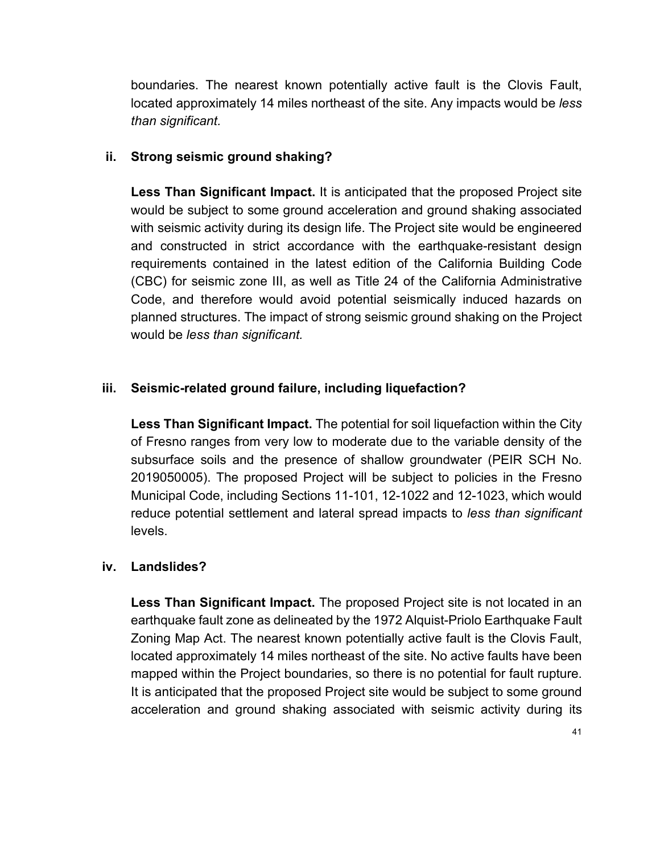boundaries. The nearest known potentially active fault is the Clovis Fault, located approximately 14 miles northeast of the site. Any impacts would be *less than significant.* 

#### **ii. Strong seismic ground shaking?**

**Less Than Significant Impact.** It is anticipated that the proposed Project site would be subject to some ground acceleration and ground shaking associated with seismic activity during its design life. The Project site would be engineered and constructed in strict accordance with the earthquake-resistant design requirements contained in the latest edition of the California Building Code (CBC) for seismic zone III, as well as Title 24 of the California Administrative Code, and therefore would avoid potential seismically induced hazards on planned structures. The impact of strong seismic ground shaking on the Project would be *less than significant.*

#### **iii. Seismic-related ground failure, including liquefaction?**

**Less Than Significant Impact.** The potential for soil liquefaction within the City of Fresno ranges from very low to moderate due to the variable density of the subsurface soils and the presence of shallow groundwater (PEIR SCH No. 2019050005). The proposed Project will be subject to policies in the Fresno Municipal Code, including Sections 11-101, 12-1022 and 12-1023, which would reduce potential settlement and lateral spread impacts to *less than significant* levels.

#### **iv. Landslides?**

**Less Than Significant Impact.** The proposed Project site is not located in an earthquake fault zone as delineated by the 1972 Alquist-Priolo Earthquake Fault Zoning Map Act. The nearest known potentially active fault is the Clovis Fault, located approximately 14 miles northeast of the site. No active faults have been mapped within the Project boundaries, so there is no potential for fault rupture. It is anticipated that the proposed Project site would be subject to some ground acceleration and ground shaking associated with seismic activity during its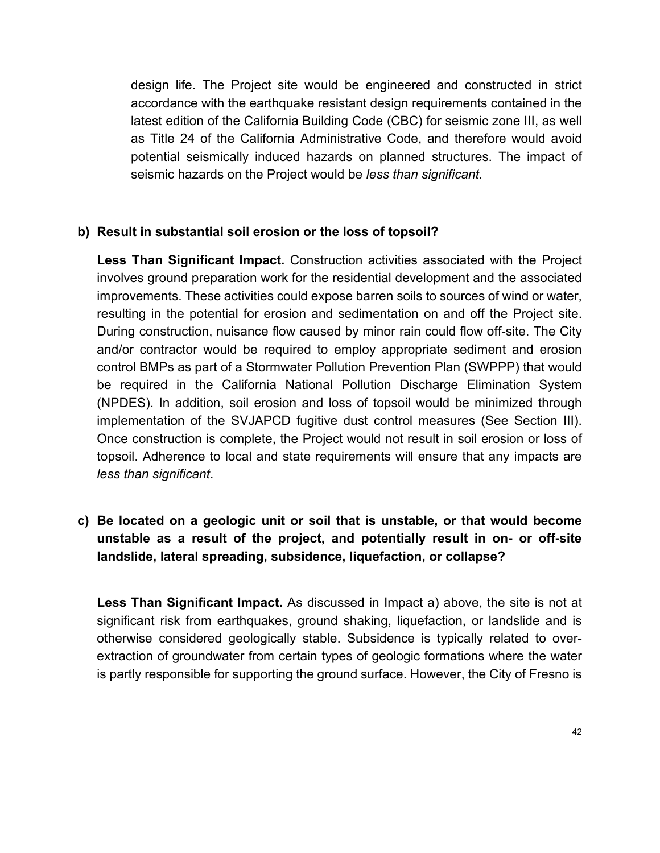design life. The Project site would be engineered and constructed in strict accordance with the earthquake resistant design requirements contained in the latest edition of the California Building Code (CBC) for seismic zone III, as well as Title 24 of the California Administrative Code, and therefore would avoid potential seismically induced hazards on planned structures. The impact of seismic hazards on the Project would be *less than significant.*

#### **b) Result in substantial soil erosion or the loss of topsoil?**

**Less Than Significant Impact.** Construction activities associated with the Project involves ground preparation work for the residential development and the associated improvements. These activities could expose barren soils to sources of wind or water, resulting in the potential for erosion and sedimentation on and off the Project site. During construction, nuisance flow caused by minor rain could flow off-site. The City and/or contractor would be required to employ appropriate sediment and erosion control BMPs as part of a Stormwater Pollution Prevention Plan (SWPPP) that would be required in the California National Pollution Discharge Elimination System (NPDES). In addition, soil erosion and loss of topsoil would be minimized through implementation of the SVJAPCD fugitive dust control measures (See Section III). Once construction is complete, the Project would not result in soil erosion or loss of topsoil. Adherence to local and state requirements will ensure that any impacts are *less than significant*.

## **c) Be located on a geologic unit or soil that is unstable, or that would become unstable as a result of the project, and potentially result in on- or off-site landslide, lateral spreading, subsidence, liquefaction, or collapse?**

**Less Than Significant Impact.** As discussed in Impact a) above, the site is not at significant risk from earthquakes, ground shaking, liquefaction, or landslide and is otherwise considered geologically stable. Subsidence is typically related to overextraction of groundwater from certain types of geologic formations where the water is partly responsible for supporting the ground surface. However, the City of Fresno is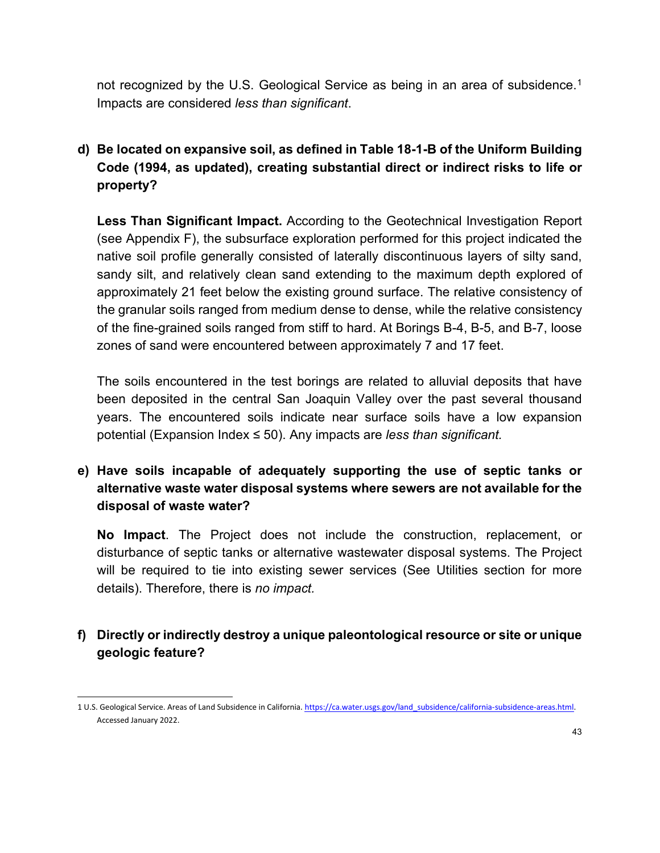not recognized by the U.S. Geological Service as being in an area of subsidence.<sup>[1](#page-42-0)</sup> Impacts are considered *less than significant*.

**d) Be located on expansive soil, as defined in Table 18-1-B of the Uniform Building Code (1994, as updated), creating substantial direct or indirect risks to life or property?**

**Less Than Significant Impact.** According to the Geotechnical Investigation Report (see Appendix F), the subsurface exploration performed for this project indicated the native soil profile generally consisted of laterally discontinuous layers of silty sand, sandy silt, and relatively clean sand extending to the maximum depth explored of approximately 21 feet below the existing ground surface. The relative consistency of the granular soils ranged from medium dense to dense, while the relative consistency of the fine-grained soils ranged from stiff to hard. At Borings B-4, B-5, and B-7, loose zones of sand were encountered between approximately 7 and 17 feet.

The soils encountered in the test borings are related to alluvial deposits that have been deposited in the central San Joaquin Valley over the past several thousand years. The encountered soils indicate near surface soils have a low expansion potential (Expansion Index ≤ 50). Any impacts are *less than significant.*

**e) Have soils incapable of adequately supporting the use of septic tanks or alternative waste water disposal systems where sewers are not available for the disposal of waste water?**

**No Impact**. The Project does not include the construction, replacement, or disturbance of septic tanks or alternative wastewater disposal systems. The Project will be required to tie into existing sewer services (See Utilities section for more details). Therefore, there is *no impact.*

### **f) Directly or indirectly destroy a unique paleontological resource or site or unique geologic feature?**

<span id="page-42-0"></span><sup>1</sup> U.S. Geological Service. Areas of Land Subsidence in California. [https://ca.water.usgs.gov/land\\_subsidence/california-subsidence-areas.html.](https://ca.water.usgs.gov/land_subsidence/california-subsidence-areas.html)  Accessed January 2022.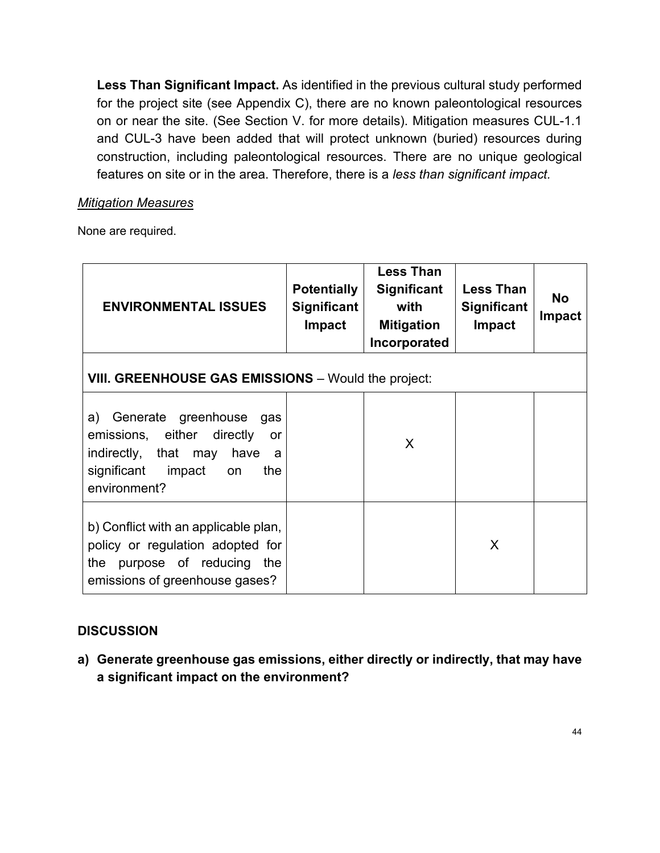**Less Than Significant Impact.** As identified in the previous cultural study performed for the project site (see Appendix C), there are no known paleontological resources on or near the site. (See Section V. for more details). Mitigation measures CUL-1.1 and CUL-3 have been added that will protect unknown (buried) resources during construction, including paleontological resources. There are no unique geological features on site or in the area. Therefore, there is a *less than significant impact.*

### *Mitigation Measures*

None are required.

| <b>ENVIRONMENTAL ISSUES</b>                                                                                                                                       | <b>Potentially</b><br><b>Significant</b><br><b>Impact</b> | <b>Less Than</b><br><b>Significant</b><br>with<br><b>Mitigation</b><br>Incorporated | <b>Less Than</b><br><b>Significant</b><br><b>Impact</b> | <b>No</b><br><b>Impact</b> |
|-------------------------------------------------------------------------------------------------------------------------------------------------------------------|-----------------------------------------------------------|-------------------------------------------------------------------------------------|---------------------------------------------------------|----------------------------|
| VIII. GREENHOUSE GAS EMISSIONS - Would the project:                                                                                                               |                                                           |                                                                                     |                                                         |                            |
| a) -<br>Generate greenhouse<br>gas<br>emissions, either<br>directly<br>or<br>indirectly, that may<br>have<br>a<br>significant impact<br>the<br>on<br>environment? |                                                           | X                                                                                   |                                                         |                            |
| b) Conflict with an applicable plan,<br>policy or regulation adopted for<br>purpose of reducing<br>the<br>the<br>emissions of greenhouse gases?                   |                                                           |                                                                                     | X                                                       |                            |

### **DISCUSSION**

**a) Generate greenhouse gas emissions, either directly or indirectly, that may have a significant impact on the environment?**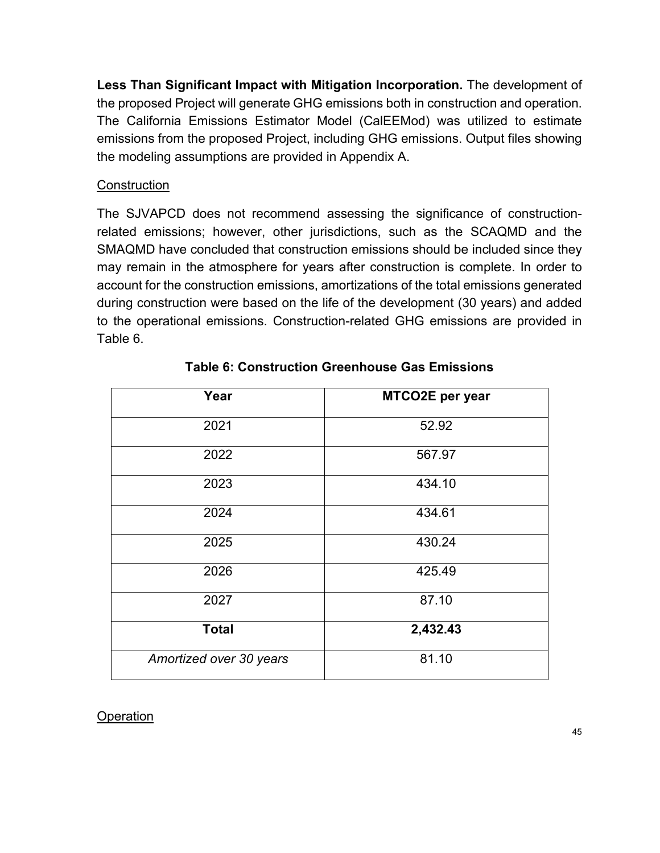**Less Than Significant Impact with Mitigation Incorporation.** The development of the proposed Project will generate GHG emissions both in construction and operation. The California Emissions Estimator Model (CalEEMod) was utilized to estimate emissions from the proposed Project, including GHG emissions. Output files showing the modeling assumptions are provided in Appendix A.

#### **Construction**

The SJVAPCD does not recommend assessing the significance of constructionrelated emissions; however, other jurisdictions, such as the SCAQMD and the SMAQMD have concluded that construction emissions should be included since they may remain in the atmosphere for years after construction is complete. In order to account for the construction emissions, amortizations of the total emissions generated during construction were based on the life of the development (30 years) and added to the operational emissions. Construction-related GHG emissions are provided in Table 6.

| Year                    | MTCO2E per year |
|-------------------------|-----------------|
| 2021                    | 52.92           |
| 2022                    | 567.97          |
| 2023                    | 434.10          |
| 2024                    | 434.61          |
| 2025                    | 430.24          |
| 2026                    | 425.49          |
| 2027                    | 87.10           |
| <b>Total</b>            | 2,432.43        |
| Amortized over 30 years | 81.10           |

### **Table 6: Construction Greenhouse Gas Emissions**

### **Operation**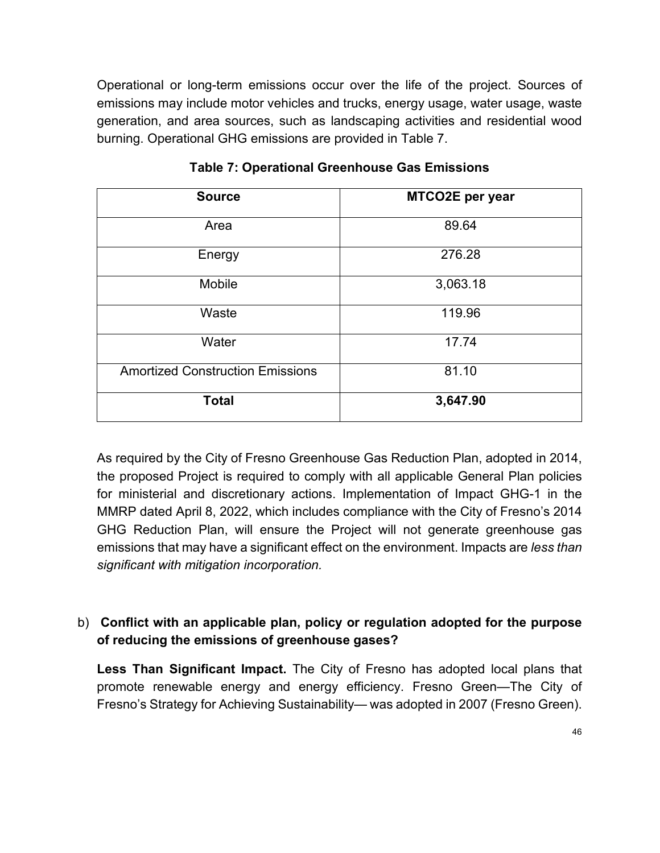Operational or long-term emissions occur over the life of the project. Sources of emissions may include motor vehicles and trucks, energy usage, water usage, waste generation, and area sources, such as landscaping activities and residential wood burning. Operational GHG emissions are provided in Table 7.

| <b>Source</b>                           | MTCO2E per year |
|-----------------------------------------|-----------------|
| Area                                    | 89.64           |
| Energy                                  | 276.28          |
| Mobile                                  | 3,063.18        |
| Waste                                   | 119.96          |
| Water                                   | 17.74           |
| <b>Amortized Construction Emissions</b> | 81.10           |
| <b>Total</b>                            | 3,647.90        |

**Table 7: Operational Greenhouse Gas Emissions**

As required by the City of Fresno Greenhouse Gas Reduction Plan, adopted in 2014, the proposed Project is required to comply with all applicable General Plan policies for ministerial and discretionary actions. Implementation of Impact GHG-1 in the MMRP dated April 8, 2022, which includes compliance with the City of Fresno's 2014 GHG Reduction Plan, will ensure the Project will not generate greenhouse gas emissions that may have a significant effect on the environment. Impacts are *less than significant with mitigation incorporation.* 

### b) **Conflict with an applicable plan, policy or regulation adopted for the purpose of reducing the emissions of greenhouse gases?**

**Less Than Significant Impact.** The City of Fresno has adopted local plans that promote renewable energy and energy efficiency. Fresno Green—The City of Fresno's Strategy for Achieving Sustainability— was adopted in 2007 (Fresno Green).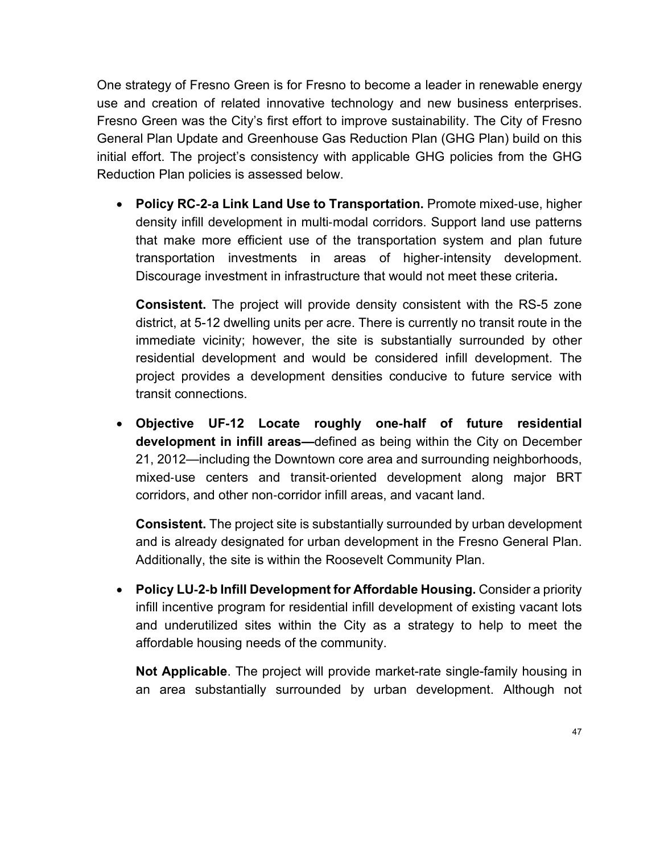One strategy of Fresno Green is for Fresno to become a leader in renewable energy use and creation of related innovative technology and new business enterprises. Fresno Green was the City's first effort to improve sustainability. The City of Fresno General Plan Update and Greenhouse Gas Reduction Plan (GHG Plan) build on this initial effort. The project's consistency with applicable GHG policies from the GHG Reduction Plan policies is assessed below.

• **Policy RC**‐**2**‐**a Link Land Use to Transportation.** Promote mixed‐use, higher density infill development in multi‐modal corridors. Support land use patterns that make more efficient use of the transportation system and plan future transportation investments in areas of higher‐intensity development. Discourage investment in infrastructure that would not meet these criteria**.**

**Consistent.** The project will provide density consistent with the RS-5 zone district, at 5-12 dwelling units per acre. There is currently no transit route in the immediate vicinity; however, the site is substantially surrounded by other residential development and would be considered infill development. The project provides a development densities conducive to future service with transit connections.

• **Objective UF**‐**12 Locate roughly one**‐**half of future residential development in infill areas—**defined as being within the City on December 21, 2012—including the Downtown core area and surrounding neighborhoods, mixed-use centers and transit-oriented development along major BRT corridors, and other non‐corridor infill areas, and vacant land.

**Consistent.** The project site is substantially surrounded by urban development and is already designated for urban development in the Fresno General Plan. Additionally, the site is within the Roosevelt Community Plan.

• **Policy LU**‐**2**‐**b Infill Development for Affordable Housing.** Consider a priority infill incentive program for residential infill development of existing vacant lots and underutilized sites within the City as a strategy to help to meet the affordable housing needs of the community.

**Not Applicable**. The project will provide market-rate single-family housing in an area substantially surrounded by urban development. Although not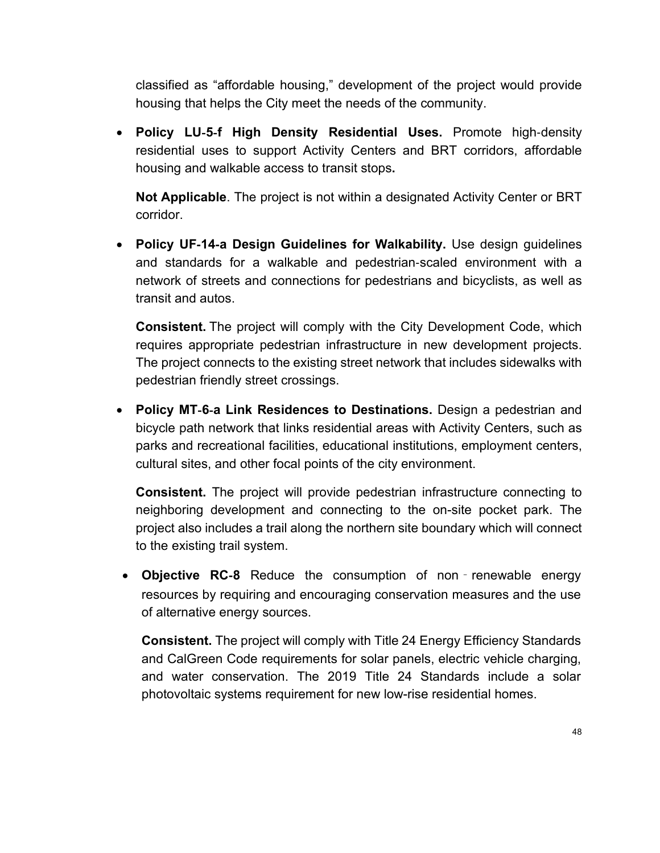classified as "affordable housing," development of the project would provide housing that helps the City meet the needs of the community.

• **Policy LU**‐**5**‐**f High Density Residential Uses.** Promote high‐density residential uses to support Activity Centers and BRT corridors, affordable housing and walkable access to transit stops**.**

**Not Applicable**. The project is not within a designated Activity Center or BRT corridor.

• **Policy UF**‐**14**‐**a Design Guidelines for Walkability.** Use design guidelines and standards for a walkable and pedestrian‐scaled environment with a network of streets and connections for pedestrians and bicyclists, as well as transit and autos.

**Consistent.** The project will comply with the City Development Code, which requires appropriate pedestrian infrastructure in new development projects. The project connects to the existing street network that includes sidewalks with pedestrian friendly street crossings.

• **Policy MT**‐**6**‐**a Link Residences to Destinations.** Design a pedestrian and bicycle path network that links residential areas with Activity Centers, such as parks and recreational facilities, educational institutions, employment centers, cultural sites, and other focal points of the city environment.

**Consistent.** The project will provide pedestrian infrastructure connecting to neighboring development and connecting to the on-site pocket park. The project also includes a trail along the northern site boundary which will connect to the existing trail system.

• **Objective RC**‐**8** Reduce the consumption of non‐renewable energy resources by requiring and encouraging conservation measures and the use of alternative energy sources.

**Consistent.** The project will comply with Title 24 Energy Efficiency Standards and CalGreen Code requirements for solar panels, electric vehicle charging, and water conservation. The 2019 Title 24 Standards include a solar photovoltaic systems requirement for new low-rise residential homes.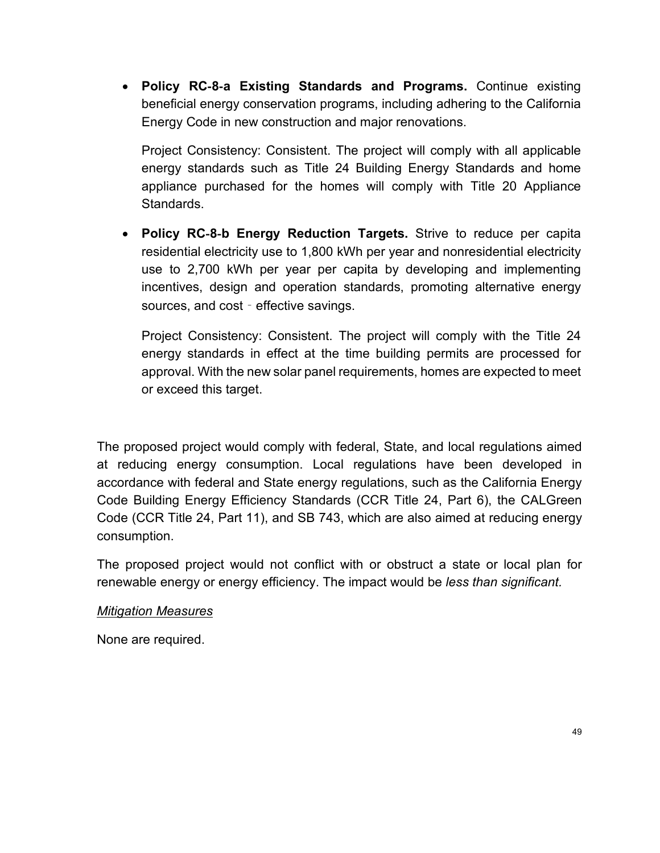• **Policy RC**‐**8**‐**a Existing Standards and Programs.** Continue existing beneficial energy conservation programs, including adhering to the California Energy Code in new construction and major renovations.

Project Consistency: Consistent. The project will comply with all applicable energy standards such as Title 24 Building Energy Standards and home appliance purchased for the homes will comply with Title 20 Appliance Standards.

• **Policy RC**‐**8**‐**b Energy Reduction Targets.** Strive to reduce per capita residential electricity use to 1,800 kWh per year and nonresidential electricity use to 2,700 kWh per year per capita by developing and implementing incentives, design and operation standards, promoting alternative energy sources, and cost - effective savings.

Project Consistency: Consistent. The project will comply with the Title 24 energy standards in effect at the time building permits are processed for approval. With the new solar panel requirements, homes are expected to meet or exceed this target.

The proposed project would comply with federal, State, and local regulations aimed at reducing energy consumption. Local regulations have been developed in accordance with federal and State energy regulations, such as the California Energy Code Building Energy Efficiency Standards (CCR Title 24, Part 6), the CALGreen Code (CCR Title 24, Part 11), and SB 743, which are also aimed at reducing energy consumption.

The proposed project would not conflict with or obstruct a state or local plan for renewable energy or energy efficiency. The impact would be *less than significant.*

### *Mitigation Measures*

None are required.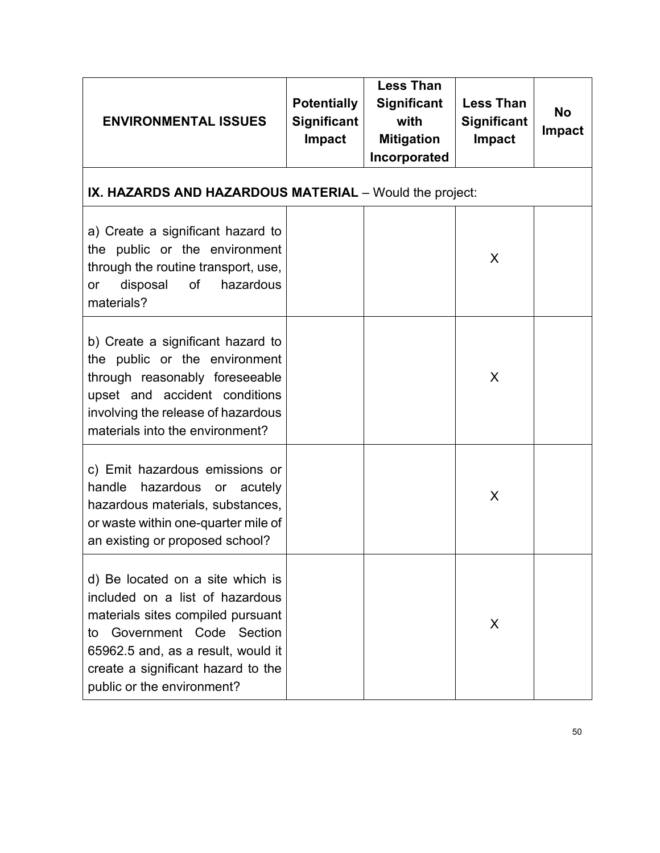| <b>ENVIRONMENTAL ISSUES</b>                                                                                                                                                                                                                         | <b>Potentially</b><br><b>Significant</b><br>Impact      | <b>Less Than</b><br><b>Significant</b><br>with<br><b>Mitigation</b><br>Incorporated | <b>Less Than</b><br>Significant<br><b>Impact</b> | <b>No</b><br><b>Impact</b> |  |  |  |
|-----------------------------------------------------------------------------------------------------------------------------------------------------------------------------------------------------------------------------------------------------|---------------------------------------------------------|-------------------------------------------------------------------------------------|--------------------------------------------------|----------------------------|--|--|--|
|                                                                                                                                                                                                                                                     | IX. HAZARDS AND HAZARDOUS MATERIAL - Would the project: |                                                                                     |                                                  |                            |  |  |  |
| a) Create a significant hazard to<br>the public or the environment<br>through the routine transport, use,<br>disposal<br>of<br>hazardous<br>or<br>materials?                                                                                        |                                                         |                                                                                     | X                                                |                            |  |  |  |
| b) Create a significant hazard to<br>the public or the environment<br>through reasonably foreseeable<br>upset and accident conditions<br>involving the release of hazardous<br>materials into the environment?                                      |                                                         |                                                                                     | X                                                |                            |  |  |  |
| c) Emit hazardous emissions or<br>handle<br>hazardous<br>or acutely<br>hazardous materials, substances,<br>or waste within one-quarter mile of<br>an existing or proposed school?                                                                   |                                                         |                                                                                     | X                                                |                            |  |  |  |
| d) Be located on a site which is<br>included on a list of hazardous<br>materials sites compiled pursuant<br>Government Code Section<br>to<br>65962.5 and, as a result, would it<br>create a significant hazard to the<br>public or the environment? |                                                         |                                                                                     | X                                                |                            |  |  |  |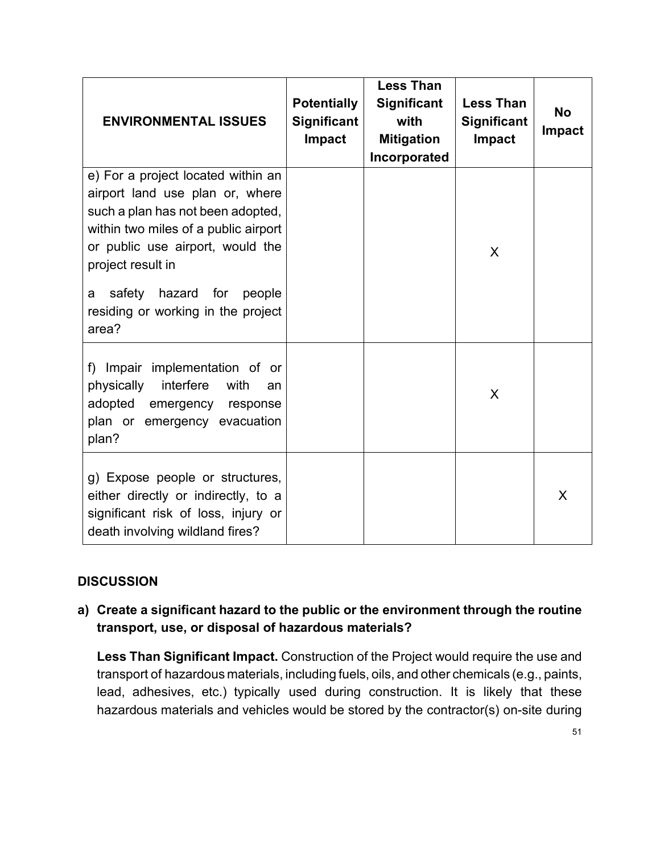| <b>ENVIRONMENTAL ISSUES</b>                                                                                                                                                                                                                     | <b>Potentially</b><br><b>Significant</b><br>Impact | <b>Less Than</b><br>Significant<br>with<br><b>Mitigation</b><br>Incorporated | <b>Less Than</b><br><b>Significant</b><br>Impact | <b>No</b><br><b>Impact</b> |
|-------------------------------------------------------------------------------------------------------------------------------------------------------------------------------------------------------------------------------------------------|----------------------------------------------------|------------------------------------------------------------------------------|--------------------------------------------------|----------------------------|
| e) For a project located within an<br>airport land use plan or, where<br>such a plan has not been adopted,<br>within two miles of a public airport<br>or public use airport, would the<br>project result in<br>safety hazard for<br>people<br>a |                                                    |                                                                              | X                                                |                            |
| residing or working in the project<br>area?                                                                                                                                                                                                     |                                                    |                                                                              |                                                  |                            |
| f) Impair implementation of or<br>interfere<br>physically<br>with<br>an<br>adopted<br>emergency response<br>plan or emergency evacuation<br>plan?                                                                                               |                                                    |                                                                              | X                                                |                            |
| g) Expose people or structures,<br>either directly or indirectly, to a<br>significant risk of loss, injury or<br>death involving wildland fires?                                                                                                |                                                    |                                                                              |                                                  | X                          |

## **a) Create a significant hazard to the public or the environment through the routine transport, use, or disposal of hazardous materials?**

**Less Than Significant Impact.** Construction of the Project would require the use and transport of hazardous materials, including fuels, oils, and other chemicals (e.g., paints, lead, adhesives, etc.) typically used during construction. It is likely that these hazardous materials and vehicles would be stored by the contractor(s) on-site during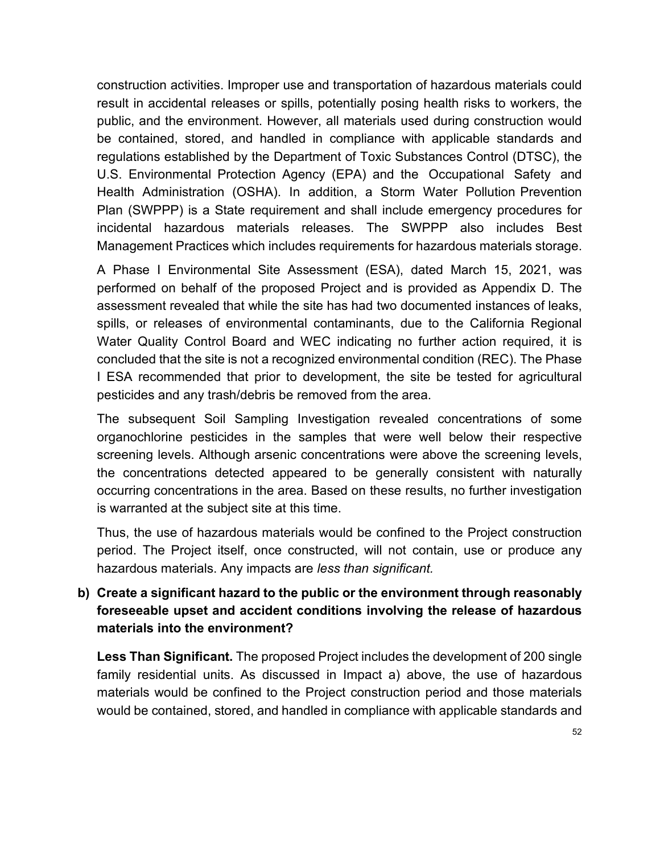construction activities. Improper use and transportation of hazardous materials could result in accidental releases or spills, potentially posing health risks to workers, the public, and the environment. However, all materials used during construction would be contained, stored, and handled in compliance with applicable standards and regulations established by the Department of Toxic Substances Control (DTSC), the U.S. Environmental Protection Agency (EPA) and the Occupational Safety and Health Administration (OSHA). In addition, a Storm Water Pollution Prevention Plan (SWPPP) is a State requirement and shall include emergency procedures for incidental hazardous materials releases. The SWPPP also includes Best Management Practices which includes requirements for hazardous materials storage.

A Phase I Environmental Site Assessment (ESA), dated March 15, 2021, was performed on behalf of the proposed Project and is provided as Appendix D. The assessment revealed that while the site has had two documented instances of leaks, spills, or releases of environmental contaminants, due to the California Regional Water Quality Control Board and WEC indicating no further action required, it is concluded that the site is not a recognized environmental condition (REC). The Phase I ESA recommended that prior to development, the site be tested for agricultural pesticides and any trash/debris be removed from the area.

The subsequent Soil Sampling Investigation revealed concentrations of some organochlorine pesticides in the samples that were well below their respective screening levels. Although arsenic concentrations were above the screening levels, the concentrations detected appeared to be generally consistent with naturally occurring concentrations in the area. Based on these results, no further investigation is warranted at the subject site at this time.

Thus, the use of hazardous materials would be confined to the Project construction period. The Project itself, once constructed, will not contain, use or produce any hazardous materials. Any impacts are *less than significant.*

## **b) Create a significant hazard to the public or the environment through reasonably foreseeable upset and accident conditions involving the release of hazardous materials into the environment?**

**Less Than Significant.** The proposed Project includes the development of 200 single family residential units. As discussed in Impact a) above, the use of hazardous materials would be confined to the Project construction period and those materials would be contained, stored, and handled in compliance with applicable standards and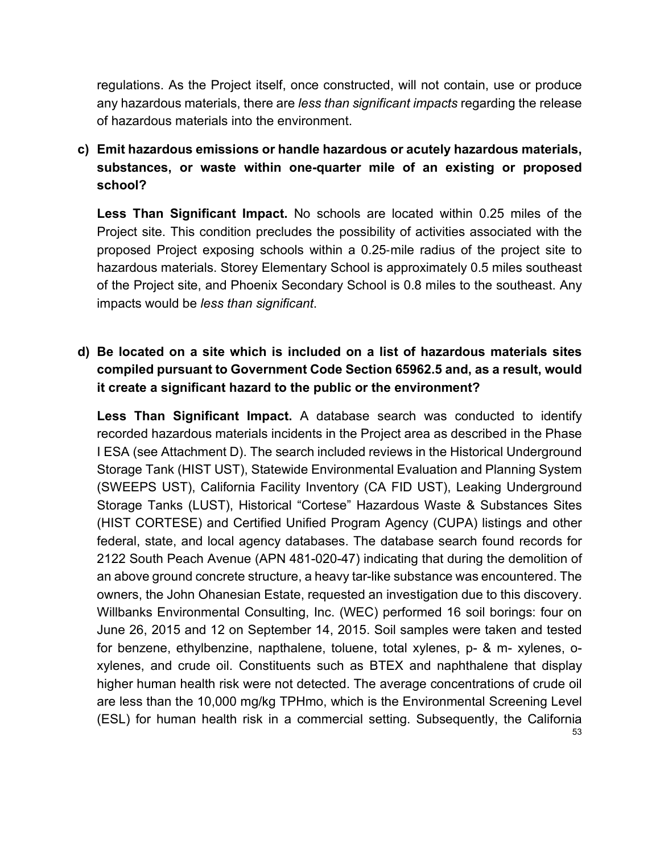regulations. As the Project itself, once constructed, will not contain, use or produce any hazardous materials, there are *less than significant impacts* regarding the release of hazardous materials into the environment.

**c) Emit hazardous emissions or handle hazardous or acutely hazardous materials, substances, or waste within one-quarter mile of an existing or proposed school?**

**Less Than Significant Impact.** No schools are located within 0.25 miles of the Project site. This condition precludes the possibility of activities associated with the proposed Project exposing schools within a 0.25‐mile radius of the project site to hazardous materials. Storey Elementary School is approximately 0.5 miles southeast of the Project site, and Phoenix Secondary School is 0.8 miles to the southeast. Any impacts would be *less than significant*.

**d) Be located on a site which is included on a list of hazardous materials sites compiled pursuant to Government Code Section 65962.5 and, as a result, would it create a significant hazard to the public or the environment?**

53 **Less Than Significant Impact.** A database search was conducted to identify recorded hazardous materials incidents in the Project area as described in the Phase I ESA (see Attachment D). The search included reviews in the Historical Underground Storage Tank (HIST UST), Statewide Environmental Evaluation and Planning System (SWEEPS UST), California Facility Inventory (CA FID UST), Leaking Underground Storage Tanks (LUST), Historical "Cortese" Hazardous Waste & Substances Sites (HIST CORTESE) and Certified Unified Program Agency (CUPA) listings and other federal, state, and local agency databases. The database search found records for 2122 South Peach Avenue (APN 481-020-47) indicating that during the demolition of an above ground concrete structure, a heavy tar-like substance was encountered. The owners, the John Ohanesian Estate, requested an investigation due to this discovery. Willbanks Environmental Consulting, Inc. (WEC) performed 16 soil borings: four on June 26, 2015 and 12 on September 14, 2015. Soil samples were taken and tested for benzene, ethylbenzine, napthalene, toluene, total xylenes, p- & m- xylenes, oxylenes, and crude oil. Constituents such as BTEX and naphthalene that display higher human health risk were not detected. The average concentrations of crude oil are less than the 10,000 mg/kg TPHmo, which is the Environmental Screening Level (ESL) for human health risk in a commercial setting. Subsequently, the California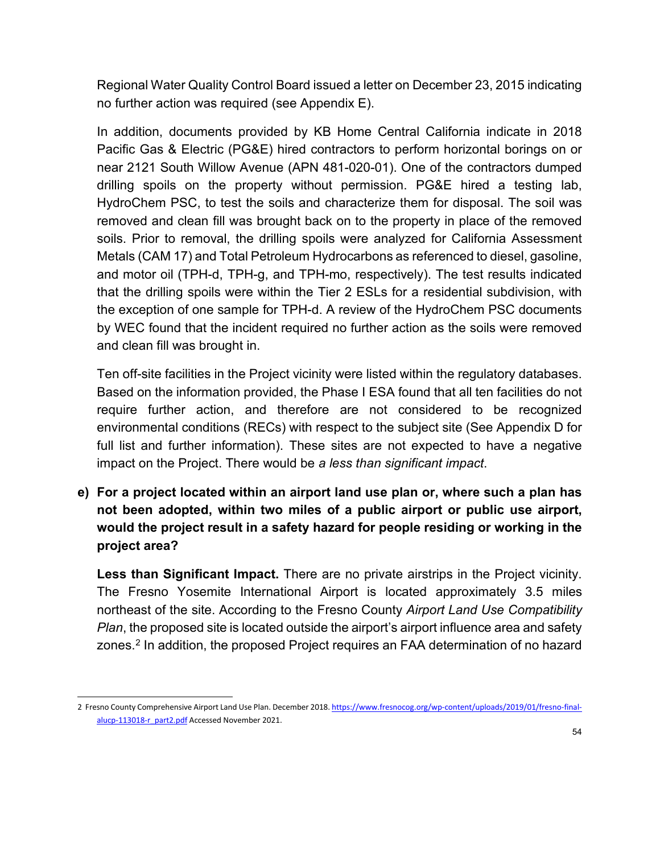Regional Water Quality Control Board issued a letter on December 23, 2015 indicating no further action was required (see Appendix E).

In addition, documents provided by KB Home Central California indicate in 2018 Pacific Gas & Electric (PG&E) hired contractors to perform horizontal borings on or near 2121 South Willow Avenue (APN 481-020-01). One of the contractors dumped drilling spoils on the property without permission. PG&E hired a testing lab, HydroChem PSC, to test the soils and characterize them for disposal. The soil was removed and clean fill was brought back on to the property in place of the removed soils. Prior to removal, the drilling spoils were analyzed for California Assessment Metals (CAM 17) and Total Petroleum Hydrocarbons as referenced to diesel, gasoline, and motor oil (TPH-d, TPH-g, and TPH-mo, respectively). The test results indicated that the drilling spoils were within the Tier 2 ESLs for a residential subdivision, with the exception of one sample for TPH-d. A review of the HydroChem PSC documents by WEC found that the incident required no further action as the soils were removed and clean fill was brought in.

Ten off-site facilities in the Project vicinity were listed within the regulatory databases. Based on the information provided, the Phase I ESA found that all ten facilities do not require further action, and therefore are not considered to be recognized environmental conditions (RECs) with respect to the subject site (See Appendix D for full list and further information). These sites are not expected to have a negative impact on the Project. There would be *a less than significant impact*.

**e) For a project located within an airport land use plan or, where such a plan has not been adopted, within two miles of a public airport or public use airport, would the project result in a safety hazard for people residing or working in the project area?**

**Less than Significant Impact.** There are no private airstrips in the Project vicinity. The Fresno Yosemite International Airport is located approximately 3.5 miles northeast of the site. According to the Fresno County *Airport Land Use Compatibility Plan*, the proposed site is located outside the airport's airport influence area and safety zones.<sup>[2](#page-53-0)</sup> In addition, the proposed Project requires an FAA determination of no hazard

<span id="page-53-0"></span><sup>2</sup> Fresno County Comprehensive Airport Land Use Plan. December 2018[. https://www.fresnocog.org/wp-content/uploads/2019/01/fresno-final](https://www.fresnocog.org/wp-content/uploads/2019/01/fresno-final-alucp-113018-r_part2.pdf)[alucp-113018-r\\_part2.pdf](https://www.fresnocog.org/wp-content/uploads/2019/01/fresno-final-alucp-113018-r_part2.pdf) Accessed November 2021.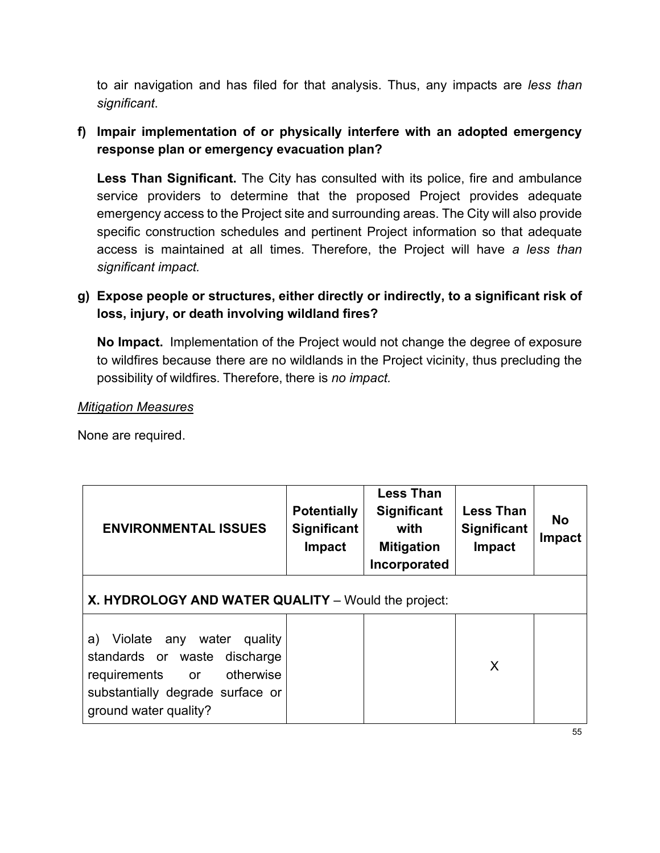to air navigation and has filed for that analysis. Thus, any impacts are *less than significant*.

# **f) Impair implementation of or physically interfere with an adopted emergency response plan or emergency evacuation plan?**

**Less Than Significant.** The City has consulted with its police, fire and ambulance service providers to determine that the proposed Project provides adequate emergency access to the Project site and surrounding areas. The City will also provide specific construction schedules and pertinent Project information so that adequate access is maintained at all times. Therefore, the Project will have *a less than significant impact.*

## **g) Expose people or structures, either directly or indirectly, to a significant risk of loss, injury, or death involving wildland fires?**

**No Impact.** Implementation of the Project would not change the degree of exposure to wildfires because there are no wildlands in the Project vicinity, thus precluding the possibility of wildfires. Therefore, there is *no impact.*

### *Mitigation Measures*

None are required.

| <b>ENVIRONMENTAL ISSUES</b>                                                                                                                                  | <b>Potentially</b><br>Significant<br>Impact | <b>Less Than</b><br><b>Significant</b><br>with<br><b>Mitigation</b><br>Incorporated | <b>Less Than</b><br><b>Significant</b><br>Impact | <b>No</b><br><b>Impact</b> |  |
|--------------------------------------------------------------------------------------------------------------------------------------------------------------|---------------------------------------------|-------------------------------------------------------------------------------------|--------------------------------------------------|----------------------------|--|
| <b>X. HYDROLOGY AND WATER QUALITY</b> – Would the project:                                                                                                   |                                             |                                                                                     |                                                  |                            |  |
| a) Violate any water<br>quality<br>standards or waste discharge<br>otherwise<br>requirements or<br>substantially degrade surface or<br>ground water quality? |                                             |                                                                                     | X                                                |                            |  |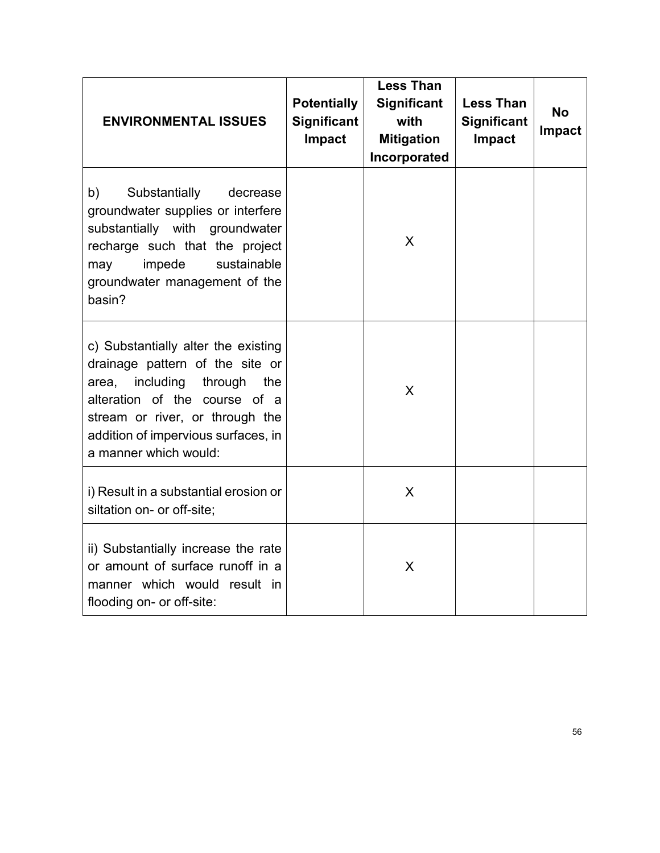| <b>ENVIRONMENTAL ISSUES</b>                                                                                                                                                                                                                        | <b>Potentially</b><br><b>Significant</b><br>Impact | <b>Less Than</b><br><b>Significant</b><br>with<br><b>Mitigation</b><br>Incorporated | <b>Less Than</b><br><b>Significant</b><br>Impact | <b>No</b><br><b>Impact</b> |
|----------------------------------------------------------------------------------------------------------------------------------------------------------------------------------------------------------------------------------------------------|----------------------------------------------------|-------------------------------------------------------------------------------------|--------------------------------------------------|----------------------------|
| b)<br>Substantially<br>decrease<br>groundwater supplies or interfere<br>substantially with groundwater<br>recharge such that the project<br>impede<br>sustainable<br>may<br>groundwater management of the<br>basin?                                |                                                    | X                                                                                   |                                                  |                            |
| c) Substantially alter the existing<br>drainage pattern of the site or<br>including<br>through<br>area,<br>the<br>alteration of the course of a<br>stream or river, or through the<br>addition of impervious surfaces, in<br>a manner which would: |                                                    | X                                                                                   |                                                  |                            |
| i) Result in a substantial erosion or<br>siltation on- or off-site;                                                                                                                                                                                |                                                    | X                                                                                   |                                                  |                            |
| ii) Substantially increase the rate<br>or amount of surface runoff in a<br>manner which would result in<br>flooding on- or off-site:                                                                                                               |                                                    | X                                                                                   |                                                  |                            |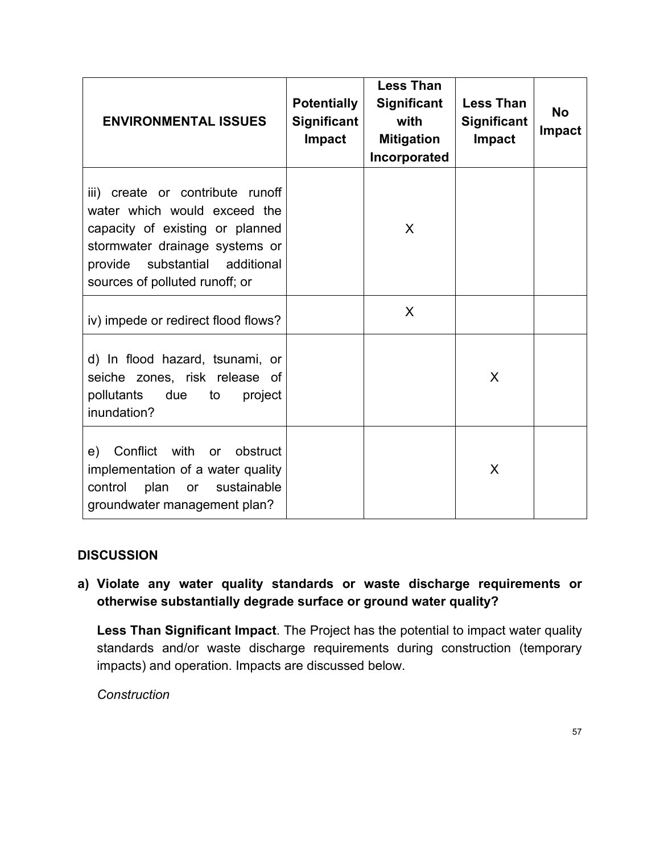| <b>ENVIRONMENTAL ISSUES</b>                                                                                                                                                                                  | <b>Potentially</b><br><b>Significant</b><br><b>Impact</b> | <b>Less Than</b><br><b>Significant</b><br>with<br><b>Mitigation</b><br>Incorporated | <b>Less Than</b><br><b>Significant</b><br>Impact | <b>No</b><br><b>Impact</b> |
|--------------------------------------------------------------------------------------------------------------------------------------------------------------------------------------------------------------|-----------------------------------------------------------|-------------------------------------------------------------------------------------|--------------------------------------------------|----------------------------|
| iii) create or contribute runoff<br>water which would exceed the<br>capacity of existing or planned<br>stormwater drainage systems or<br>substantial additional<br>provide<br>sources of polluted runoff; or |                                                           | X                                                                                   |                                                  |                            |
| iv) impede or redirect flood flows?                                                                                                                                                                          |                                                           | X                                                                                   |                                                  |                            |
| d) In flood hazard, tsunami, or<br>seiche zones, risk release of<br>pollutants<br>due<br>to<br>project<br>inundation?                                                                                        |                                                           |                                                                                     | X                                                |                            |
| e) Conflict with or<br>obstruct<br>implementation of a water quality<br>sustainable<br>plan<br>control<br>or<br>groundwater management plan?                                                                 |                                                           |                                                                                     | X                                                |                            |

**a) Violate any water quality standards or waste discharge requirements or otherwise substantially degrade surface or ground water quality?**

**Less Than Significant Impact**. The Project has the potential to impact water quality standards and/or waste discharge requirements during construction (temporary impacts) and operation. Impacts are discussed below.

*Construction*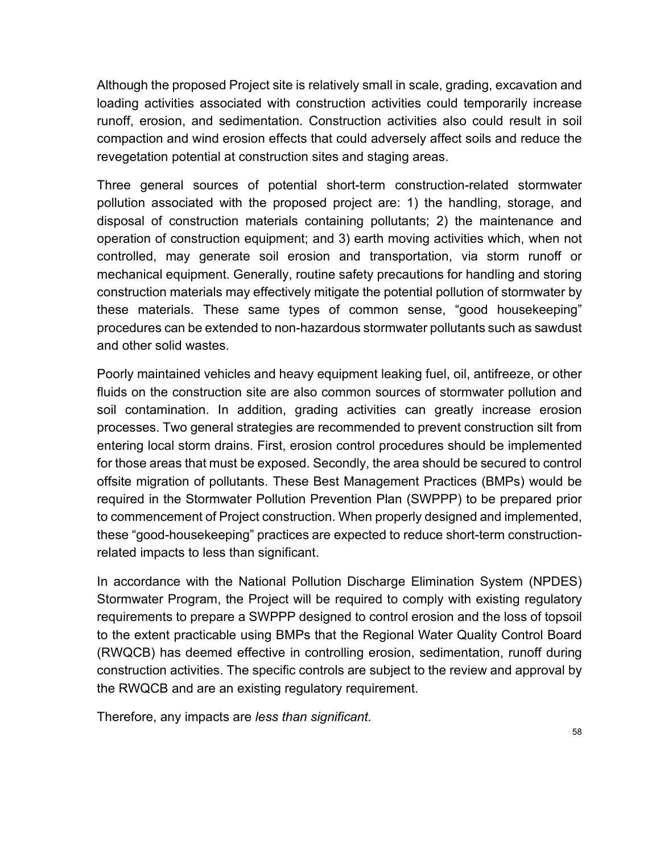Although the proposed Project site is relatively small in scale, grading, excavation and loading activities associated with construction activities could temporarily increase runoff, erosion, and sedimentation. Construction activities also could result in soil compaction and wind erosion effects that could adversely affect soils and reduce the revegetation potential at construction sites and staging areas.

Three general sources of potential short-term construction-related stormwater pollution associated with the proposed project are: 1) the handling, storage, and disposal of construction materials containing pollutants; 2) the maintenance and operation of construction equipment; and 3) earth moving activities which, when not controlled, may generate soil erosion and transportation, via storm runoff or mechanical equipment. Generally, routine safety precautions for handling and storing construction materials may effectively mitigate the potential pollution of stormwater by these materials. These same types of common sense, "good housekeeping" procedures can be extended to non-hazardous stormwater pollutants such as sawdust and other solid wastes.

Poorly maintained vehicles and heavy equipment leaking fuel, oil, antifreeze, or other fluids on the construction site are also common sources of stormwater pollution and soil contamination. In addition, grading activities can greatly increase erosion processes. Two general strategies are recommended to prevent construction silt from entering local storm drains. First, erosion control procedures should be implemented for those areas that must be exposed. Secondly, the area should be secured to control offsite migration of pollutants. These Best Management Practices (BMPs) would be required in the Stormwater Pollution Prevention Plan (SWPPP) to be prepared prior to commencement of Project construction. When properly designed and implemented, these "good-housekeeping" practices are expected to reduce short-term constructionrelated impacts to less than significant.

In accordance with the National Pollution Discharge Elimination System (NPDES) Stormwater Program, the Project will be required to comply with existing regulatory requirements to prepare a SWPPP designed to control erosion and the loss of topsoil to the extent practicable using BMPs that the Regional Water Quality Control Board (RWQCB) has deemed effective in controlling erosion, sedimentation, runoff during construction activities. The specific controls are subject to the review and approval by the RWQCB and are an existing regulatory requirement.

Therefore, any impacts are *less than significant.*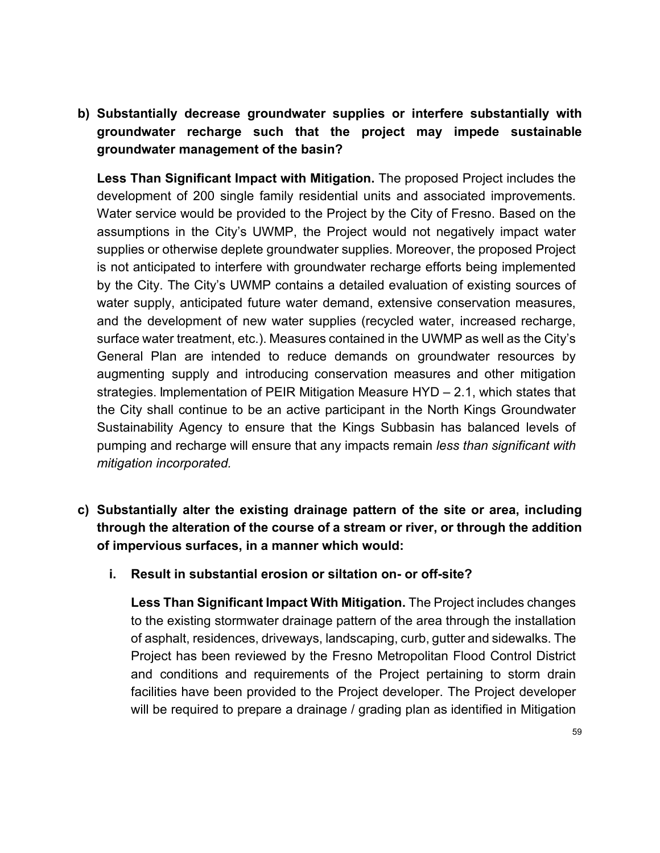**b) Substantially decrease groundwater supplies or interfere substantially with groundwater recharge such that the project may impede sustainable groundwater management of the basin?**

**Less Than Significant Impact with Mitigation.** The proposed Project includes the development of 200 single family residential units and associated improvements. Water service would be provided to the Project by the City of Fresno. Based on the assumptions in the City's UWMP, the Project would not negatively impact water supplies or otherwise deplete groundwater supplies. Moreover, the proposed Project is not anticipated to interfere with groundwater recharge efforts being implemented by the City. The City's UWMP contains a detailed evaluation of existing sources of water supply, anticipated future water demand, extensive conservation measures, and the development of new water supplies (recycled water, increased recharge, surface water treatment, etc.). Measures contained in the UWMP as well as the City's General Plan are intended to reduce demands on groundwater resources by augmenting supply and introducing conservation measures and other mitigation strategies. Implementation of PEIR Mitigation Measure HYD – 2.1, which states that the City shall continue to be an active participant in the North Kings Groundwater Sustainability Agency to ensure that the Kings Subbasin has balanced levels of pumping and recharge will ensure that any impacts remain *less than significant with mitigation incorporated.*

- **c) Substantially alter the existing drainage pattern of the site or area, including through the alteration of the course of a stream or river, or through the addition of impervious surfaces, in a manner which would:**
	- **i. Result in substantial erosion or siltation on- or off-site?**

**Less Than Significant Impact With Mitigation.** The Project includes changes to the existing stormwater drainage pattern of the area through the installation of asphalt, residences, driveways, landscaping, curb, gutter and sidewalks. The Project has been reviewed by the Fresno Metropolitan Flood Control District and conditions and requirements of the Project pertaining to storm drain facilities have been provided to the Project developer. The Project developer will be required to prepare a drainage / grading plan as identified in Mitigation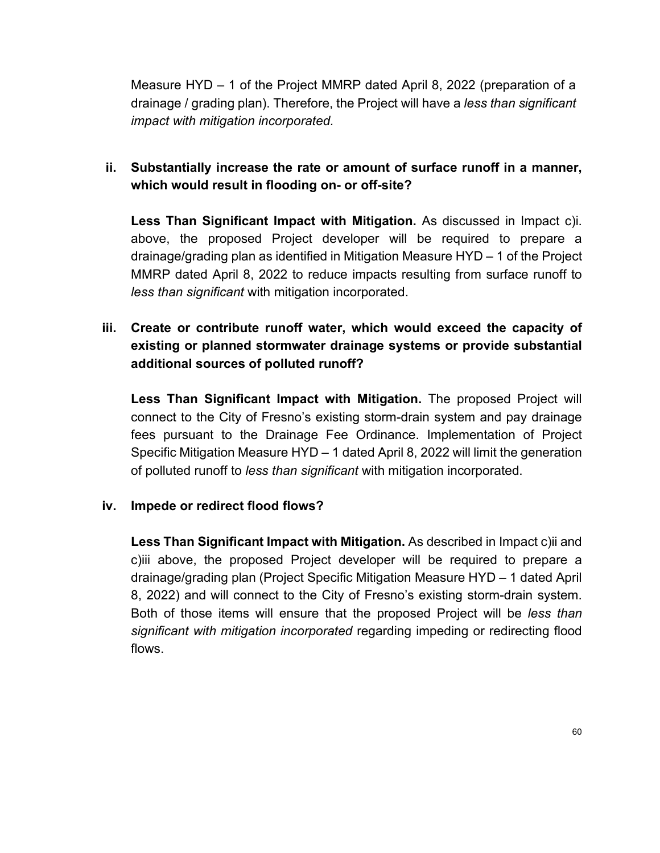Measure HYD – 1 of the Project MMRP dated April 8, 2022 (preparation of a drainage / grading plan). Therefore, the Project will have a *less than significant impact with mitigation incorporated.*

## **ii. Substantially increase the rate or amount of surface runoff in a manner, which would result in flooding on- or off-site?**

**Less Than Significant Impact with Mitigation.** As discussed in Impact c)i. above, the proposed Project developer will be required to prepare a drainage/grading plan as identified in Mitigation Measure HYD – 1 of the Project MMRP dated April 8, 2022 to reduce impacts resulting from surface runoff to *less than significant* with mitigation incorporated.

## **iii. Create or contribute runoff water, which would exceed the capacity of existing or planned stormwater drainage systems or provide substantial additional sources of polluted runoff?**

**Less Than Significant Impact with Mitigation.** The proposed Project will connect to the City of Fresno's existing storm-drain system and pay drainage fees pursuant to the Drainage Fee Ordinance. Implementation of Project Specific Mitigation Measure HYD – 1 dated April 8, 2022 will limit the generation of polluted runoff to *less than significant* with mitigation incorporated.

### **iv. Impede or redirect flood flows?**

**Less Than Significant Impact with Mitigation.** As described in Impact c)ii and c)iii above, the proposed Project developer will be required to prepare a drainage/grading plan (Project Specific Mitigation Measure HYD – 1 dated April 8, 2022) and will connect to the City of Fresno's existing storm-drain system. Both of those items will ensure that the proposed Project will be *less than significant with mitigation incorporated* regarding impeding or redirecting flood flows.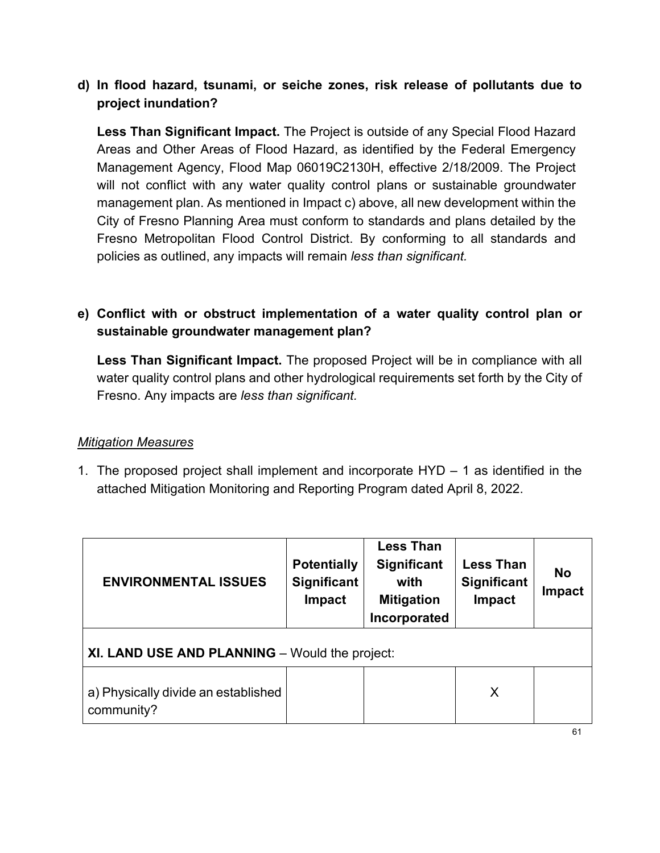### **d) In flood hazard, tsunami, or seiche zones, risk release of pollutants due to project inundation?**

**Less Than Significant Impact.** The Project is outside of any Special Flood Hazard Areas and Other Areas of Flood Hazard, as identified by the Federal Emergency Management Agency, Flood Map 06019C2130H, effective 2/18/2009. The Project will not conflict with any water quality control plans or sustainable groundwater management plan. As mentioned in Impact c) above, all new development within the City of Fresno Planning Area must conform to standards and plans detailed by the Fresno Metropolitan Flood Control District. By conforming to all standards and policies as outlined, any impacts will remain *less than significant.*

## **e) Conflict with or obstruct implementation of a water quality control plan or sustainable groundwater management plan?**

**Less Than Significant Impact.** The proposed Project will be in compliance with all water quality control plans and other hydrological requirements set forth by the City of Fresno. Any impacts are *less than significant.*

### *Mitigation Measures*

1. The proposed project shall implement and incorporate HYD – 1 as identified in the attached Mitigation Monitoring and Reporting Program dated April 8, 2022.

| <b>ENVIRONMENTAL ISSUES</b>                       | <b>Potentially</b><br><b>Significant</b><br><b>Impact</b> | <b>Less Than</b><br><b>Significant</b><br>with<br><b>Mitigation</b><br>Incorporated | <b>Less Than</b><br>Significant<br>Impact | <b>No</b><br>Impact |  |
|---------------------------------------------------|-----------------------------------------------------------|-------------------------------------------------------------------------------------|-------------------------------------------|---------------------|--|
| XI. LAND USE AND PLANNING - Would the project:    |                                                           |                                                                                     |                                           |                     |  |
| a) Physically divide an established<br>community? |                                                           |                                                                                     | X                                         |                     |  |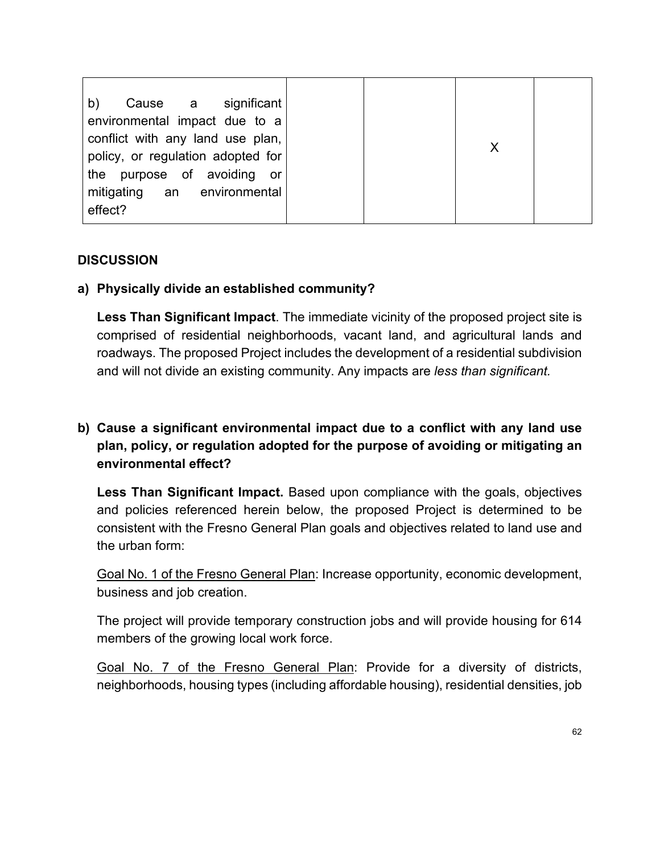### **a) Physically divide an established community?**

**Less Than Significant Impact**. The immediate vicinity of the proposed project site is comprised of residential neighborhoods, vacant land, and agricultural lands and roadways. The proposed Project includes the development of a residential subdivision and will not divide an existing community. Any impacts are *less than significant.*

## **b) Cause a significant environmental impact due to a conflict with any land use plan, policy, or regulation adopted for the purpose of avoiding or mitigating an environmental effect?**

**Less Than Significant Impact.** Based upon compliance with the goals, objectives and policies referenced herein below, the proposed Project is determined to be consistent with the Fresno General Plan goals and objectives related to land use and the urban form:

Goal No. 1 of the Fresno General Plan: Increase opportunity, economic development, business and job creation.

The project will provide temporary construction jobs and will provide housing for 614 members of the growing local work force.

Goal No. 7 of the Fresno General Plan: Provide for a diversity of districts, neighborhoods, housing types (including affordable housing), residential densities, job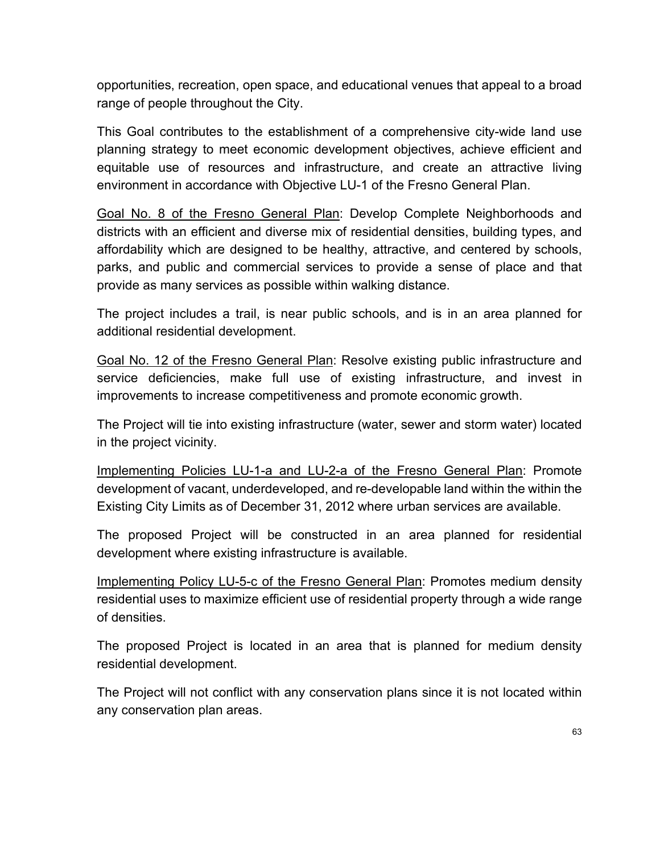opportunities, recreation, open space, and educational venues that appeal to a broad range of people throughout the City.

This Goal contributes to the establishment of a comprehensive city-wide land use planning strategy to meet economic development objectives, achieve efficient and equitable use of resources and infrastructure, and create an attractive living environment in accordance with Objective LU-1 of the Fresno General Plan.

Goal No. 8 of the Fresno General Plan: Develop Complete Neighborhoods and districts with an efficient and diverse mix of residential densities, building types, and affordability which are designed to be healthy, attractive, and centered by schools, parks, and public and commercial services to provide a sense of place and that provide as many services as possible within walking distance.

The project includes a trail, is near public schools, and is in an area planned for additional residential development.

Goal No. 12 of the Fresno General Plan: Resolve existing public infrastructure and service deficiencies, make full use of existing infrastructure, and invest in improvements to increase competitiveness and promote economic growth.

The Project will tie into existing infrastructure (water, sewer and storm water) located in the project vicinity.

Implementing Policies LU-1-a and LU-2-a of the Fresno General Plan: Promote development of vacant, underdeveloped, and re-developable land within the within the Existing City Limits as of December 31, 2012 where urban services are available.

The proposed Project will be constructed in an area planned for residential development where existing infrastructure is available.

Implementing Policy LU-5-c of the Fresno General Plan: Promotes medium density residential uses to maximize efficient use of residential property through a wide range of densities.

The proposed Project is located in an area that is planned for medium density residential development.

The Project will not conflict with any conservation plans since it is not located within any conservation plan areas.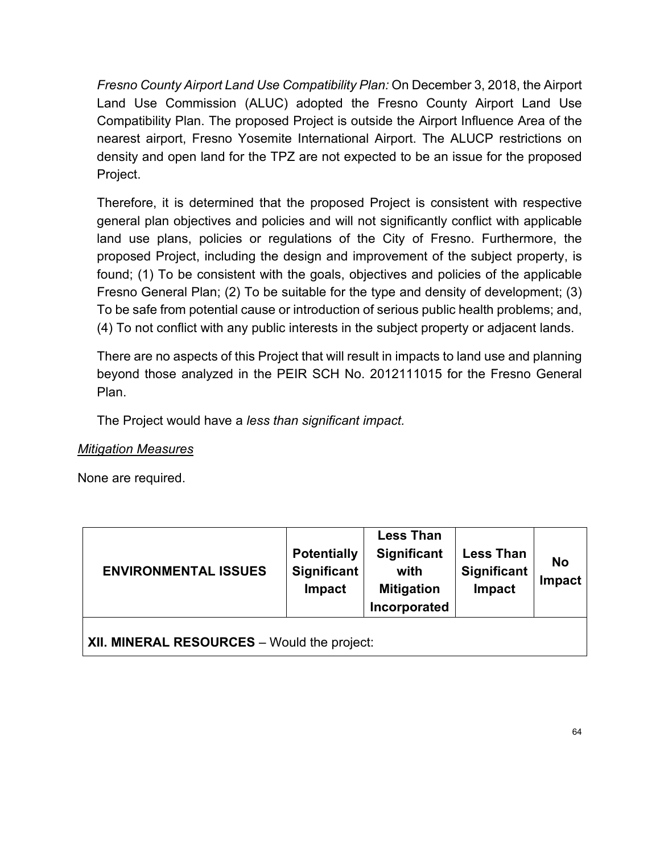*Fresno County Airport Land Use Compatibility Plan:* On December 3, 2018, the Airport Land Use Commission (ALUC) adopted the Fresno County Airport Land Use Compatibility Plan. The proposed Project is outside the Airport Influence Area of the nearest airport, Fresno Yosemite International Airport. The ALUCP restrictions on density and open land for the TPZ are not expected to be an issue for the proposed Project.

Therefore, it is determined that the proposed Project is consistent with respective general plan objectives and policies and will not significantly conflict with applicable land use plans, policies or regulations of the City of Fresno. Furthermore, the proposed Project, including the design and improvement of the subject property, is found; (1) To be consistent with the goals, objectives and policies of the applicable Fresno General Plan; (2) To be suitable for the type and density of development; (3) To be safe from potential cause or introduction of serious public health problems; and, (4) To not conflict with any public interests in the subject property or adjacent lands.

There are no aspects of this Project that will result in impacts to land use and planning beyond those analyzed in the PEIR SCH No. 2012111015 for the Fresno General Plan.

The Project would have a *less than significant impact.*

### *Mitigation Measures*

None are required.

| <b>ENVIRONMENTAL ISSUES</b>                 | <b>Potentially</b><br><b>Significant</b><br><b>Impact</b> | <b>Less Than</b><br><b>Significant</b><br>with<br><b>Mitigation</b><br>Incorporated | <b>Less Than</b><br>Significant<br>Impact | <b>No</b><br><b>Impact</b> |  |
|---------------------------------------------|-----------------------------------------------------------|-------------------------------------------------------------------------------------|-------------------------------------------|----------------------------|--|
| XII. MINERAL RESOURCES - Would the project: |                                                           |                                                                                     |                                           |                            |  |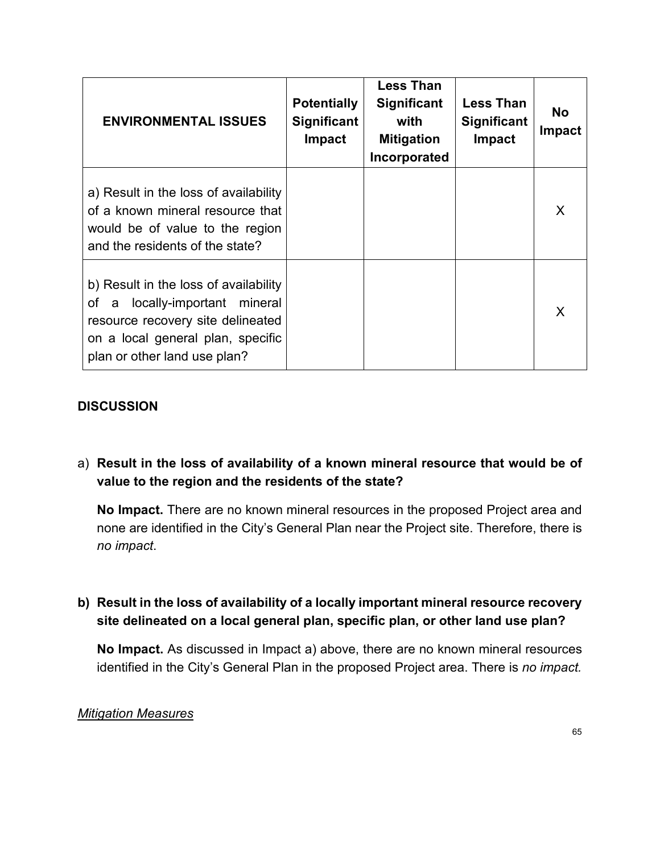| <b>ENVIRONMENTAL ISSUES</b>                                                                                                                                                          | <b>Potentially</b><br><b>Significant</b><br><b>Impact</b> | <b>Less Than</b><br><b>Significant</b><br>with<br><b>Mitigation</b><br>Incorporated | <b>Less Than</b><br><b>Significant</b><br>Impact | <b>No</b><br><b>Impact</b> |
|--------------------------------------------------------------------------------------------------------------------------------------------------------------------------------------|-----------------------------------------------------------|-------------------------------------------------------------------------------------|--------------------------------------------------|----------------------------|
| a) Result in the loss of availability<br>of a known mineral resource that<br>would be of value to the region<br>and the residents of the state?                                      |                                                           |                                                                                     |                                                  | X                          |
| b) Result in the loss of availability<br>locally-important mineral<br>of a<br>resource recovery site delineated<br>on a local general plan, specific<br>plan or other land use plan? |                                                           |                                                                                     |                                                  | X                          |

### a) **Result in the loss of availability of a known mineral resource that would be of value to the region and the residents of the state?**

**No Impact.** There are no known mineral resources in the proposed Project area and none are identified in the City's General Plan near the Project site. Therefore, there is *no impact*.

### **b) Result in the loss of availability of a locally important mineral resource recovery site delineated on a local general plan, specific plan, or other land use plan?**

**No Impact.** As discussed in Impact a) above, there are no known mineral resources identified in the City's General Plan in the proposed Project area. There is *no impact.*

#### *Mitigation Measures*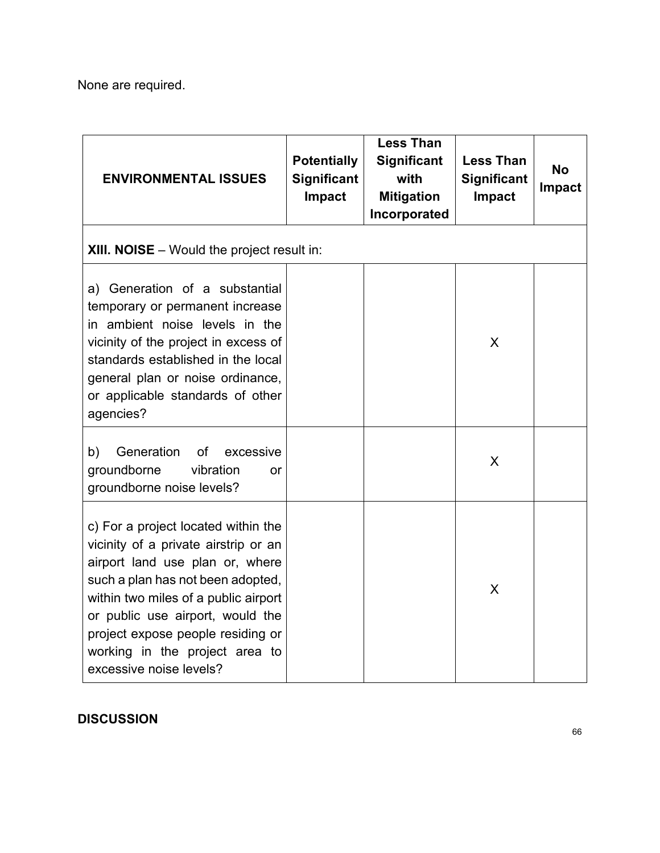None are required.

| <b>ENVIRONMENTAL ISSUES</b>                                                                                                                                                                                                                                                                                                       | <b>Potentially</b><br><b>Significant</b><br>Impact | Less Than<br><b>Significant</b><br>with<br><b>Mitigation</b><br>Incorporated | <b>Less Than</b><br><b>Significant</b><br>Impact | <b>No</b><br>Impact |
|-----------------------------------------------------------------------------------------------------------------------------------------------------------------------------------------------------------------------------------------------------------------------------------------------------------------------------------|----------------------------------------------------|------------------------------------------------------------------------------|--------------------------------------------------|---------------------|
| <b>XIII. NOISE</b> – Would the project result in:                                                                                                                                                                                                                                                                                 |                                                    |                                                                              |                                                  |                     |
| a) Generation of a substantial<br>temporary or permanent increase<br>in ambient noise levels in the<br>vicinity of the project in excess of<br>standards established in the local<br>general plan or noise ordinance,<br>or applicable standards of other<br>agencies?                                                            |                                                    |                                                                              | X                                                |                     |
| Generation<br>of<br>b)<br>excessive<br>groundborne<br>vibration<br>or<br>groundborne noise levels?                                                                                                                                                                                                                                |                                                    |                                                                              | X                                                |                     |
| c) For a project located within the<br>vicinity of a private airstrip or an<br>airport land use plan or, where<br>such a plan has not been adopted,<br>within two miles of a public airport<br>or public use airport, would the<br>project expose people residing or<br>working in the project area to<br>excessive noise levels? |                                                    |                                                                              | X                                                |                     |

### **DISCUSSION**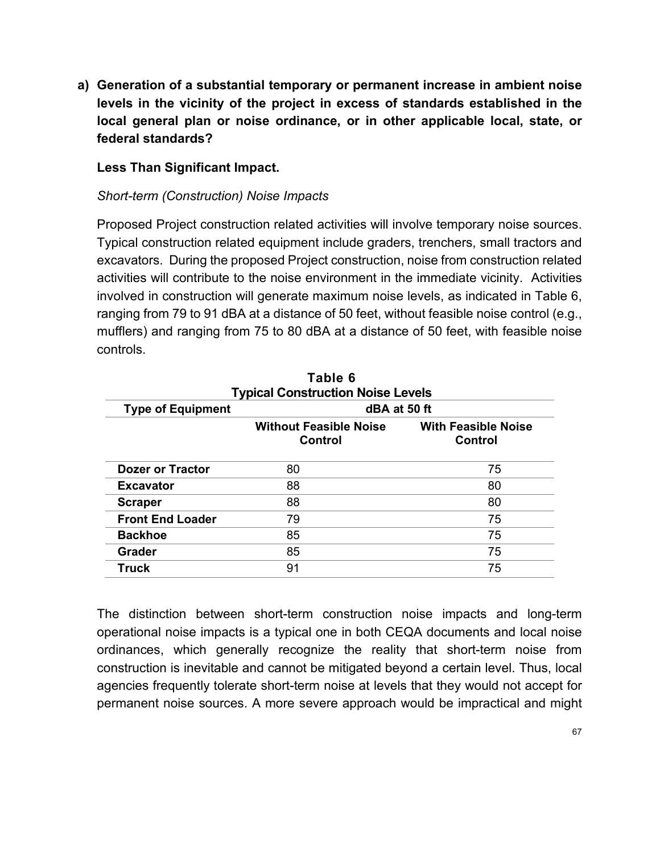**a) Generation of a substantial temporary or permanent increase in ambient noise levels in the vicinity of the project in excess of standards established in the local general plan or noise ordinance, or in other applicable local, state, or federal standards?**

### **Less Than Significant Impact.**

#### *Short-term (Construction) Noise Impacts*

Proposed Project construction related activities will involve temporary noise sources. Typical construction related equipment include graders, trenchers, small tractors and excavators. During the proposed Project construction, noise from construction related activities will contribute to the noise environment in the immediate vicinity. Activities involved in construction will generate maximum noise levels, as indicated in Table 6, ranging from 79 to 91 dBA at a distance of 50 feet, without feasible noise control (e.g., mufflers) and ranging from 75 to 80 dBA at a distance of 50 feet, with feasible noise controls.

| Table 6<br><b>Typical Construction Noise Levels</b> |                                                 |                                       |  |  |
|-----------------------------------------------------|-------------------------------------------------|---------------------------------------|--|--|
| dBA at 50 ft<br><b>Type of Equipment</b>            |                                                 |                                       |  |  |
|                                                     | <b>Without Feasible Noise</b><br><b>Control</b> | <b>With Feasible Noise</b><br>Control |  |  |
| <b>Dozer or Tractor</b>                             | 80                                              | 75                                    |  |  |
| <b>Excavator</b>                                    | 88                                              | 80                                    |  |  |
| <b>Scraper</b>                                      | 88                                              | 80                                    |  |  |
| <b>Front End Loader</b>                             | 79                                              | 75                                    |  |  |
| <b>Backhoe</b>                                      | 85                                              | 75                                    |  |  |
| <b>Grader</b>                                       | 85                                              | 75                                    |  |  |
| Truck                                               | 91                                              | 75                                    |  |  |

The distinction between short-term construction noise impacts and long-term operational noise impacts is a typical one in both CEQA documents and local noise ordinances, which generally recognize the reality that short-term noise from construction is inevitable and cannot be mitigated beyond a certain level. Thus, local agencies frequently tolerate short-term noise at levels that they would not accept for permanent noise sources. A more severe approach would be impractical and might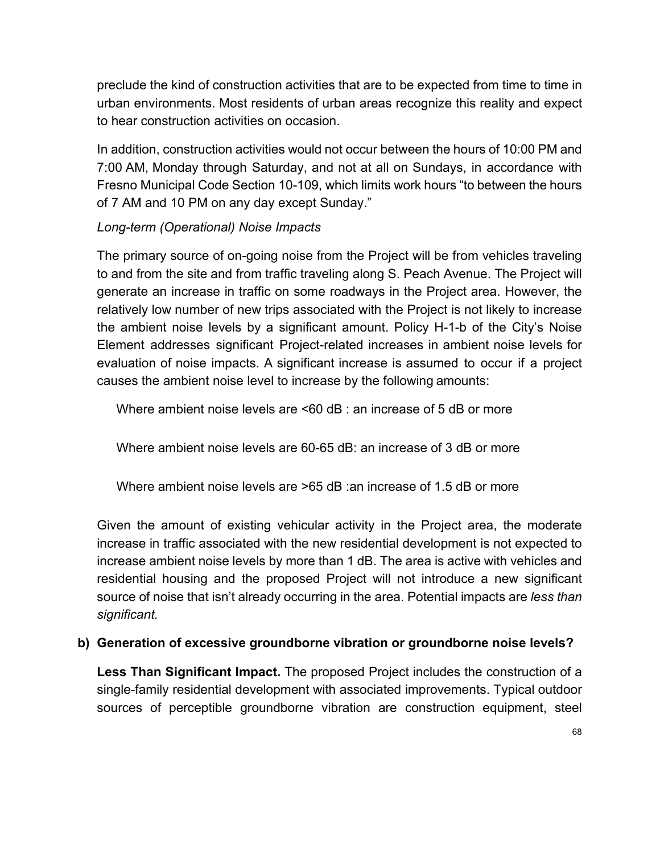preclude the kind of construction activities that are to be expected from time to time in urban environments. Most residents of urban areas recognize this reality and expect to hear construction activities on occasion.

In addition, construction activities would not occur between the hours of 10:00 PM and 7:00 AM, Monday through Saturday, and not at all on Sundays, in accordance with Fresno Municipal Code Section 10-109, which limits work hours "to between the hours of 7 AM and 10 PM on any day except Sunday."

### *Long-term (Operational) Noise Impacts*

The primary source of on-going noise from the Project will be from vehicles traveling to and from the site and from traffic traveling along S. Peach Avenue. The Project will generate an increase in traffic on some roadways in the Project area. However, the relatively low number of new trips associated with the Project is not likely to increase the ambient noise levels by a significant amount. Policy H-1-b of the City's Noise Element addresses significant Project-related increases in ambient noise levels for evaluation of noise impacts. A significant increase is assumed to occur if a project causes the ambient noise level to increase by the following amounts:

Where ambient noise levels are <60 dB : an increase of 5 dB or more

Where ambient noise levels are 60-65 dB: an increase of 3 dB or more

Where ambient noise levels are  $>65$  dB : an increase of 1.5 dB or more

Given the amount of existing vehicular activity in the Project area, the moderate increase in traffic associated with the new residential development is not expected to increase ambient noise levels by more than 1 dB. The area is active with vehicles and residential housing and the proposed Project will not introduce a new significant source of noise that isn't already occurring in the area. Potential impacts are *less than significant.* 

### **b) Generation of excessive groundborne vibration or groundborne noise levels?**

**Less Than Significant Impact.** The proposed Project includes the construction of a single-family residential development with associated improvements. Typical outdoor sources of perceptible groundborne vibration are construction equipment, steel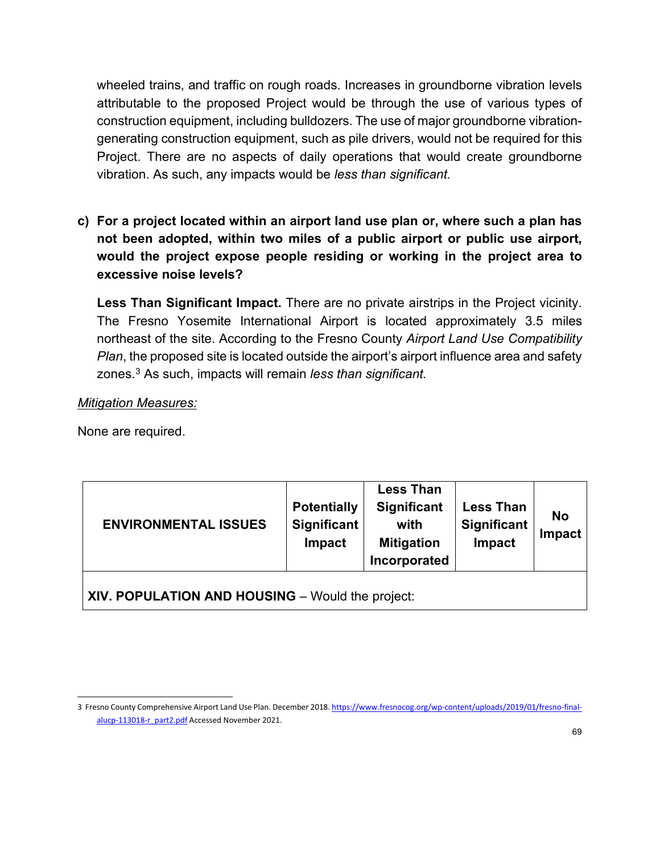wheeled trains, and traffic on rough roads. Increases in groundborne vibration levels attributable to the proposed Project would be through the use of various types of construction equipment, including bulldozers. The use of major groundborne vibrationgenerating construction equipment, such as pile drivers, would not be required for this Project. There are no aspects of daily operations that would create groundborne vibration. As such, any impacts would be *less than significant.*

**c) For a project located within an airport land use plan or, where such a plan has not been adopted, within two miles of a public airport or public use airport, would the project expose people residing or working in the project area to excessive noise levels?**

**Less Than Significant Impact.** There are no private airstrips in the Project vicinity. The Fresno Yosemite International Airport is located approximately 3.5 miles northeast of the site. According to the Fresno County *Airport Land Use Compatibility Plan*, the proposed site is located outside the airport's airport influence area and safety zones.[3](#page-68-0) As such, impacts will remain *less than significant.* 

#### *Mitigation Measures:*

None are required.

| <b>ENVIRONMENTAL ISSUES</b>                      | <b>Potentially</b><br>Significant<br>Impact | <b>Less Than</b><br><b>Significant</b><br>with<br><b>Mitigation</b><br>Incorporated | <b>Less Than</b><br><b>Significant</b><br>Impact | <b>No</b><br>Impact |
|--------------------------------------------------|---------------------------------------------|-------------------------------------------------------------------------------------|--------------------------------------------------|---------------------|
| XIV. POPULATION AND HOUSING - Would the project: |                                             |                                                                                     |                                                  |                     |

<span id="page-68-0"></span><sup>3</sup> Fresno County Comprehensive Airport Land Use Plan. December 2018[. https://www.fresnocog.org/wp-content/uploads/2019/01/fresno-final](https://www.fresnocog.org/wp-content/uploads/2019/01/fresno-final-alucp-113018-r_part2.pdf)[alucp-113018-r\\_part2.pdf](https://www.fresnocog.org/wp-content/uploads/2019/01/fresno-final-alucp-113018-r_part2.pdf) Accessed November 2021.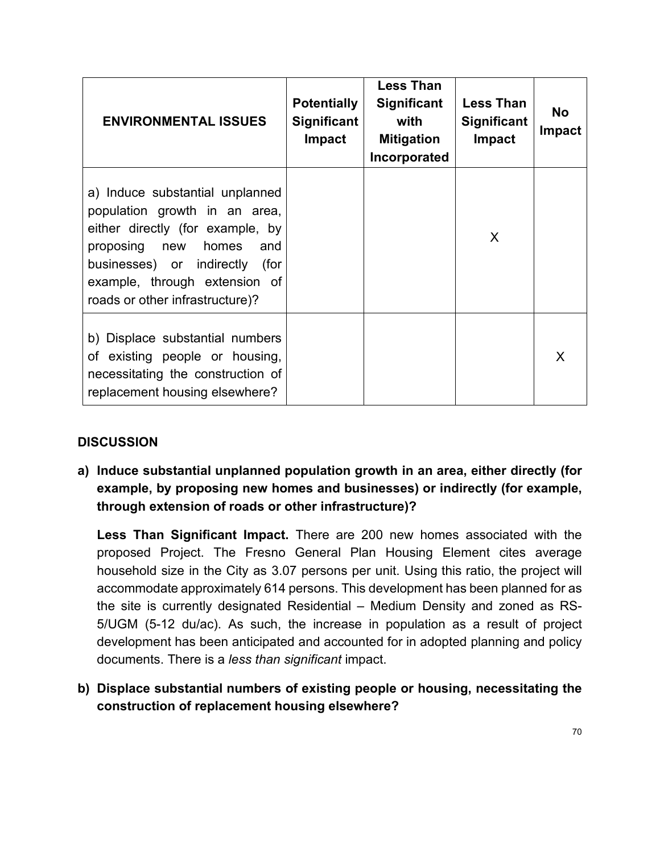| <b>ENVIRONMENTAL ISSUES</b>                                                                                                                                                                                                                    | <b>Potentially</b><br><b>Significant</b><br><b>Impact</b> | <b>Less Than</b><br><b>Significant</b><br>with<br><b>Mitigation</b><br>Incorporated | <b>Less Than</b><br><b>Significant</b><br><b>Impact</b> | <b>No</b><br><b>Impact</b> |
|------------------------------------------------------------------------------------------------------------------------------------------------------------------------------------------------------------------------------------------------|-----------------------------------------------------------|-------------------------------------------------------------------------------------|---------------------------------------------------------|----------------------------|
| a) Induce substantial unplanned<br>population growth in an area,<br>either directly (for example, by<br>proposing new<br>homes<br>and<br>businesses) or indirectly<br>(for<br>example, through extension of<br>roads or other infrastructure)? |                                                           |                                                                                     | X                                                       |                            |
| b) Displace substantial numbers<br>of existing people or housing,<br>necessitating the construction of<br>replacement housing elsewhere?                                                                                                       |                                                           |                                                                                     |                                                         | X                          |

**a) Induce substantial unplanned population growth in an area, either directly (for example, by proposing new homes and businesses) or indirectly (for example, through extension of roads or other infrastructure)?**

**Less Than Significant Impact.** There are 200 new homes associated with the proposed Project. The Fresno General Plan Housing Element cites average household size in the City as 3.07 persons per unit. Using this ratio, the project will accommodate approximately 614 persons. This development has been planned for as the site is currently designated Residential – Medium Density and zoned as RS-5/UGM (5-12 du/ac). As such, the increase in population as a result of project development has been anticipated and accounted for in adopted planning and policy documents. There is a *less than significant* impact.

**b) Displace substantial numbers of existing people or housing, necessitating the construction of replacement housing elsewhere?**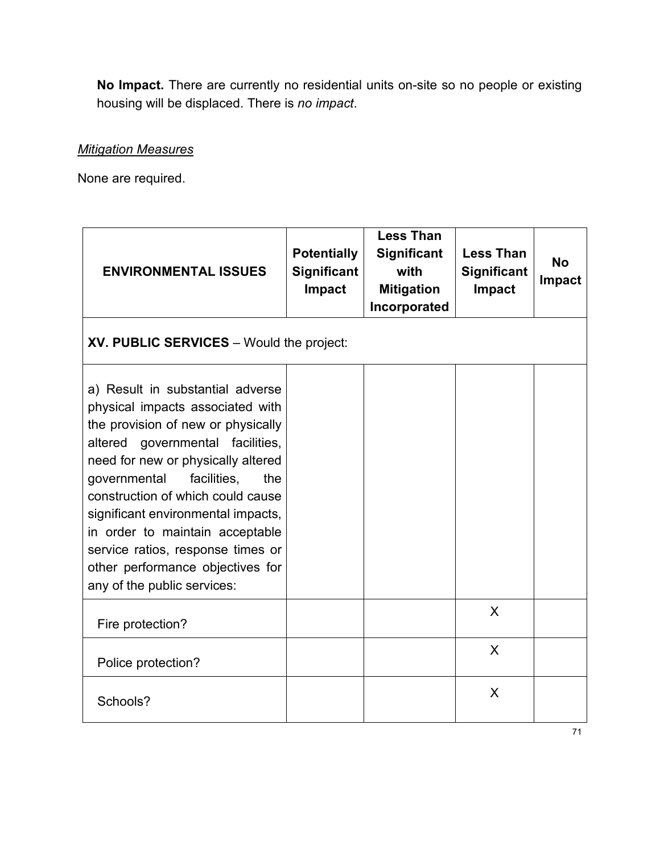**No Impact.** There are currently no residential units on-site so no people or existing housing will be displaced. There is *no impact*.

### *Mitigation Measures*

None are required.

| <b>ENVIRONMENTAL ISSUES</b>                                                                                                                                                                                                                                                                                                                                                                                                                      | <b>Potentially</b><br><b>Significant</b><br>Impact | <b>Less Than</b><br><b>Significant</b><br>with<br><b>Mitigation</b><br>Incorporated | <b>Less Than</b><br><b>Significant</b><br><b>Impact</b> | <b>No</b><br><b>Impact</b> |
|--------------------------------------------------------------------------------------------------------------------------------------------------------------------------------------------------------------------------------------------------------------------------------------------------------------------------------------------------------------------------------------------------------------------------------------------------|----------------------------------------------------|-------------------------------------------------------------------------------------|---------------------------------------------------------|----------------------------|
| XV. PUBLIC SERVICES - Would the project:                                                                                                                                                                                                                                                                                                                                                                                                         |                                                    |                                                                                     |                                                         |                            |
| a) Result in substantial adverse<br>physical impacts associated with<br>the provision of new or physically<br>altered governmental facilities,<br>need for new or physically altered<br>facilities,<br>governmental<br>the<br>construction of which could cause<br>significant environmental impacts,<br>in order to maintain acceptable<br>service ratios, response times or<br>other performance objectives for<br>any of the public services: |                                                    |                                                                                     |                                                         |                            |
| Fire protection?                                                                                                                                                                                                                                                                                                                                                                                                                                 |                                                    |                                                                                     | X                                                       |                            |
| Police protection?                                                                                                                                                                                                                                                                                                                                                                                                                               |                                                    |                                                                                     | X                                                       |                            |
| Schools?                                                                                                                                                                                                                                                                                                                                                                                                                                         |                                                    |                                                                                     | X                                                       |                            |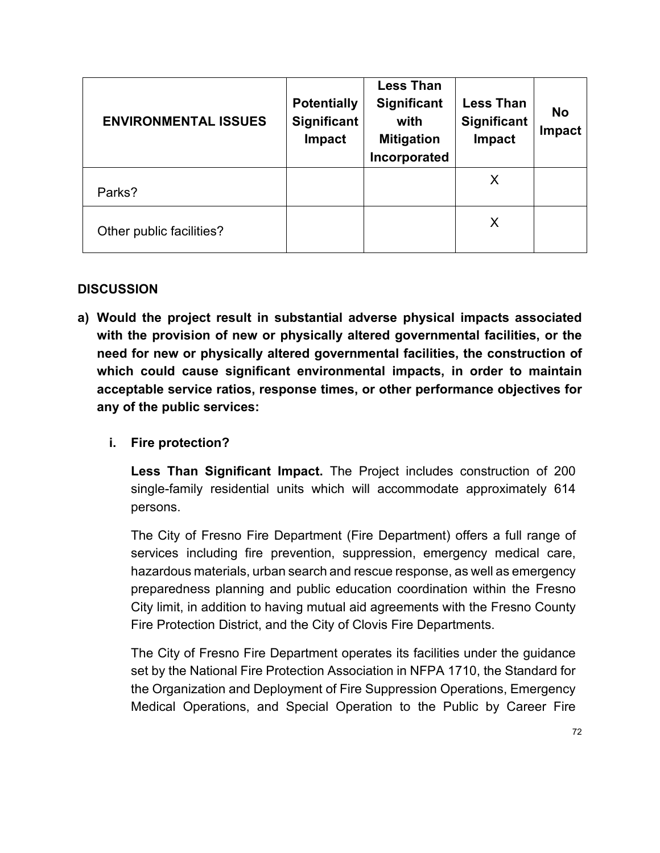| <b>ENVIRONMENTAL ISSUES</b> | <b>Potentially</b><br><b>Significant</b><br>Impact | <b>Less Than</b><br><b>Significant</b><br>with<br><b>Mitigation</b><br>Incorporated | <b>Less Than</b><br><b>Significant</b><br>Impact | <b>No</b><br><b>Impact</b> |
|-----------------------------|----------------------------------------------------|-------------------------------------------------------------------------------------|--------------------------------------------------|----------------------------|
| Parks?                      |                                                    |                                                                                     | X                                                |                            |
| Other public facilities?    |                                                    |                                                                                     | X                                                |                            |

**a) Would the project result in substantial adverse physical impacts associated with the provision of new or physically altered governmental facilities, or the need for new or physically altered governmental facilities, the construction of which could cause significant environmental impacts, in order to maintain acceptable service ratios, response times, or other performance objectives for any of the public services:**

### **i. Fire protection?**

**Less Than Significant Impact.** The Project includes construction of 200 single-family residential units which will accommodate approximately 614 persons.

The City of Fresno Fire Department (Fire Department) offers a full range of services including fire prevention, suppression, emergency medical care, hazardous materials, urban search and rescue response, as well as emergency preparedness planning and public education coordination within the Fresno City limit, in addition to having mutual aid agreements with the Fresno County Fire Protection District, and the City of Clovis Fire Departments.

The City of Fresno Fire Department operates its facilities under the guidance set by the National Fire Protection Association in NFPA 1710, the Standard for the Organization and Deployment of Fire Suppression Operations, Emergency Medical Operations, and Special Operation to the Public by Career Fire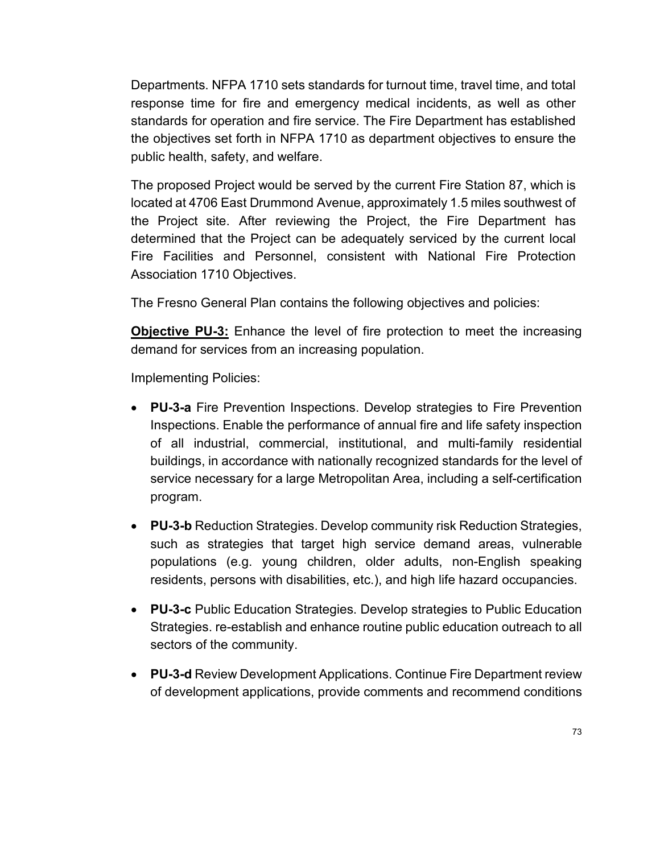Departments. NFPA 1710 sets standards for turnout time, travel time, and total response time for fire and emergency medical incidents, as well as other standards for operation and fire service. The Fire Department has established the objectives set forth in NFPA 1710 as department objectives to ensure the public health, safety, and welfare.

The proposed Project would be served by the current Fire Station 87, which is located at 4706 East Drummond Avenue, approximately 1.5 miles southwest of the Project site. After reviewing the Project, the Fire Department has determined that the Project can be adequately serviced by the current local Fire Facilities and Personnel, consistent with National Fire Protection Association 1710 Objectives.

The Fresno General Plan contains the following objectives and policies:

**Objective PU-3:** Enhance the level of fire protection to meet the increasing demand for services from an increasing population.

Implementing Policies:

- **PU-3-a** Fire Prevention Inspections. Develop strategies to Fire Prevention Inspections. Enable the performance of annual fire and life safety inspection of all industrial, commercial, institutional, and multi-family residential buildings, in accordance with nationally recognized standards for the level of service necessary for a large Metropolitan Area, including a self-certification program.
- **PU-3-b** Reduction Strategies. Develop community risk Reduction Strategies, such as strategies that target high service demand areas, vulnerable populations (e.g. young children, older adults, non-English speaking residents, persons with disabilities, etc.), and high life hazard occupancies.
- **PU-3-c** Public Education Strategies. Develop strategies to Public Education Strategies. re-establish and enhance routine public education outreach to all sectors of the community.
- **PU-3-d** Review Development Applications. Continue Fire Department review of development applications, provide comments and recommend conditions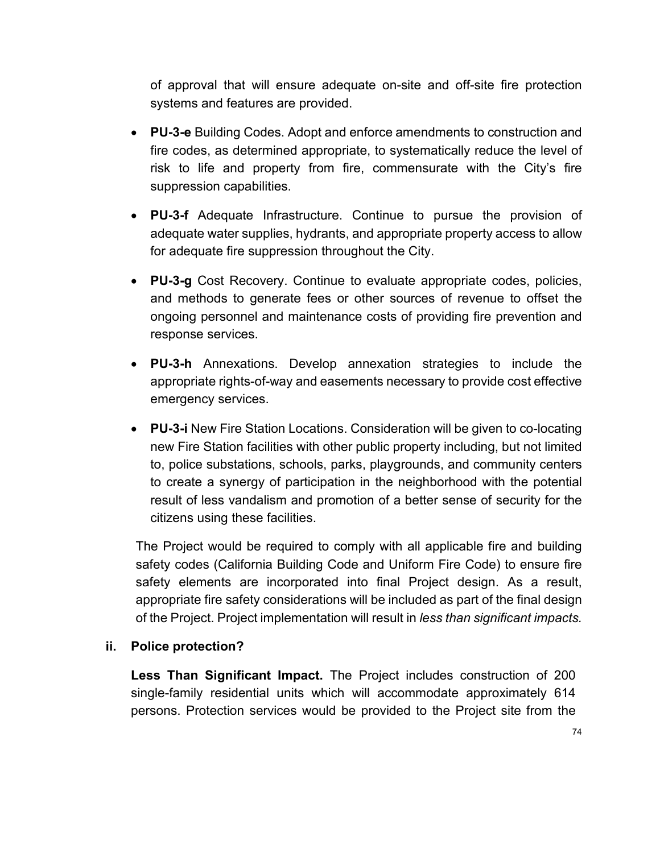of approval that will ensure adequate on-site and off-site fire protection systems and features are provided.

- **PU-3-e** Building Codes. Adopt and enforce amendments to construction and fire codes, as determined appropriate, to systematically reduce the level of risk to life and property from fire, commensurate with the City's fire suppression capabilities.
- **PU-3-f** Adequate Infrastructure. Continue to pursue the provision of adequate water supplies, hydrants, and appropriate property access to allow for adequate fire suppression throughout the City.
- **PU-3-g** Cost Recovery. Continue to evaluate appropriate codes, policies, and methods to generate fees or other sources of revenue to offset the ongoing personnel and maintenance costs of providing fire prevention and response services.
- **PU-3-h** Annexations. Develop annexation strategies to include the appropriate rights-of-way and easements necessary to provide cost effective emergency services.
- **PU-3-i** New Fire Station Locations. Consideration will be given to co-locating new Fire Station facilities with other public property including, but not limited to, police substations, schools, parks, playgrounds, and community centers to create a synergy of participation in the neighborhood with the potential result of less vandalism and promotion of a better sense of security for the citizens using these facilities.

The Project would be required to comply with all applicable fire and building safety codes (California Building Code and Uniform Fire Code) to ensure fire safety elements are incorporated into final Project design. As a result, appropriate fire safety considerations will be included as part of the final design of the Project. Project implementation will result in *less than significant impacts.* 

# **ii. Police protection?**

**Less Than Significant Impact.** The Project includes construction of 200 single-family residential units which will accommodate approximately 614 persons. Protection services would be provided to the Project site from the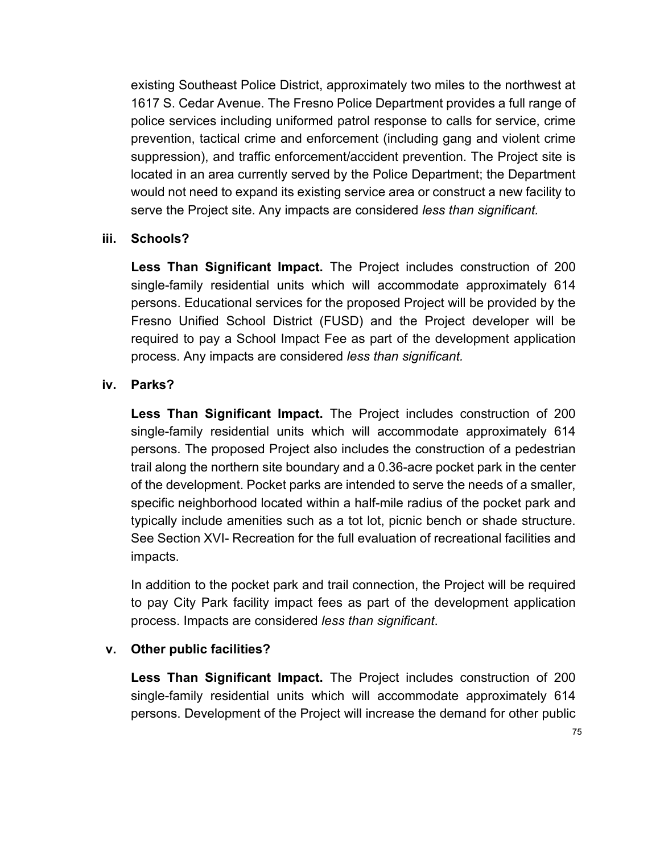existing Southeast Police District, approximately two miles to the northwest at 1617 S. Cedar Avenue. The Fresno Police Department provides a full range of police services including uniformed patrol response to calls for service, crime prevention, tactical crime and enforcement (including gang and violent crime suppression), and traffic enforcement/accident prevention. The Project site is located in an area currently served by the Police Department; the Department would not need to expand its existing service area or construct a new facility to serve the Project site. Any impacts are considered *less than significant.*

#### **iii. Schools?**

**Less Than Significant Impact.** The Project includes construction of 200 single-family residential units which will accommodate approximately 614 persons. Educational services for the proposed Project will be provided by the Fresno Unified School District (FUSD) and the Project developer will be required to pay a School Impact Fee as part of the development application process. Any impacts are considered *less than significant.*

#### **iv. Parks?**

**Less Than Significant Impact.** The Project includes construction of 200 single-family residential units which will accommodate approximately 614 persons. The proposed Project also includes the construction of a pedestrian trail along the northern site boundary and a 0.36-acre pocket park in the center of the development. Pocket parks are intended to serve the needs of a smaller, specific neighborhood located within a half-mile radius of the pocket park and typically include amenities such as a tot lot, picnic bench or shade structure. See Section XVI- Recreation for the full evaluation of recreational facilities and impacts.

In addition to the pocket park and trail connection, the Project will be required to pay City Park facility impact fees as part of the development application process. Impacts are considered *less than significant*.

# **v. Other public facilities?**

**Less Than Significant Impact.** The Project includes construction of 200 single-family residential units which will accommodate approximately 614 persons. Development of the Project will increase the demand for other public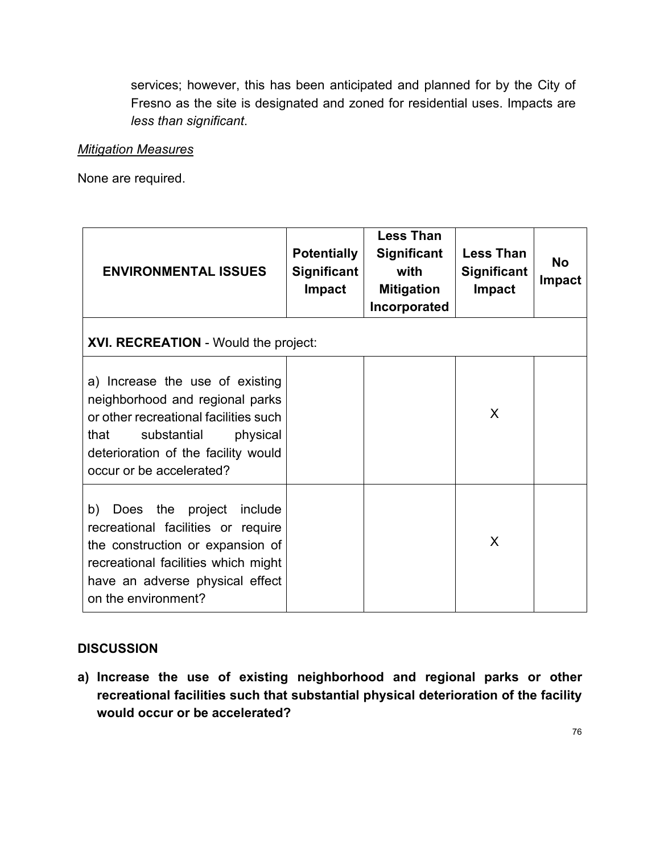services; however, this has been anticipated and planned for by the City of Fresno as the site is designated and zoned for residential uses. Impacts are *less than significant*.

# *Mitigation Measures*

None are required.

| <b>ENVIRONMENTAL ISSUES</b>                                                                                                                                                                                       | <b>Potentially</b><br><b>Significant</b><br><b>Impact</b> | <b>Less Than</b><br><b>Significant</b><br>with<br><b>Mitigation</b><br>Incorporated | <b>Less Than</b><br><b>Significant</b><br><b>Impact</b> | <b>No</b><br><b>Impact</b> |
|-------------------------------------------------------------------------------------------------------------------------------------------------------------------------------------------------------------------|-----------------------------------------------------------|-------------------------------------------------------------------------------------|---------------------------------------------------------|----------------------------|
| <b>XVI. RECREATION - Would the project:</b>                                                                                                                                                                       |                                                           |                                                                                     |                                                         |                            |
| a) Increase the use of existing<br>neighborhood and regional parks<br>or other recreational facilities such<br>that<br>substantial<br>physical<br>deterioration of the facility would<br>occur or be accelerated? |                                                           |                                                                                     | X                                                       |                            |
| b)<br>Does the project<br>include<br>recreational facilities or require<br>the construction or expansion of<br>recreational facilities which might<br>have an adverse physical effect<br>on the environment?      |                                                           |                                                                                     | X                                                       |                            |

# **DISCUSSION**

**a) Increase the use of existing neighborhood and regional parks or other recreational facilities such that substantial physical deterioration of the facility would occur or be accelerated?**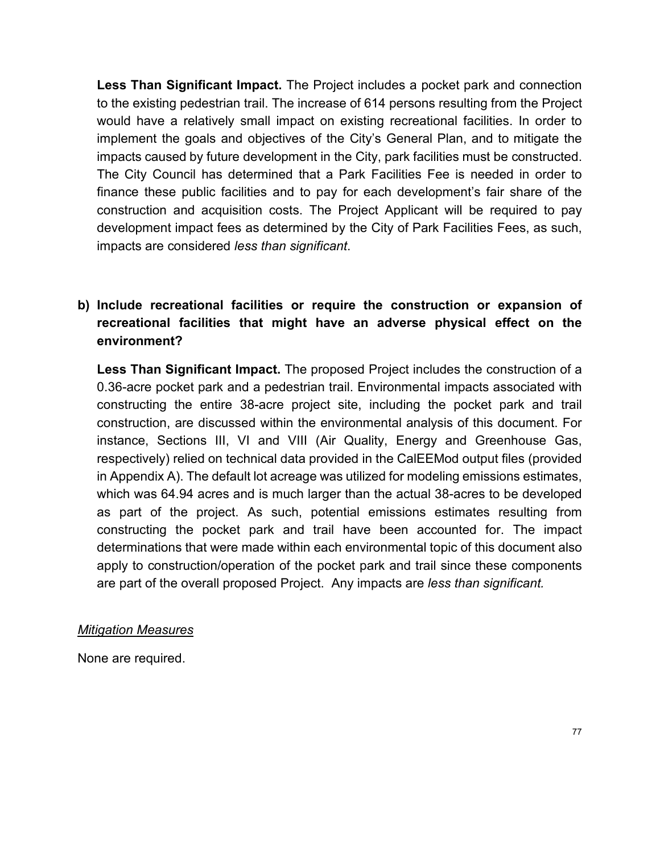**Less Than Significant Impact.** The Project includes a pocket park and connection to the existing pedestrian trail. The increase of 614 persons resulting from the Project would have a relatively small impact on existing recreational facilities. In order to implement the goals and objectives of the City's General Plan, and to mitigate the impacts caused by future development in the City, park facilities must be constructed. The City Council has determined that a Park Facilities Fee is needed in order to finance these public facilities and to pay for each development's fair share of the construction and acquisition costs. The Project Applicant will be required to pay development impact fees as determined by the City of Park Facilities Fees, as such, impacts are considered *less than significant*.

# **b) Include recreational facilities or require the construction or expansion of recreational facilities that might have an adverse physical effect on the environment?**

**Less Than Significant Impact.** The proposed Project includes the construction of a 0.36-acre pocket park and a pedestrian trail. Environmental impacts associated with constructing the entire 38-acre project site, including the pocket park and trail construction, are discussed within the environmental analysis of this document. For instance, Sections III, VI and VIII (Air Quality, Energy and Greenhouse Gas, respectively) relied on technical data provided in the CalEEMod output files (provided in Appendix A). The default lot acreage was utilized for modeling emissions estimates, which was 64.94 acres and is much larger than the actual 38-acres to be developed as part of the project. As such, potential emissions estimates resulting from constructing the pocket park and trail have been accounted for. The impact determinations that were made within each environmental topic of this document also apply to construction/operation of the pocket park and trail since these components are part of the overall proposed Project. Any impacts are *less than significant.*

#### *Mitigation Measures*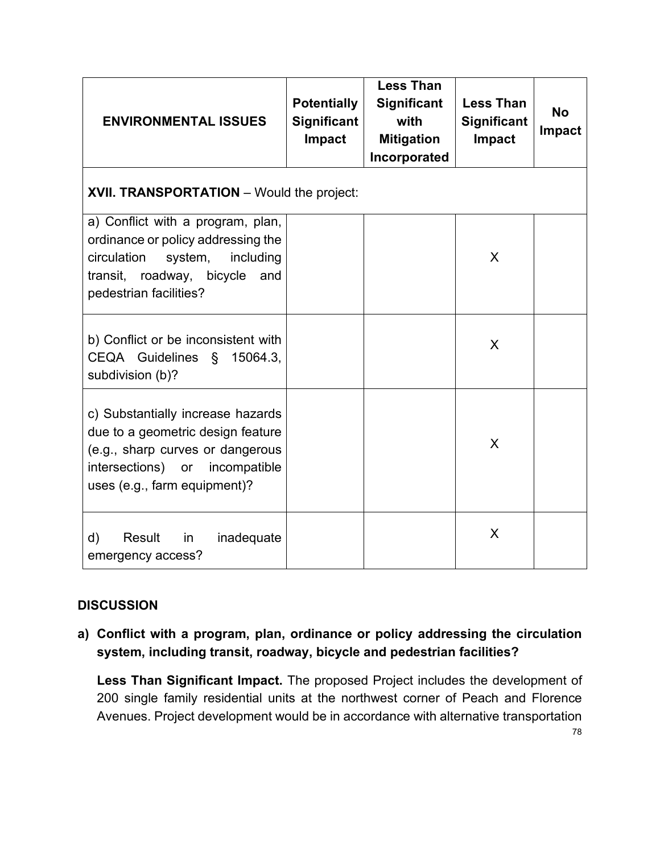| <b>ENVIRONMENTAL ISSUES</b>                                                                                                                                                     | <b>Potentially</b><br><b>Significant</b><br>Impact | <b>Less Than</b><br>Significant<br>with<br><b>Mitigation</b><br>Incorporated | <b>Less Than</b><br><b>Significant</b><br>Impact | <b>No</b><br><b>Impact</b> |
|---------------------------------------------------------------------------------------------------------------------------------------------------------------------------------|----------------------------------------------------|------------------------------------------------------------------------------|--------------------------------------------------|----------------------------|
| <b>XVII. TRANSPORTATION</b> – Would the project:                                                                                                                                |                                                    |                                                                              |                                                  |                            |
| a) Conflict with a program, plan,<br>ordinance or policy addressing the<br>circulation<br>system,<br>including<br>transit, roadway, bicycle<br>and<br>pedestrian facilities?    |                                                    |                                                                              | X                                                |                            |
| b) Conflict or be inconsistent with<br>CEQA Guidelines §<br>15064.3,<br>subdivision (b)?                                                                                        |                                                    |                                                                              | X                                                |                            |
| c) Substantially increase hazards<br>due to a geometric design feature<br>(e.g., sharp curves or dangerous<br>intersections) or<br>incompatible<br>uses (e.g., farm equipment)? |                                                    |                                                                              | X                                                |                            |
| d)<br>Result<br>in<br>inadequate<br>emergency access?                                                                                                                           |                                                    |                                                                              | X                                                |                            |

**a) Conflict with a program, plan, ordinance or policy addressing the circulation system, including transit, roadway, bicycle and pedestrian facilities?**

**Less Than Significant Impact.** The proposed Project includes the development of 200 single family residential units at the northwest corner of Peach and Florence Avenues. Project development would be in accordance with alternative transportation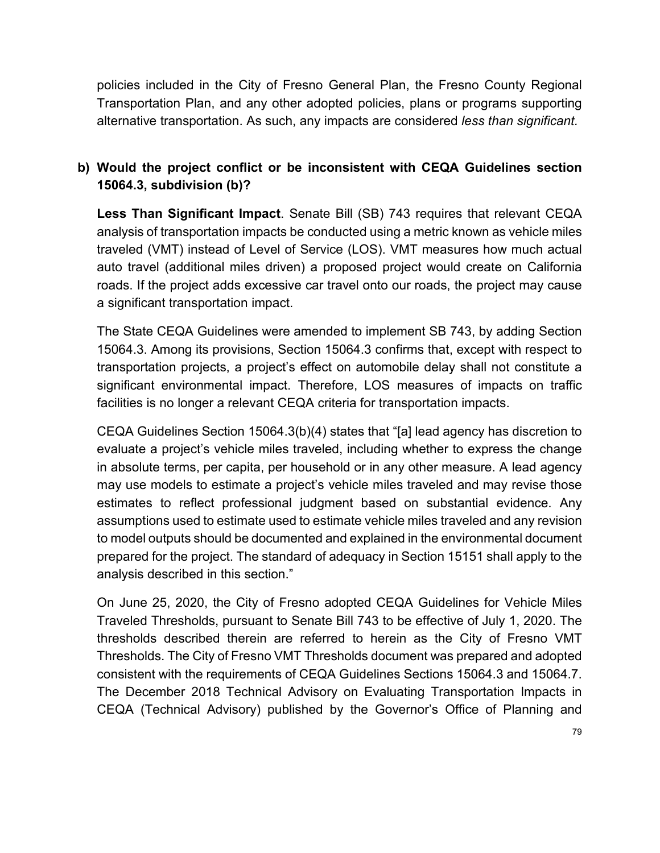policies included in the City of Fresno General Plan, the Fresno County Regional Transportation Plan, and any other adopted policies, plans or programs supporting alternative transportation. As such, any impacts are considered *less than significant.*

# **b) Would the project conflict or be inconsistent with CEQA Guidelines section 15064.3, subdivision (b)?**

**Less Than Significant Impact**. Senate Bill (SB) 743 requires that relevant CEQA analysis of transportation impacts be conducted using a metric known as vehicle miles traveled (VMT) instead of Level of Service (LOS). VMT measures how much actual auto travel (additional miles driven) a proposed project would create on California roads. If the project adds excessive car travel onto our roads, the project may cause a significant transportation impact.

The State CEQA Guidelines were amended to implement SB 743, by adding Section 15064.3. Among its provisions, Section 15064.3 confirms that, except with respect to transportation projects, a project's effect on automobile delay shall not constitute a significant environmental impact. Therefore, LOS measures of impacts on traffic facilities is no longer a relevant CEQA criteria for transportation impacts.

CEQA Guidelines Section 15064.3(b)(4) states that "[a] lead agency has discretion to evaluate a project's vehicle miles traveled, including whether to express the change in absolute terms, per capita, per household or in any other measure. A lead agency may use models to estimate a project's vehicle miles traveled and may revise those estimates to reflect professional judgment based on substantial evidence. Any assumptions used to estimate used to estimate vehicle miles traveled and any revision to model outputs should be documented and explained in the environmental document prepared for the project. The standard of adequacy in Section 15151 shall apply to the analysis described in this section."

On June 25, 2020, the City of Fresno adopted CEQA Guidelines for Vehicle Miles Traveled Thresholds, pursuant to Senate Bill 743 to be effective of July 1, 2020. The thresholds described therein are referred to herein as the City of Fresno VMT Thresholds. The City of Fresno VMT Thresholds document was prepared and adopted consistent with the requirements of CEQA Guidelines Sections 15064.3 and 15064.7. The December 2018 Technical Advisory on Evaluating Transportation Impacts in CEQA (Technical Advisory) published by the Governor's Office of Planning and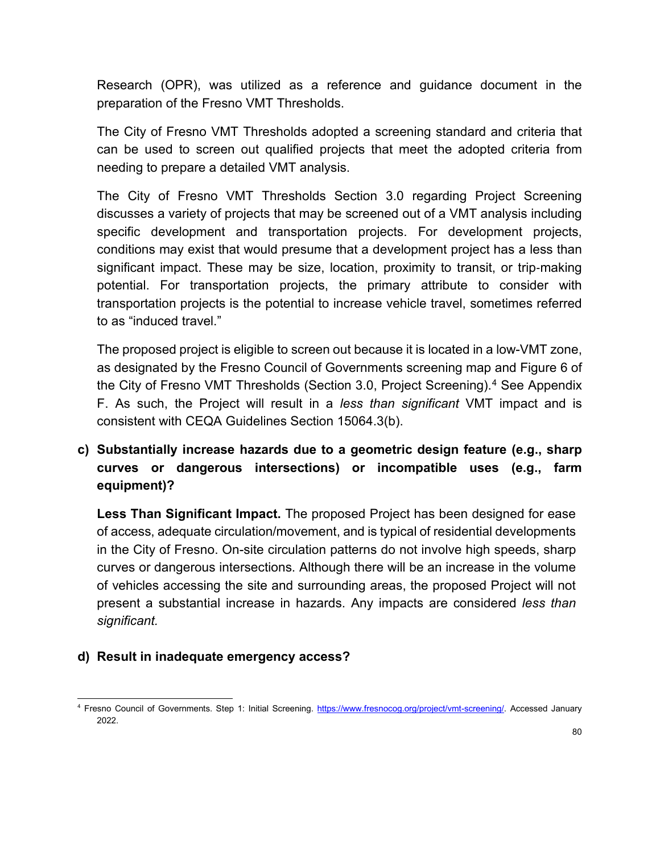Research (OPR), was utilized as a reference and guidance document in the preparation of the Fresno VMT Thresholds.

The City of Fresno VMT Thresholds adopted a screening standard and criteria that can be used to screen out qualified projects that meet the adopted criteria from needing to prepare a detailed VMT analysis.

The City of Fresno VMT Thresholds Section 3.0 regarding Project Screening discusses a variety of projects that may be screened out of a VMT analysis including specific development and transportation projects. For development projects, conditions may exist that would presume that a development project has a less than significant impact. These may be size, location, proximity to transit, or trip-making potential. For transportation projects, the primary attribute to consider with transportation projects is the potential to increase vehicle travel, sometimes referred to as "induced travel."

The proposed project is eligible to screen out because it is located in a low-VMT zone, as designated by the Fresno Council of Governments screening map and Figure 6 of the City of Fresno VMT Thresholds (Section 3.0, Project Screening). [4](#page-79-0) See Appendix F. As such, the Project will result in a *less than significant* VMT impact and is consistent with CEQA Guidelines Section 15064.3(b).

# **c) Substantially increase hazards due to a geometric design feature (e.g., sharp curves or dangerous intersections) or incompatible uses (e.g., farm equipment)?**

**Less Than Significant Impact.** The proposed Project has been designed for ease of access, adequate circulation/movement, and is typical of residential developments in the City of Fresno. On-site circulation patterns do not involve high speeds, sharp curves or dangerous intersections. Although there will be an increase in the volume of vehicles accessing the site and surrounding areas, the proposed Project will not present a substantial increase in hazards. Any impacts are considered *less than significant.*

# **d) Result in inadequate emergency access?**

<span id="page-79-0"></span><sup>4</sup> Fresno Council of Governments. Step 1: Initial Screening. [https://www.fresnocog.org/project/vmt-screening/.](https://www.fresnocog.org/project/vmt-screening/) Accessed January 2022.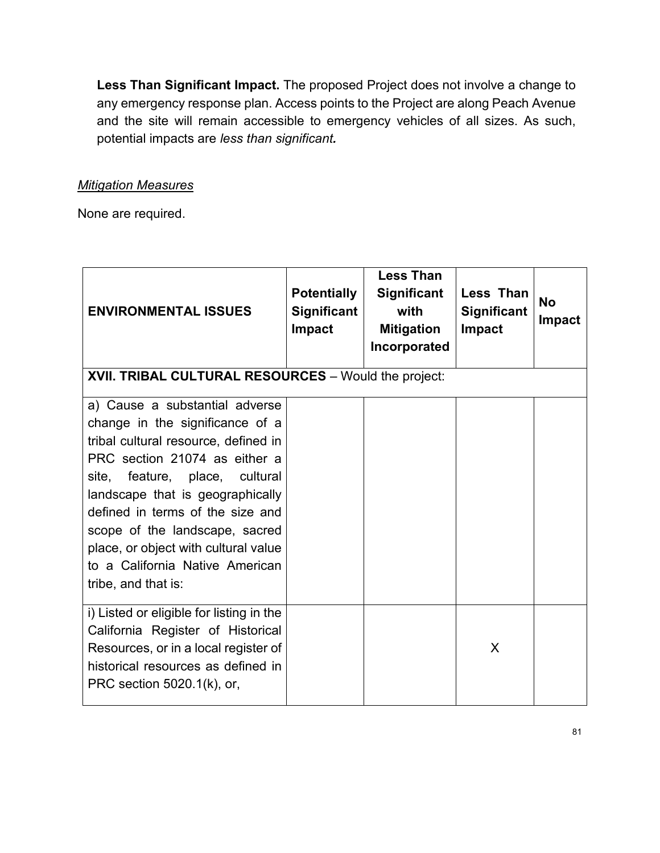**Less Than Significant Impact.** The proposed Project does not involve a change to any emergency response plan. Access points to the Project are along Peach Avenue and the site will remain accessible to emergency vehicles of all sizes. As such, potential impacts are *less than significant.* 

### *Mitigation Measures*

| <b>ENVIRONMENTAL ISSUES</b>                                                                                                                                                                                                                                                                                                                                                                 | <b>Potentially</b><br><b>Significant</b><br><b>Impact</b> | <b>Less Than</b><br><b>Significant</b><br>with<br><b>Mitigation</b><br>Incorporated | <b>Less Than</b><br><b>Significant</b><br>Impact | <b>No</b><br><b>Impact</b> |
|---------------------------------------------------------------------------------------------------------------------------------------------------------------------------------------------------------------------------------------------------------------------------------------------------------------------------------------------------------------------------------------------|-----------------------------------------------------------|-------------------------------------------------------------------------------------|--------------------------------------------------|----------------------------|
| XVII. TRIBAL CULTURAL RESOURCES - Would the project:                                                                                                                                                                                                                                                                                                                                        |                                                           |                                                                                     |                                                  |                            |
| a) Cause a substantial adverse<br>change in the significance of a<br>tribal cultural resource, defined in<br>PRC section 21074 as either a<br>feature, place, cultural<br>site,<br>landscape that is geographically<br>defined in terms of the size and<br>scope of the landscape, sacred<br>place, or object with cultural value<br>to a California Native American<br>tribe, and that is: |                                                           |                                                                                     |                                                  |                            |
| i) Listed or eligible for listing in the<br>California Register of Historical<br>Resources, or in a local register of<br>historical resources as defined in<br>PRC section 5020.1(k), or,                                                                                                                                                                                                   |                                                           |                                                                                     | X                                                |                            |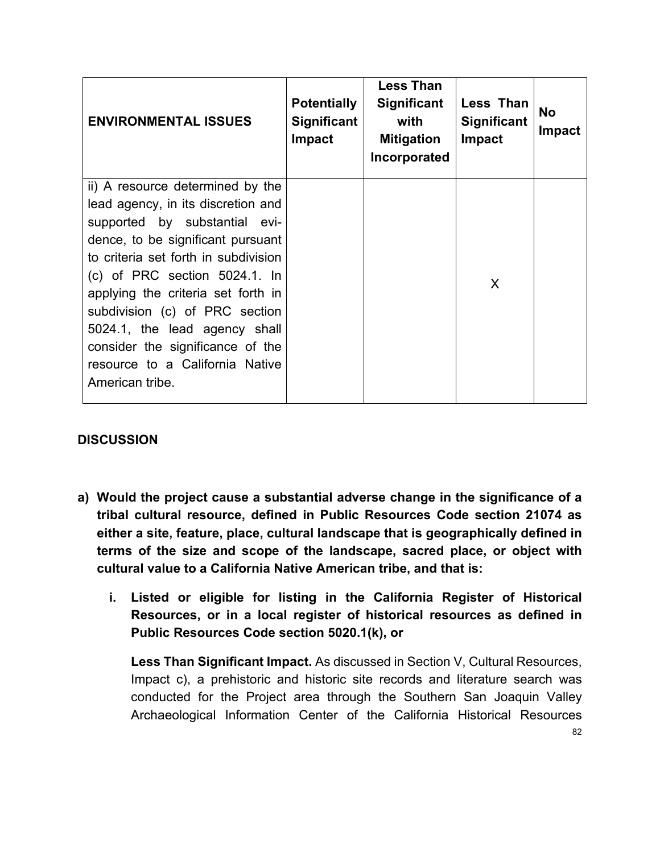| <b>ENVIRONMENTAL ISSUES</b>                                                                                                                                                                                             | <b>Potentially</b><br><b>Significant</b><br><b>Impact</b> | <b>Less Than</b><br><b>Significant</b><br>with<br><b>Mitigation</b><br>Incorporated | Less Than<br><b>Significant</b><br><b>Impact</b> | <b>No</b><br><b>Impact</b> |
|-------------------------------------------------------------------------------------------------------------------------------------------------------------------------------------------------------------------------|-----------------------------------------------------------|-------------------------------------------------------------------------------------|--------------------------------------------------|----------------------------|
| ii) A resource determined by the<br>lead agency, in its discretion and<br>supported by substantial evi-<br>dence, to be significant pursuant<br>to criteria set forth in subdivision<br>$(c)$ of PRC section 5024.1. In |                                                           |                                                                                     |                                                  |                            |
| applying the criteria set forth in<br>subdivision (c) of PRC section<br>5024.1, the lead agency shall<br>consider the significance of the<br>resource to a California Native<br>American tribe.                         |                                                           |                                                                                     | X                                                |                            |

- **a) Would the project cause a substantial adverse change in the significance of a tribal cultural resource, defined in Public Resources Code section 21074 as either a site, feature, place, cultural landscape that is geographically defined in terms of the size and scope of the landscape, sacred place, or object with cultural value to a California Native American tribe, and that is:**
	- **i. Listed or eligible for listing in the California Register of Historical Resources, or in a local register of historical resources as defined in Public Resources Code section 5020.1(k), or**

**Less Than Significant Impact.** As discussed in Section V, Cultural Resources, Impact c), a prehistoric and historic site records and literature search was conducted for the Project area through the Southern San Joaquin Valley Archaeological Information Center of the California Historical Resources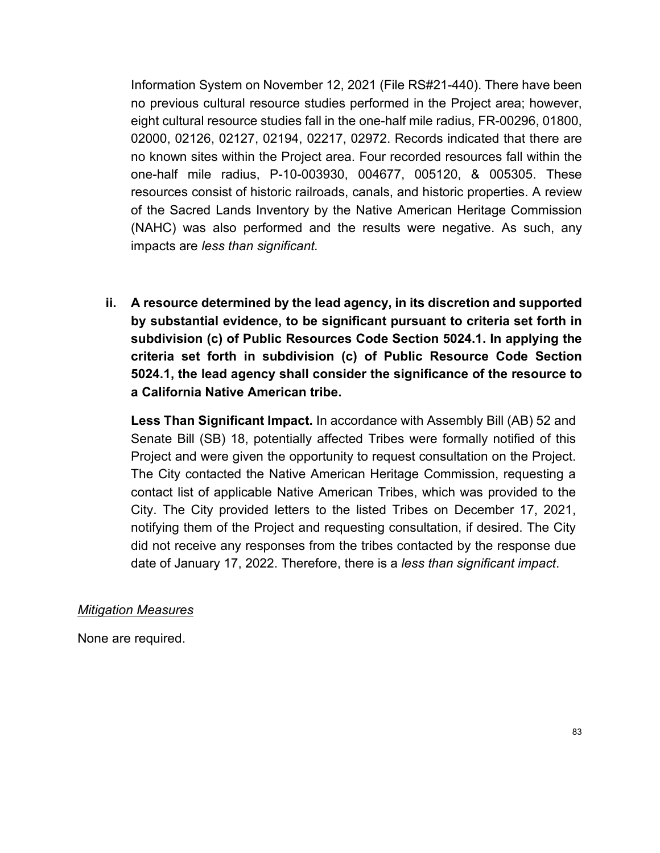Information System on November 12, 2021 (File RS#21-440). There have been no previous cultural resource studies performed in the Project area; however, eight cultural resource studies fall in the one-half mile radius, FR-00296, 01800, 02000, 02126, 02127, 02194, 02217, 02972. Records indicated that there are no known sites within the Project area. Four recorded resources fall within the one-half mile radius, P-10-003930, 004677, 005120, & 005305. These resources consist of historic railroads, canals, and historic properties. A review of the Sacred Lands Inventory by the Native American Heritage Commission (NAHC) was also performed and the results were negative. As such, any impacts are *less than significant.* 

**ii. A resource determined by the lead agency, in its discretion and supported by substantial evidence, to be significant pursuant to criteria set forth in subdivision (c) of Public Resources Code Section 5024.1. In applying the criteria set forth in subdivision (c) of Public Resource Code Section 5024.1, the lead agency shall consider the significance of the resource to a California Native American tribe.**

**Less Than Significant Impact.** In accordance with Assembly Bill (AB) 52 and Senate Bill (SB) 18, potentially affected Tribes were formally notified of this Project and were given the opportunity to request consultation on the Project. The City contacted the Native American Heritage Commission, requesting a contact list of applicable Native American Tribes, which was provided to the City. The City provided letters to the listed Tribes on December 17, 2021, notifying them of the Project and requesting consultation, if desired. The City did not receive any responses from the tribes contacted by the response due date of January 17, 2022. Therefore, there is a *less than significant impact*.

#### *Mitigation Measures*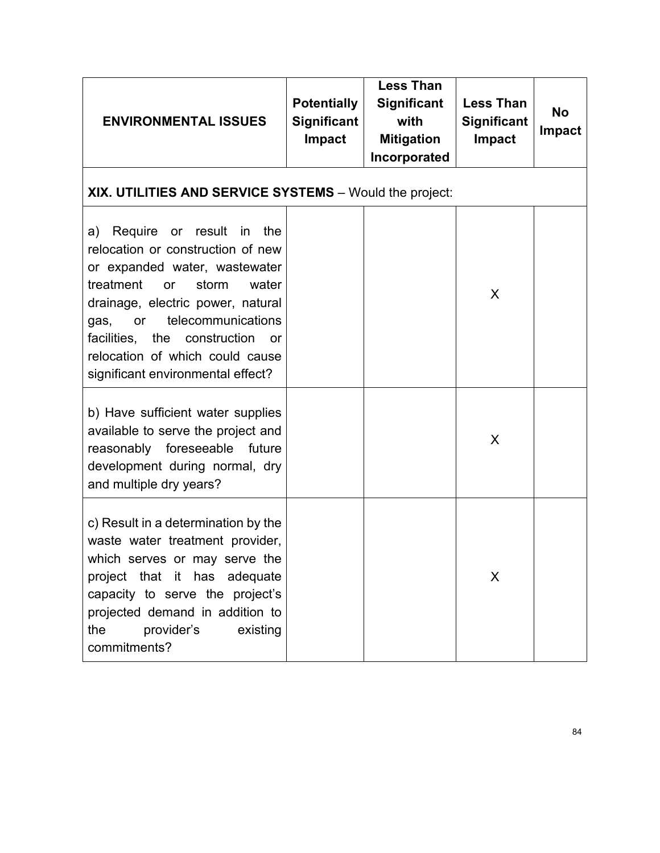| <b>ENVIRONMENTAL ISSUES</b>                                                                                                                                                                                                                                                                                                                       | <b>Potentially</b><br><b>Significant</b><br><b>Impact</b> | <b>Less Than</b><br><b>Significant</b><br>with<br><b>Mitigation</b><br>Incorporated | <b>Less Than</b><br><b>Significant</b><br>Impact | <b>No</b><br><b>Impact</b> |
|---------------------------------------------------------------------------------------------------------------------------------------------------------------------------------------------------------------------------------------------------------------------------------------------------------------------------------------------------|-----------------------------------------------------------|-------------------------------------------------------------------------------------|--------------------------------------------------|----------------------------|
| XIX. UTILITIES AND SERVICE SYSTEMS - Would the project:                                                                                                                                                                                                                                                                                           |                                                           |                                                                                     |                                                  |                            |
| Require or result in<br>a)<br>the<br>relocation or construction of new<br>or expanded water, wastewater<br>treatment<br>storm<br>water<br><b>or</b><br>drainage, electric power, natural<br>telecommunications<br>gas,<br>or<br>facilities, the construction<br><b>or</b><br>relocation of which could cause<br>significant environmental effect? |                                                           |                                                                                     | X                                                |                            |
| b) Have sufficient water supplies<br>available to serve the project and<br>reasonably foreseeable future<br>development during normal, dry<br>and multiple dry years?                                                                                                                                                                             |                                                           |                                                                                     | X                                                |                            |
| c) Result in a determination by the<br>waste water treatment provider,<br>which serves or may serve the<br>project that it has adequate<br>capacity to serve the project's<br>projected demand in addition to<br>provider's<br>existing<br>the<br>commitments?                                                                                    |                                                           |                                                                                     | X                                                |                            |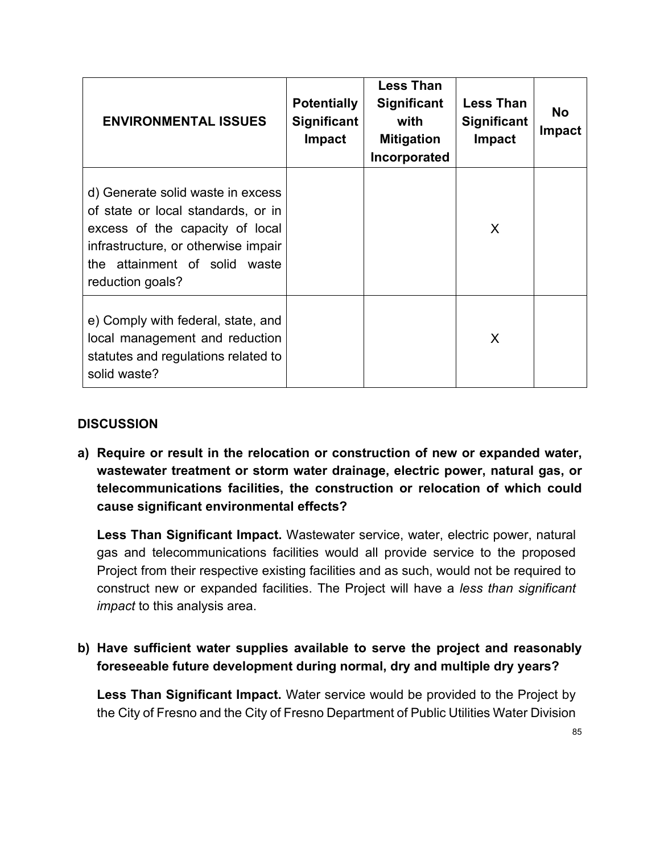| <b>ENVIRONMENTAL ISSUES</b>                                                                                                                                                                            | <b>Potentially</b><br><b>Significant</b><br><b>Impact</b> | <b>Less Than</b><br>Significant<br>with<br><b>Mitigation</b><br>Incorporated | <b>Less Than</b><br><b>Significant</b><br>Impact | <b>No</b><br><b>Impact</b> |
|--------------------------------------------------------------------------------------------------------------------------------------------------------------------------------------------------------|-----------------------------------------------------------|------------------------------------------------------------------------------|--------------------------------------------------|----------------------------|
| d) Generate solid waste in excess<br>of state or local standards, or in<br>excess of the capacity of local<br>infrastructure, or otherwise impair<br>the attainment of solid waste<br>reduction goals? |                                                           |                                                                              | X                                                |                            |
| e) Comply with federal, state, and<br>local management and reduction<br>statutes and regulations related to<br>solid waste?                                                                            |                                                           |                                                                              | X                                                |                            |

**a) Require or result in the relocation or construction of new or expanded water, wastewater treatment or storm water drainage, electric power, natural gas, or telecommunications facilities, the construction or relocation of which could cause significant environmental effects?**

**Less Than Significant Impact.** Wastewater service, water, electric power, natural gas and telecommunications facilities would all provide service to the proposed Project from their respective existing facilities and as such, would not be required to construct new or expanded facilities. The Project will have a *less than significant impact* to this analysis area.

# **b) Have sufficient water supplies available to serve the project and reasonably foreseeable future development during normal, dry and multiple dry years?**

**Less Than Significant Impact.** Water service would be provided to the Project by the City of Fresno and the City of Fresno Department of Public Utilities Water Division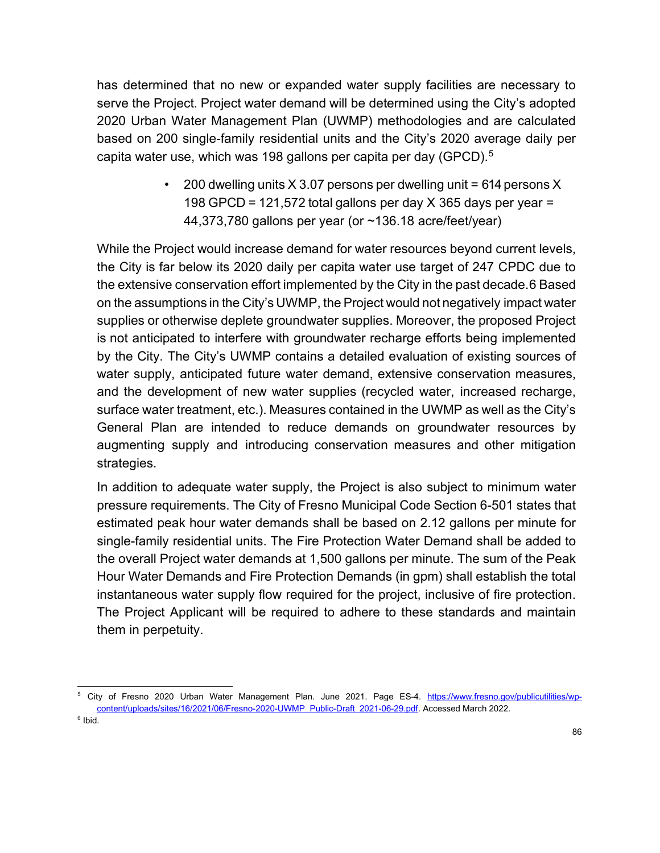has determined that no new or expanded water supply facilities are necessary to serve the Project. Project water demand will be determined using the City's adopted 2020 Urban Water Management Plan (UWMP) methodologies and are calculated based on 200 single-family residential units and the City's 2020 average daily per capita water use, which was 198 gallons per capita per day (GPCD).<sup>[5](#page-85-0)</sup>

> • 200 dwelling units  $X$  3.07 persons per dwelling unit = 614 persons X 198 GPCD = 121,572 total gallons per day  $X$  365 days per year = 44,373,780 gallons per year (or ~136.18 acre/feet/year)

While the Project would increase demand for water resources beyond current levels, the City is far below its 2020 daily per capita water use target of 247 CPDC due to the extensive conservation effort implemented by the City in the past decade.[6](#page-85-1) Based on the assumptions in the City's UWMP, the Project would not negatively impact water supplies or otherwise deplete groundwater supplies. Moreover, the proposed Project is not anticipated to interfere with groundwater recharge efforts being implemented by the City. The City's UWMP contains a detailed evaluation of existing sources of water supply, anticipated future water demand, extensive conservation measures, and the development of new water supplies (recycled water, increased recharge, surface water treatment, etc.). Measures contained in the UWMP as well as the City's General Plan are intended to reduce demands on groundwater resources by augmenting supply and introducing conservation measures and other mitigation strategies.

In addition to adequate water supply, the Project is also subject to minimum water pressure requirements. The City of Fresno Municipal Code Section 6-501 states that estimated peak hour water demands shall be based on 2.12 gallons per minute for single-family residential units. The Fire Protection Water Demand shall be added to the overall Project water demands at 1,500 gallons per minute. The sum of the Peak Hour Water Demands and Fire Protection Demands (in gpm) shall establish the total instantaneous water supply flow required for the project, inclusive of fire protection. The Project Applicant will be required to adhere to these standards and maintain them in perpetuity.

<span id="page-85-1"></span><span id="page-85-0"></span><sup>&</sup>lt;sup>5</sup> City of Fresno 2020 Urban Water Management Plan. June 2021. Page ES-4. [https://www.fresno.gov/publicutilities/wp](https://www.fresno.gov/publicutilities/wp-content/uploads/sites/16/2021/06/Fresno-2020-UWMP_Public-Draft_2021-06-29.pdf)[content/uploads/sites/16/2021/06/Fresno-2020-UWMP\\_Public-Draft\\_2021-06-29.pdf.](https://www.fresno.gov/publicutilities/wp-content/uploads/sites/16/2021/06/Fresno-2020-UWMP_Public-Draft_2021-06-29.pdf) Accessed March 2022.  $6$  Ibid.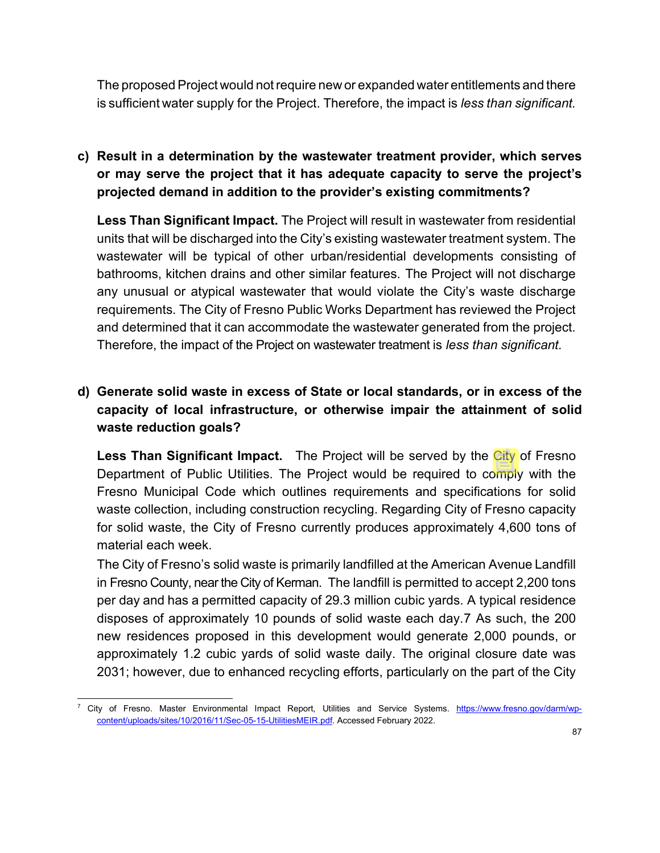The proposed Project would not require new or expanded water entitlements and there is sufficient water supply for the Project. Therefore, the impact is *less than significant.*

**c) Result in a determination by the wastewater treatment provider, which serves or may serve the project that it has adequate capacity to serve the project's projected demand in addition to the provider's existing commitments?**

**Less Than Significant Impact.** The Project will result in wastewater from residential units that will be discharged into the City's existing wastewater treatment system. The wastewater will be typical of other urban/residential developments consisting of bathrooms, kitchen drains and other similar features. The Project will not discharge any unusual or atypical wastewater that would violate the City's waste discharge requirements. The City of Fresno Public Works Department has reviewed the Project and determined that it can accommodate the wastewater generated from the project. Therefore, the impact of the Project on wastewater treatment is *less than significant.*

# **d) Generate solid waste in excess of State or local standards, or in excess of the capacity of local infrastructure, or otherwise impair the attainment of solid waste reduction goals?**

**Less Than Significant Impact.** The Project will be served by the City of Fresno Department of Public Utilities. The Project would be required to comply with the Fresno Municipal Code which outlines requirements and specifications for solid waste collection, including construction recycling. Regarding City of Fresno capacity for solid waste, the City of Fresno currently produces approximately 4,600 tons of material each week.

The City of Fresno's solid waste is primarily landfilled at the American Avenue Landfill in Fresno County, near the City of Kerman. The landfill is permitted to accept 2,200 tons per day and has a permitted capacity of 29.3 million cubic yards. A typical residence disposes of approximately 10 pounds of solid waste each day[.7](#page-86-0) As such, the 200 new residences proposed in this development would generate 2,000 pounds, or approximately 1.2 cubic yards of solid waste daily. The original closure date was 2031; however, due to enhanced recycling efforts, particularly on the part of the City

<span id="page-86-0"></span><sup>7</sup> City of Fresno. Master Environmental Impact Report, Utilities and Service Systems. [https://www.fresno.gov/darm/wp](https://www.fresno.gov/darm/wp-content/uploads/sites/10/2016/11/Sec-05-15-UtilitiesMEIR.pdf)[content/uploads/sites/10/2016/11/Sec-05-15-UtilitiesMEIR.pdf.](https://www.fresno.gov/darm/wp-content/uploads/sites/10/2016/11/Sec-05-15-UtilitiesMEIR.pdf) Accessed February 2022.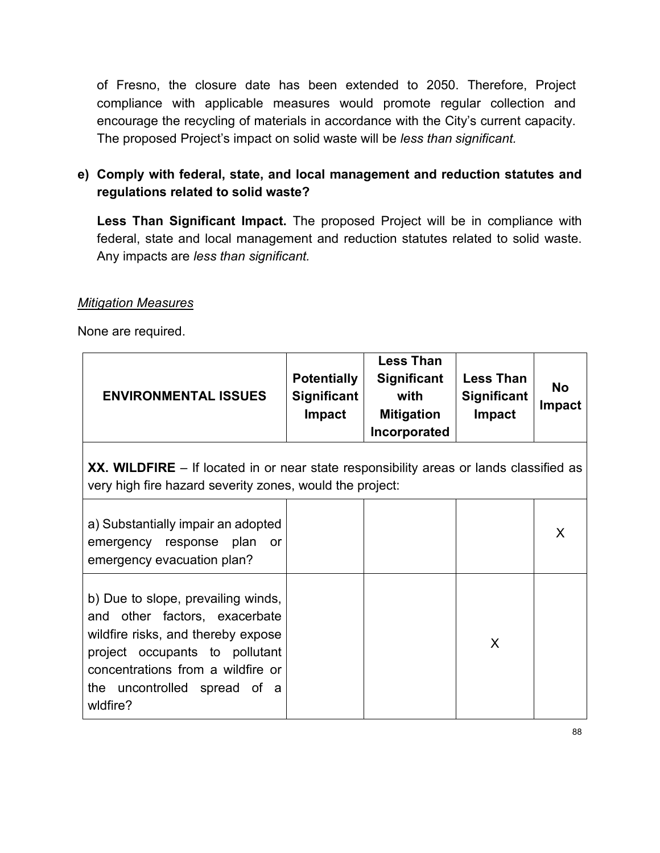of Fresno, the closure date has been extended to 2050. Therefore, Project compliance with applicable measures would promote regular collection and encourage the recycling of materials in accordance with the City's current capacity. The proposed Project's impact on solid waste will be *less than significant.*

# **e) Comply with federal, state, and local management and reduction statutes and regulations related to solid waste?**

**Less Than Significant Impact.** The proposed Project will be in compliance with federal, state and local management and reduction statutes related to solid waste. Any impacts are *less than significant.*

#### *Mitigation Measures*

| <b>ENVIRONMENTAL ISSUES</b>                                                                                                                                                                                                     | <b>Potentially</b><br><b>Significant</b><br><b>Impact</b> | <b>Less Than</b><br>Significant<br>with<br><b>Mitigation</b><br>Incorporated | <b>Less Than</b><br><b>Significant</b><br>Impact | <b>No</b><br><b>Impact</b> |
|---------------------------------------------------------------------------------------------------------------------------------------------------------------------------------------------------------------------------------|-----------------------------------------------------------|------------------------------------------------------------------------------|--------------------------------------------------|----------------------------|
| XX. WILDFIRE – If located in or near state responsibility areas or lands classified as<br>very high fire hazard severity zones, would the project:                                                                              |                                                           |                                                                              |                                                  |                            |
| a) Substantially impair an adopted<br>emergency response plan<br>or<br>emergency evacuation plan?                                                                                                                               |                                                           |                                                                              |                                                  | X                          |
| b) Due to slope, prevailing winds,<br>other factors, exacerbate<br>and<br>wildfire risks, and thereby expose<br>project occupants to pollutant<br>concentrations from a wildfire or<br>the uncontrolled spread of a<br>wldfire? |                                                           |                                                                              | X                                                |                            |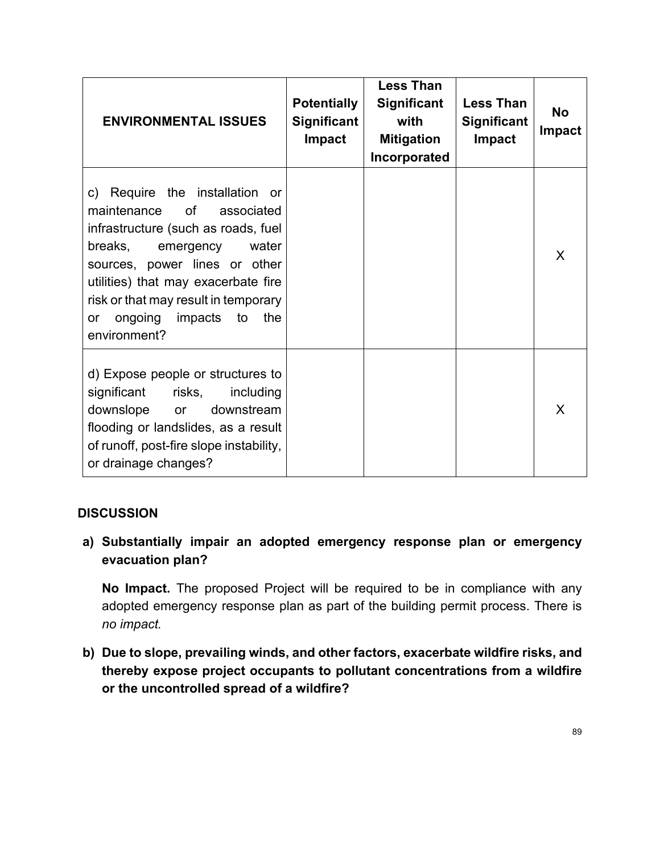| <b>ENVIRONMENTAL ISSUES</b>                                                                                                                                                                                                                                                                                        | <b>Potentially</b><br><b>Significant</b><br><b>Impact</b> | <b>Less Than</b><br><b>Significant</b><br>with<br><b>Mitigation</b><br>Incorporated | <b>Less Than</b><br><b>Significant</b><br><b>Impact</b> | <b>No</b><br><b>Impact</b> |
|--------------------------------------------------------------------------------------------------------------------------------------------------------------------------------------------------------------------------------------------------------------------------------------------------------------------|-----------------------------------------------------------|-------------------------------------------------------------------------------------|---------------------------------------------------------|----------------------------|
| c) Require the installation or<br>of<br>maintenance<br>associated<br>infrastructure (such as roads, fuel<br>breaks,<br>emergency<br>water<br>sources, power lines or other<br>utilities) that may exacerbate fire<br>risk or that may result in temporary<br>ongoing<br>impacts<br>to<br>the<br>or<br>environment? |                                                           |                                                                                     |                                                         | X                          |
| d) Expose people or structures to<br>significant<br>risks,<br>including<br>downslope<br>downstream<br>or<br>flooding or landslides, as a result<br>of runoff, post-fire slope instability,<br>or drainage changes?                                                                                                 |                                                           |                                                                                     |                                                         | X                          |

# **a) Substantially impair an adopted emergency response plan or emergency evacuation plan?**

**No Impact.** The proposed Project will be required to be in compliance with any adopted emergency response plan as part of the building permit process. There is *no impact.*

**b) Due to slope, prevailing winds, and other factors, exacerbate wildfire risks, and thereby expose project occupants to pollutant concentrations from a wildfire or the uncontrolled spread of a wildfire?**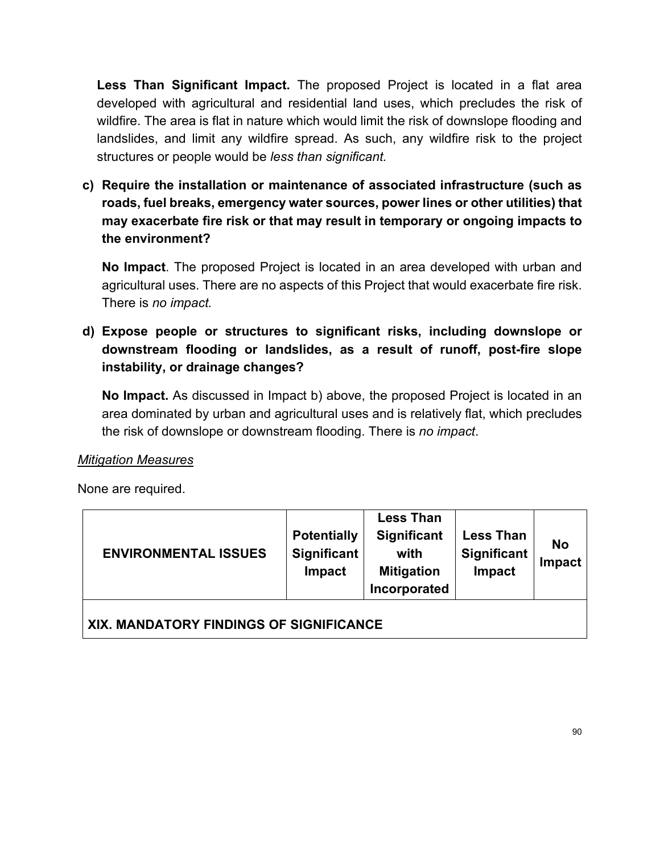**Less Than Significant Impact.** The proposed Project is located in a flat area developed with agricultural and residential land uses, which precludes the risk of wildfire. The area is flat in nature which would limit the risk of downslope flooding and landslides, and limit any wildfire spread. As such, any wildfire risk to the project structures or people would be *less than significant.*

**c) Require the installation or maintenance of associated infrastructure (such as roads, fuel breaks, emergency water sources, power lines or other utilities) that may exacerbate fire risk or that may result in temporary or ongoing impacts to the environment?**

**No Impact**. The proposed Project is located in an area developed with urban and agricultural uses. There are no aspects of this Project that would exacerbate fire risk. There is *no impact.*

**d) Expose people or structures to significant risks, including downslope or downstream flooding or landslides, as a result of runoff, post-fire slope instability, or drainage changes?**

**No Impact.** As discussed in Impact b) above, the proposed Project is located in an area dominated by urban and agricultural uses and is relatively flat, which precludes the risk of downslope or downstream flooding. There is *no impact*.

#### *Mitigation Measures*

| <b>ENVIRONMENTAL ISSUES</b>             | <b>Potentially</b><br><b>Significant</b><br><b>Impact</b> | <b>Less Than</b><br><b>Significant</b><br>with<br><b>Mitigation</b><br>Incorporated | <b>Less Than</b><br><b>Significant</b><br>Impact | <b>No</b><br>Impact |  |
|-----------------------------------------|-----------------------------------------------------------|-------------------------------------------------------------------------------------|--------------------------------------------------|---------------------|--|
| XIX. MANDATORY FINDINGS OF SIGNIFICANCE |                                                           |                                                                                     |                                                  |                     |  |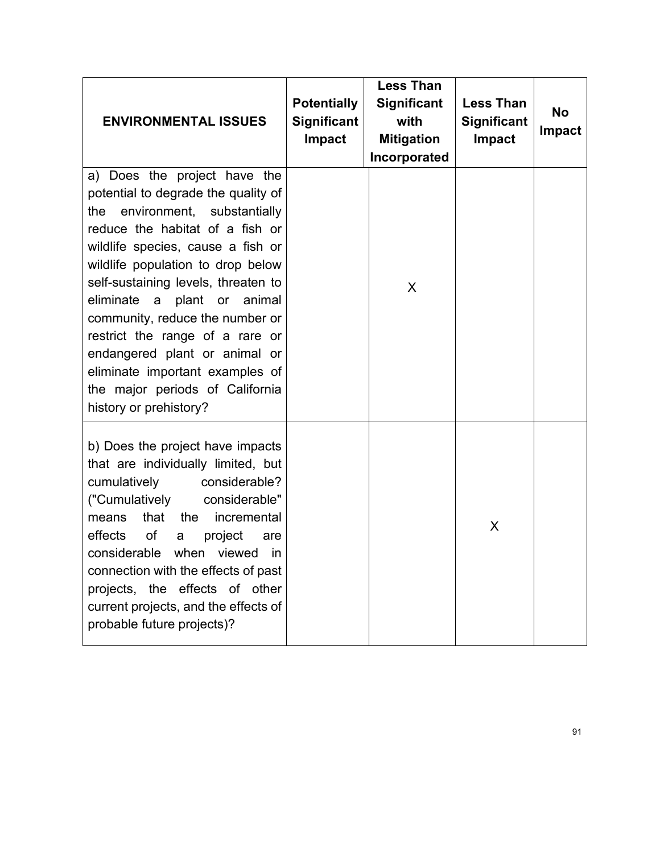| <b>ENVIRONMENTAL ISSUES</b>                                                                                                                                                                                                                                                                                                                                                                                                                                                                        | <b>Potentially</b><br><b>Significant</b><br><b>Impact</b> | <b>Less Than</b><br><b>Significant</b><br>with<br><b>Mitigation</b><br>Incorporated | <b>Less Than</b><br><b>Significant</b><br><b>Impact</b> | <b>No</b><br><b>Impact</b> |
|----------------------------------------------------------------------------------------------------------------------------------------------------------------------------------------------------------------------------------------------------------------------------------------------------------------------------------------------------------------------------------------------------------------------------------------------------------------------------------------------------|-----------------------------------------------------------|-------------------------------------------------------------------------------------|---------------------------------------------------------|----------------------------|
| a) Does the project have the<br>potential to degrade the quality of<br>environment, substantially<br>the<br>reduce the habitat of a fish or<br>wildlife species, cause a fish or<br>wildlife population to drop below<br>self-sustaining levels, threaten to<br>eliminate a plant or animal<br>community, reduce the number or<br>restrict the range of a rare or<br>endangered plant or animal or<br>eliminate important examples of<br>the major periods of California<br>history or prehistory? |                                                           | X                                                                                   |                                                         |                            |
| b) Does the project have impacts<br>that are individually limited, but<br>cumulatively<br>considerable?<br>("Cumulatively<br>considerable"<br>that<br>the<br>incremental<br>means<br>effects<br>of<br>project<br>are<br>a<br>considerable when<br>viewed<br>in<br>connection with the effects of past<br>projects, the effects of other<br>current projects, and the effects of<br>probable future projects)?                                                                                      |                                                           |                                                                                     | X                                                       |                            |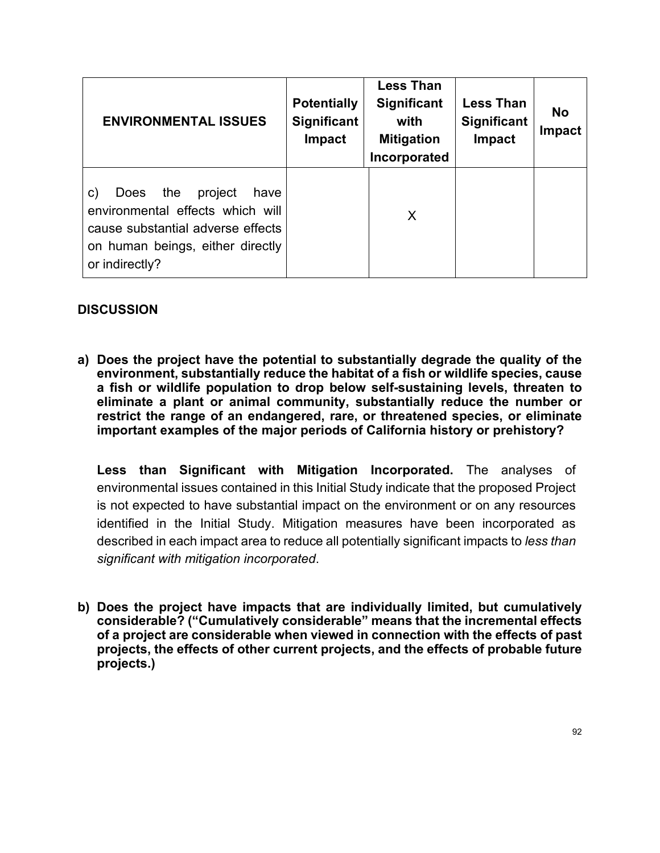| <b>ENVIRONMENTAL ISSUES</b>                                                                                                                                                | <b>Potentially</b><br><b>Significant</b><br><b>Impact</b> | <b>Less Than</b><br><b>Significant</b><br>with<br><b>Mitigation</b><br>Incorporated | <b>Less Than</b><br><b>Significant</b><br>Impact | <b>No</b><br><b>Impact</b> |
|----------------------------------------------------------------------------------------------------------------------------------------------------------------------------|-----------------------------------------------------------|-------------------------------------------------------------------------------------|--------------------------------------------------|----------------------------|
| the<br>project<br>c)<br><b>Does</b><br>have<br>environmental effects which will<br>cause substantial adverse effects<br>on human beings, either directly<br>or indirectly? |                                                           | X                                                                                   |                                                  |                            |

**a) Does the project have the potential to substantially degrade the quality of the environment, substantially reduce the habitat of a fish or wildlife species, cause a fish or wildlife population to drop below self-sustaining levels, threaten to eliminate a plant or animal community, substantially reduce the number or restrict the range of an endangered, rare, or threatened species, or eliminate important examples of the major periods of California history or prehistory?**

**Less than Significant with Mitigation Incorporated.** The analyses of environmental issues contained in this Initial Study indicate that the proposed Project is not expected to have substantial impact on the environment or on any resources identified in the Initial Study. Mitigation measures have been incorporated as described in each impact area to reduce all potentially significant impacts to *less than significant with mitigation incorporated*.

**b) Does the project have impacts that are individually limited, but cumulatively considerable? ("Cumulatively considerable" means that the incremental effects of a project are considerable when viewed in connection with the effects of past projects, the effects of other current projects, and the effects of probable future projects.)**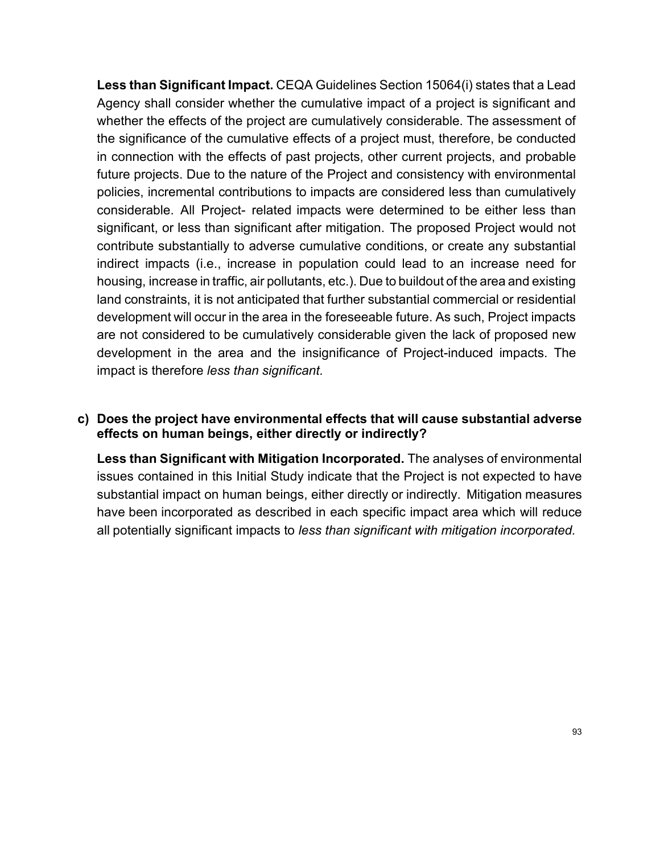**Less than Significant Impact.** CEQA Guidelines Section 15064(i) states that a Lead Agency shall consider whether the cumulative impact of a project is significant and whether the effects of the project are cumulatively considerable. The assessment of the significance of the cumulative effects of a project must, therefore, be conducted in connection with the effects of past projects, other current projects, and probable future projects. Due to the nature of the Project and consistency with environmental policies, incremental contributions to impacts are considered less than cumulatively considerable. All Project- related impacts were determined to be either less than significant, or less than significant after mitigation. The proposed Project would not contribute substantially to adverse cumulative conditions, or create any substantial indirect impacts (i.e., increase in population could lead to an increase need for housing, increase in traffic, air pollutants, etc.). Due to buildout of the area and existing land constraints, it is not anticipated that further substantial commercial or residential development will occur in the area in the foreseeable future. As such, Project impacts are not considered to be cumulatively considerable given the lack of proposed new development in the area and the insignificance of Project-induced impacts. The impact is therefore *less than significant.*

#### **c) Does the project have environmental effects that will cause substantial adverse effects on human beings, either directly or indirectly?**

**Less than Significant with Mitigation Incorporated.** The analyses of environmental issues contained in this Initial Study indicate that the Project is not expected to have substantial impact on human beings, either directly or indirectly. Mitigation measures have been incorporated as described in each specific impact area which will reduce all potentially significant impacts to *less than significant with mitigation incorporated.*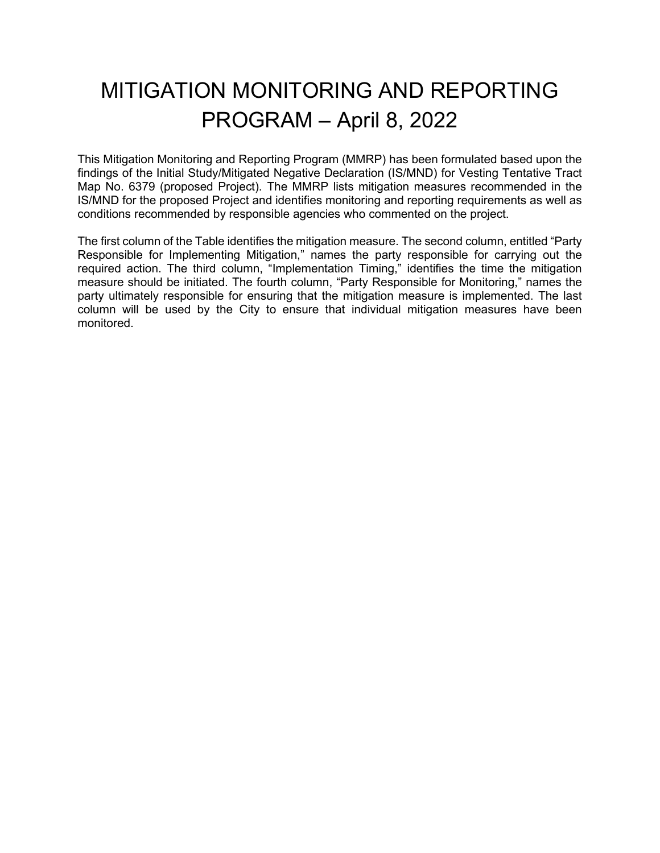# MITIGATION MONITORING AND REPORTING PROGRAM – April 8, 2022

This Mitigation Monitoring and Reporting Program (MMRP) has been formulated based upon the findings of the Initial Study/Mitigated Negative Declaration (IS/MND) for Vesting Tentative Tract Map No. 6379 (proposed Project). The MMRP lists mitigation measures recommended in the IS/MND for the proposed Project and identifies monitoring and reporting requirements as well as conditions recommended by responsible agencies who commented on the project.

The first column of the Table identifies the mitigation measure. The second column, entitled "Party Responsible for Implementing Mitigation," names the party responsible for carrying out the required action. The third column, "Implementation Timing," identifies the time the mitigation measure should be initiated. The fourth column, "Party Responsible for Monitoring," names the party ultimately responsible for ensuring that the mitigation measure is implemented. The last column will be used by the City to ensure that individual mitigation measures have been monitored.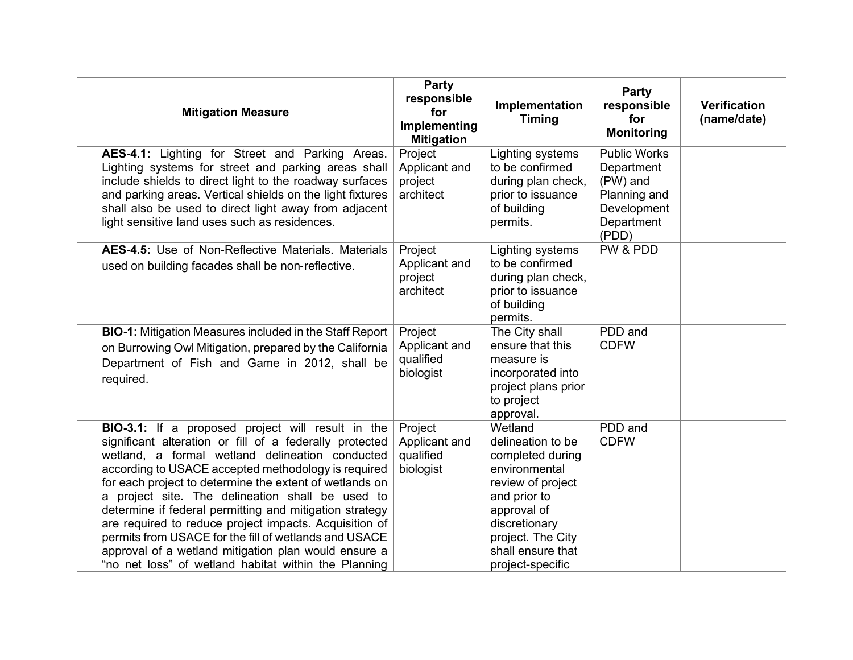| <b>Mitigation Measure</b>                                                                                                                                                                                                                                                                                                                                                                                                                                                                                                                                                                                                           | Party<br>responsible<br>for<br>Implementing<br><b>Mitigation</b> | Implementation<br><b>Timing</b>                                                                                                                                                                      | Party<br>responsible<br>for<br><b>Monitoring</b>                                                    | <b>Verification</b><br>(name/date) |
|-------------------------------------------------------------------------------------------------------------------------------------------------------------------------------------------------------------------------------------------------------------------------------------------------------------------------------------------------------------------------------------------------------------------------------------------------------------------------------------------------------------------------------------------------------------------------------------------------------------------------------------|------------------------------------------------------------------|------------------------------------------------------------------------------------------------------------------------------------------------------------------------------------------------------|-----------------------------------------------------------------------------------------------------|------------------------------------|
| AES-4.1: Lighting for Street and Parking Areas.<br>Lighting systems for street and parking areas shall<br>include shields to direct light to the roadway surfaces<br>and parking areas. Vertical shields on the light fixtures<br>shall also be used to direct light away from adjacent<br>light sensitive land uses such as residences.                                                                                                                                                                                                                                                                                            | Project<br>Applicant and<br>project<br>architect                 | Lighting systems<br>to be confirmed<br>during plan check,<br>prior to issuance<br>of building<br>permits.                                                                                            | <b>Public Works</b><br>Department<br>(PW) and<br>Planning and<br>Development<br>Department<br>(PDD) |                                    |
| AES-4.5: Use of Non-Reflective Materials. Materials<br>used on building facades shall be non-reflective.                                                                                                                                                                                                                                                                                                                                                                                                                                                                                                                            | Project<br>Applicant and<br>project<br>architect                 | Lighting systems<br>to be confirmed<br>during plan check,<br>prior to issuance<br>of building<br>permits.                                                                                            | PW & PDD                                                                                            |                                    |
| <b>BIO-1:</b> Mitigation Measures included in the Staff Report<br>on Burrowing Owl Mitigation, prepared by the California<br>Department of Fish and Game in 2012, shall be<br>required.                                                                                                                                                                                                                                                                                                                                                                                                                                             | Project<br>Applicant and<br>qualified<br>biologist               | The City shall<br>ensure that this<br>measure is<br>incorporated into<br>project plans prior<br>to project<br>approval.                                                                              | PDD and<br><b>CDFW</b>                                                                              |                                    |
| BIO-3.1: If a proposed project will result in the<br>significant alteration or fill of a federally protected<br>wetland, a formal wetland delineation conducted<br>according to USACE accepted methodology is required<br>for each project to determine the extent of wetlands on<br>a project site. The delineation shall be used to<br>determine if federal permitting and mitigation strategy<br>are required to reduce project impacts. Acquisition of<br>permits from USACE for the fill of wetlands and USACE<br>approval of a wetland mitigation plan would ensure a<br>"no net loss" of wetland habitat within the Planning | Project<br>Applicant and<br>qualified<br>biologist               | Wetland<br>delineation to be<br>completed during<br>environmental<br>review of project<br>and prior to<br>approval of<br>discretionary<br>project. The City<br>shall ensure that<br>project-specific | PDD and<br><b>CDFW</b>                                                                              |                                    |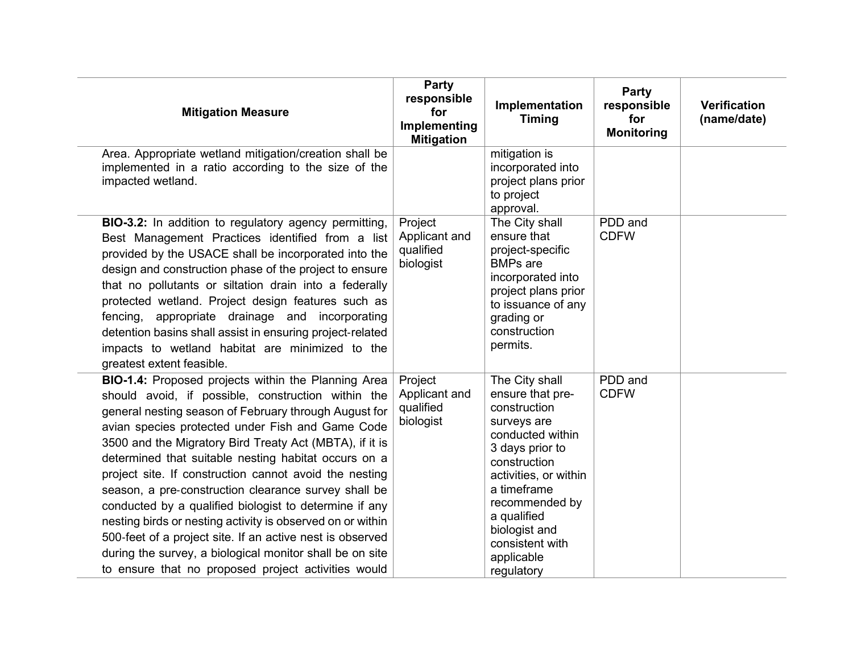| <b>Mitigation Measure</b>                                                                                                                                                                                                                                                                                                                                                                                                                                                                                                                                                                                                                                                                                                                                           | Party<br>responsible<br>for<br>Implementing<br><b>Mitigation</b> | Implementation<br><b>Timing</b>                                                                                                                                                                                                                                   | Party<br>responsible<br>for<br><b>Monitoring</b> | <b>Verification</b><br>(name/date) |
|---------------------------------------------------------------------------------------------------------------------------------------------------------------------------------------------------------------------------------------------------------------------------------------------------------------------------------------------------------------------------------------------------------------------------------------------------------------------------------------------------------------------------------------------------------------------------------------------------------------------------------------------------------------------------------------------------------------------------------------------------------------------|------------------------------------------------------------------|-------------------------------------------------------------------------------------------------------------------------------------------------------------------------------------------------------------------------------------------------------------------|--------------------------------------------------|------------------------------------|
| Area. Appropriate wetland mitigation/creation shall be<br>implemented in a ratio according to the size of the<br>impacted wetland.                                                                                                                                                                                                                                                                                                                                                                                                                                                                                                                                                                                                                                  |                                                                  | mitigation is<br>incorporated into<br>project plans prior<br>to project<br>approval.                                                                                                                                                                              |                                                  |                                    |
| BIO-3.2: In addition to regulatory agency permitting,<br>Best Management Practices identified from a list<br>provided by the USACE shall be incorporated into the<br>design and construction phase of the project to ensure<br>that no pollutants or siltation drain into a federally<br>protected wetland. Project design features such as<br>fencing, appropriate drainage and incorporating<br>detention basins shall assist in ensuring project-related<br>impacts to wetland habitat are minimized to the<br>greatest extent feasible.                                                                                                                                                                                                                         | Project<br>Applicant and<br>qualified<br>biologist               | The City shall<br>ensure that<br>project-specific<br><b>BMPs</b> are<br>incorporated into<br>project plans prior<br>to issuance of any<br>grading or<br>construction<br>permits.                                                                                  | PDD and<br><b>CDFW</b>                           |                                    |
| BIO-1.4: Proposed projects within the Planning Area<br>should avoid, if possible, construction within the<br>general nesting season of February through August for<br>avian species protected under Fish and Game Code<br>3500 and the Migratory Bird Treaty Act (MBTA), if it is<br>determined that suitable nesting habitat occurs on a<br>project site. If construction cannot avoid the nesting<br>season, a pre-construction clearance survey shall be<br>conducted by a qualified biologist to determine if any<br>nesting birds or nesting activity is observed on or within<br>500-feet of a project site. If an active nest is observed<br>during the survey, a biological monitor shall be on site<br>to ensure that no proposed project activities would | Project<br>Applicant and<br>qualified<br>biologist               | The City shall<br>ensure that pre-<br>construction<br>surveys are<br>conducted within<br>3 days prior to<br>construction<br>activities, or within<br>a timeframe<br>recommended by<br>a qualified<br>biologist and<br>consistent with<br>applicable<br>regulatory | PDD and<br><b>CDFW</b>                           |                                    |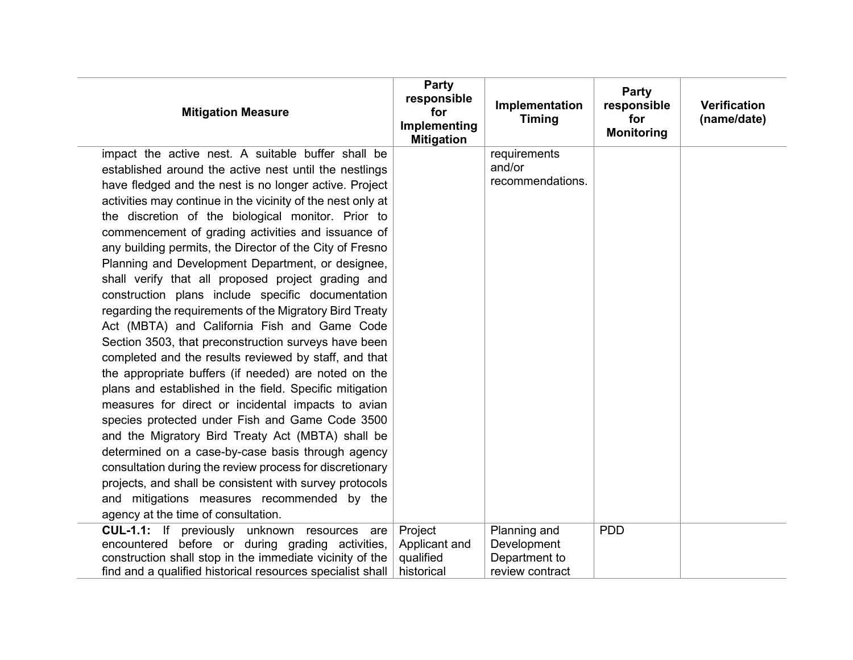| <b>Mitigation Measure</b>                                   | Party<br>responsible<br>for<br>Implementing<br><b>Mitigation</b> | Implementation<br><b>Timing</b> | Party<br>responsible<br>for<br><b>Monitoring</b> | <b>Verification</b><br>(name/date) |
|-------------------------------------------------------------|------------------------------------------------------------------|---------------------------------|--------------------------------------------------|------------------------------------|
| impact the active nest. A suitable buffer shall be          |                                                                  | requirements                    |                                                  |                                    |
| established around the active nest until the nestlings      |                                                                  | and/or<br>recommendations.      |                                                  |                                    |
| have fledged and the nest is no longer active. Project      |                                                                  |                                 |                                                  |                                    |
| activities may continue in the vicinity of the nest only at |                                                                  |                                 |                                                  |                                    |
| the discretion of the biological monitor. Prior to          |                                                                  |                                 |                                                  |                                    |
| commencement of grading activities and issuance of          |                                                                  |                                 |                                                  |                                    |
| any building permits, the Director of the City of Fresno    |                                                                  |                                 |                                                  |                                    |
| Planning and Development Department, or designee,           |                                                                  |                                 |                                                  |                                    |
| shall verify that all proposed project grading and          |                                                                  |                                 |                                                  |                                    |
| construction plans include specific documentation           |                                                                  |                                 |                                                  |                                    |
| regarding the requirements of the Migratory Bird Treaty     |                                                                  |                                 |                                                  |                                    |
| Act (MBTA) and California Fish and Game Code                |                                                                  |                                 |                                                  |                                    |
| Section 3503, that preconstruction surveys have been        |                                                                  |                                 |                                                  |                                    |
| completed and the results reviewed by staff, and that       |                                                                  |                                 |                                                  |                                    |
| the appropriate buffers (if needed) are noted on the        |                                                                  |                                 |                                                  |                                    |
| plans and established in the field. Specific mitigation     |                                                                  |                                 |                                                  |                                    |
| measures for direct or incidental impacts to avian          |                                                                  |                                 |                                                  |                                    |
| species protected under Fish and Game Code 3500             |                                                                  |                                 |                                                  |                                    |
| and the Migratory Bird Treaty Act (MBTA) shall be           |                                                                  |                                 |                                                  |                                    |
| determined on a case-by-case basis through agency           |                                                                  |                                 |                                                  |                                    |
| consultation during the review process for discretionary    |                                                                  |                                 |                                                  |                                    |
| projects, and shall be consistent with survey protocols     |                                                                  |                                 |                                                  |                                    |
| and mitigations measures recommended by the                 |                                                                  |                                 |                                                  |                                    |
| agency at the time of consultation.                         |                                                                  |                                 |                                                  |                                    |
| CUL-1.1: If previously unknown resources<br>are             | Project                                                          | Planning and                    | <b>PDD</b>                                       |                                    |
| encountered before or during grading activities,            | Applicant and                                                    | Development                     |                                                  |                                    |
| construction shall stop in the immediate vicinity of the    | qualified                                                        | Department to                   |                                                  |                                    |
| find and a qualified historical resources specialist shall  | historical                                                       | review contract                 |                                                  |                                    |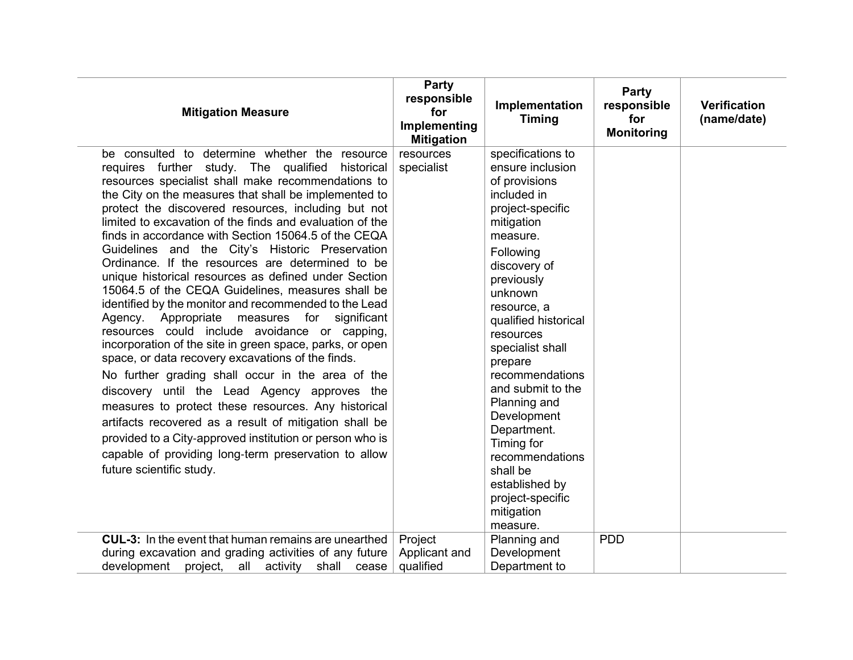| <b>Mitigation Measure</b>                                                                                                                                                                                                                                                                                                                                                                                                                                                                                                                                                                                                                                                                                                                                                                                                                                                                                                                                                                                                                                                                                                                                                                                                                                               | <b>Party</b><br>responsible<br>for<br>Implementing<br><b>Mitigation</b> | Implementation<br><b>Timing</b>                                                                                                                                                                                                                                                                                                                                                                                                                                 | Party<br>responsible<br>for<br><b>Monitoring</b> | <b>Verification</b><br>(name/date) |
|-------------------------------------------------------------------------------------------------------------------------------------------------------------------------------------------------------------------------------------------------------------------------------------------------------------------------------------------------------------------------------------------------------------------------------------------------------------------------------------------------------------------------------------------------------------------------------------------------------------------------------------------------------------------------------------------------------------------------------------------------------------------------------------------------------------------------------------------------------------------------------------------------------------------------------------------------------------------------------------------------------------------------------------------------------------------------------------------------------------------------------------------------------------------------------------------------------------------------------------------------------------------------|-------------------------------------------------------------------------|-----------------------------------------------------------------------------------------------------------------------------------------------------------------------------------------------------------------------------------------------------------------------------------------------------------------------------------------------------------------------------------------------------------------------------------------------------------------|--------------------------------------------------|------------------------------------|
| be consulted to determine whether the resource<br>requires further study. The qualified historical<br>resources specialist shall make recommendations to<br>the City on the measures that shall be implemented to<br>protect the discovered resources, including but not<br>limited to excavation of the finds and evaluation of the<br>finds in accordance with Section 15064.5 of the CEQA<br>Guidelines and the City's Historic Preservation<br>Ordinance. If the resources are determined to be<br>unique historical resources as defined under Section<br>15064.5 of the CEQA Guidelines, measures shall be<br>identified by the monitor and recommended to the Lead<br>measures for<br>Agency. Appropriate<br>significant<br>resources could include avoidance or capping,<br>incorporation of the site in green space, parks, or open<br>space, or data recovery excavations of the finds.<br>No further grading shall occur in the area of the<br>discovery until the Lead Agency approves the<br>measures to protect these resources. Any historical<br>artifacts recovered as a result of mitigation shall be<br>provided to a City-approved institution or person who is<br>capable of providing long-term preservation to allow<br>future scientific study. | resources<br>specialist                                                 | specifications to<br>ensure inclusion<br>of provisions<br>included in<br>project-specific<br>mitigation<br>measure.<br>Following<br>discovery of<br>previously<br>unknown<br>resource, a<br>qualified historical<br>resources<br>specialist shall<br>prepare<br>recommendations<br>and submit to the<br>Planning and<br>Development<br>Department.<br>Timing for<br>recommendations<br>shall be<br>established by<br>project-specific<br>mitigation<br>measure. |                                                  |                                    |
| <b>CUL-3:</b> In the event that human remains are unearthed<br>during excavation and grading activities of any future<br>activity shall cease<br>development project, all                                                                                                                                                                                                                                                                                                                                                                                                                                                                                                                                                                                                                                                                                                                                                                                                                                                                                                                                                                                                                                                                                               | Project<br>Applicant and<br>qualified                                   | Planning and<br>Development<br>Department to                                                                                                                                                                                                                                                                                                                                                                                                                    | <b>PDD</b>                                       |                                    |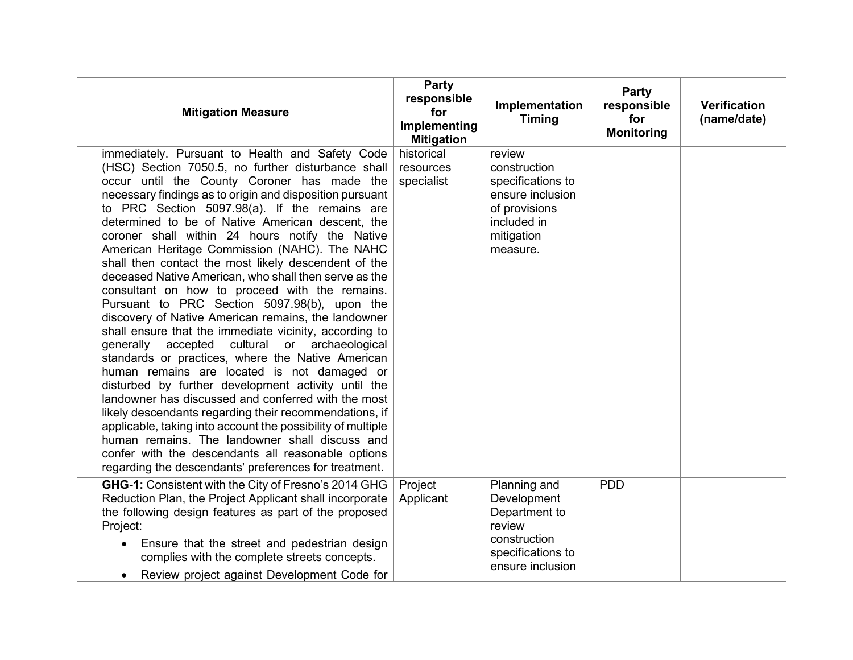| <b>Mitigation Measure</b>                                                                                                                                                                                                                                                                                                                                                                                                                                                                                                                                                                                                                                                                                                                                                                                                                                                                                                                                                                                                                                                                                                                                                                                                                                                                                                  | <b>Party</b><br>responsible<br>for<br>Implementing<br><b>Mitigation</b> | Implementation<br><b>Timing</b>                                                                                           | Party<br>responsible<br>for<br><b>Monitoring</b> | <b>Verification</b><br>(name/date) |
|----------------------------------------------------------------------------------------------------------------------------------------------------------------------------------------------------------------------------------------------------------------------------------------------------------------------------------------------------------------------------------------------------------------------------------------------------------------------------------------------------------------------------------------------------------------------------------------------------------------------------------------------------------------------------------------------------------------------------------------------------------------------------------------------------------------------------------------------------------------------------------------------------------------------------------------------------------------------------------------------------------------------------------------------------------------------------------------------------------------------------------------------------------------------------------------------------------------------------------------------------------------------------------------------------------------------------|-------------------------------------------------------------------------|---------------------------------------------------------------------------------------------------------------------------|--------------------------------------------------|------------------------------------|
| immediately. Pursuant to Health and Safety Code<br>(HSC) Section 7050.5, no further disturbance shall<br>occur until the County Coroner has made the<br>necessary findings as to origin and disposition pursuant<br>to PRC Section 5097.98(a). If the remains are<br>determined to be of Native American descent, the<br>coroner shall within 24 hours notify the Native<br>American Heritage Commission (NAHC). The NAHC<br>shall then contact the most likely descendent of the<br>deceased Native American, who shall then serve as the<br>consultant on how to proceed with the remains.<br>Pursuant to PRC Section 5097.98(b), upon the<br>discovery of Native American remains, the landowner<br>shall ensure that the immediate vicinity, according to<br>generally accepted cultural or archaeological<br>standards or practices, where the Native American<br>human remains are located is not damaged or<br>disturbed by further development activity until the<br>landowner has discussed and conferred with the most<br>likely descendants regarding their recommendations, if<br>applicable, taking into account the possibility of multiple<br>human remains. The landowner shall discuss and<br>confer with the descendants all reasonable options<br>regarding the descendants' preferences for treatment. | historical<br>resources<br>specialist                                   | review<br>construction<br>specifications to<br>ensure inclusion<br>of provisions<br>included in<br>mitigation<br>measure. |                                                  |                                    |
| GHG-1: Consistent with the City of Fresno's 2014 GHG<br>Reduction Plan, the Project Applicant shall incorporate<br>the following design features as part of the proposed<br>Project:<br>Ensure that the street and pedestrian design<br>$\bullet$<br>complies with the complete streets concepts.<br>Review project against Development Code for<br>$\bullet$                                                                                                                                                                                                                                                                                                                                                                                                                                                                                                                                                                                                                                                                                                                                                                                                                                                                                                                                                              | Project<br>Applicant                                                    | Planning and<br>Development<br>Department to<br>review<br>construction<br>specifications to<br>ensure inclusion           | <b>PDD</b>                                       |                                    |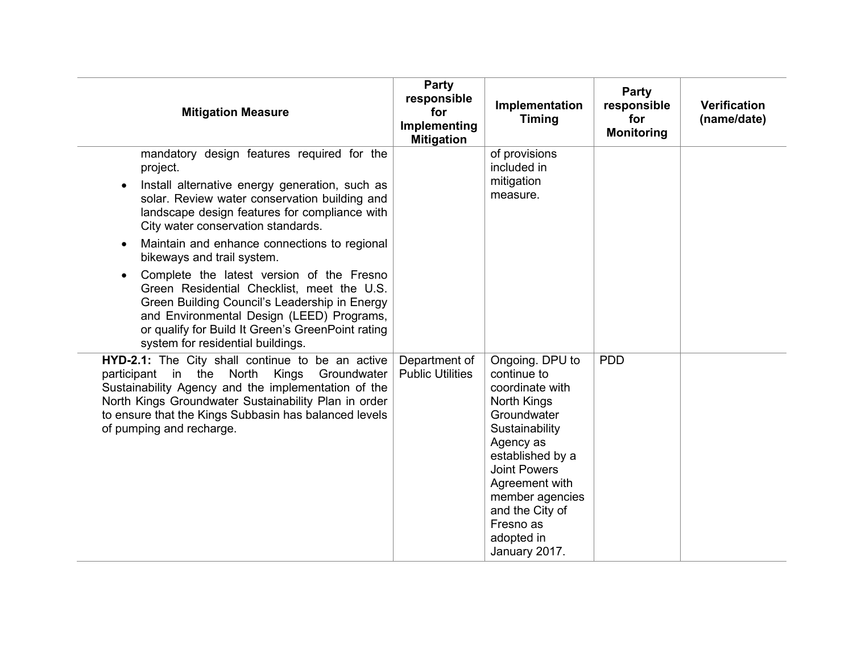| <b>Mitigation Measure</b>                                                                                                                                                                                                                                                                                                                                                                                                                                                                                                                                                                                                      | Party<br>responsible<br>for<br>Implementing<br><b>Mitigation</b> | Implementation<br><b>Timing</b>                                                                                                                                                                                                                               | Party<br>responsible<br>for<br><b>Monitoring</b> | <b>Verification</b><br>(name/date) |
|--------------------------------------------------------------------------------------------------------------------------------------------------------------------------------------------------------------------------------------------------------------------------------------------------------------------------------------------------------------------------------------------------------------------------------------------------------------------------------------------------------------------------------------------------------------------------------------------------------------------------------|------------------------------------------------------------------|---------------------------------------------------------------------------------------------------------------------------------------------------------------------------------------------------------------------------------------------------------------|--------------------------------------------------|------------------------------------|
| mandatory design features required for the<br>project.<br>Install alternative energy generation, such as<br>solar. Review water conservation building and<br>landscape design features for compliance with<br>City water conservation standards.<br>Maintain and enhance connections to regional<br>$\bullet$<br>bikeways and trail system.<br>Complete the latest version of the Fresno<br>Green Residential Checklist, meet the U.S.<br>Green Building Council's Leadership in Energy<br>and Environmental Design (LEED) Programs,<br>or qualify for Build It Green's GreenPoint rating<br>system for residential buildings. |                                                                  | of provisions<br>included in<br>mitigation<br>measure.                                                                                                                                                                                                        |                                                  |                                    |
| HYD-2.1: The City shall continue to be an active<br>participant in the North<br>Kings<br>Groundwater<br>Sustainability Agency and the implementation of the<br>North Kings Groundwater Sustainability Plan in order<br>to ensure that the Kings Subbasin has balanced levels<br>of pumping and recharge.                                                                                                                                                                                                                                                                                                                       | Department of<br><b>Public Utilities</b>                         | Ongoing. DPU to<br>continue to<br>coordinate with<br>North Kings<br>Groundwater<br>Sustainability<br>Agency as<br>established by a<br><b>Joint Powers</b><br>Agreement with<br>member agencies<br>and the City of<br>Fresno as<br>adopted in<br>January 2017. | <b>PDD</b>                                       |                                    |